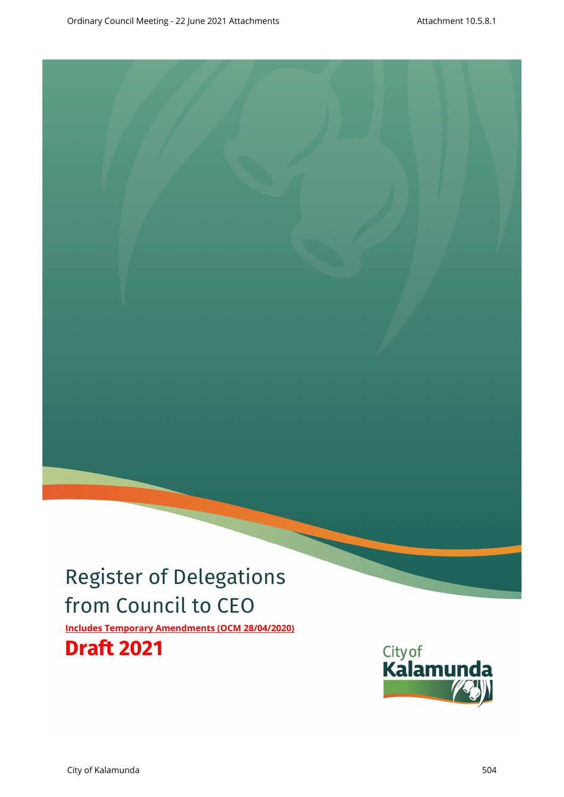# Register of Delegations from Council to CEO **Includes Temporary Amendments (OCM 28/04/2020)**

**Draft 2021**

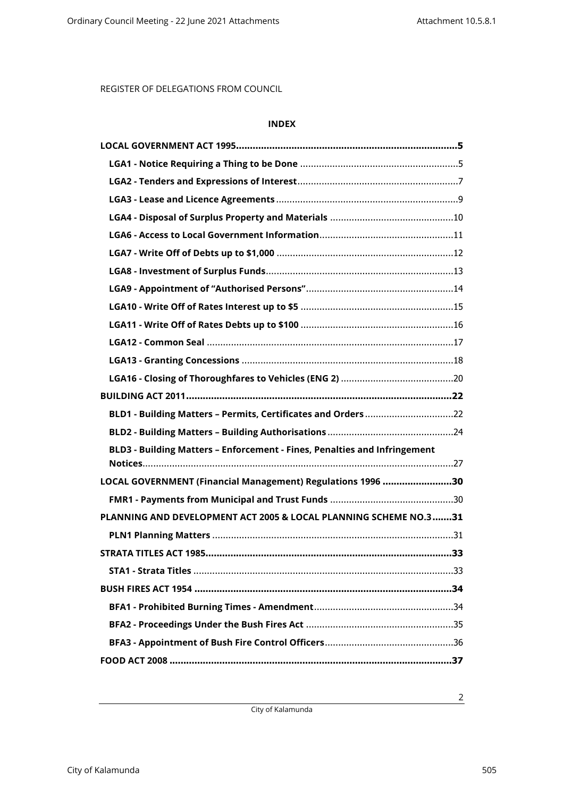## **INDEX**

| BLD1 - Building Matters - Permits, Certificates and Orders 22             |
|---------------------------------------------------------------------------|
|                                                                           |
| BLD3 - Building Matters - Enforcement - Fines, Penalties and Infringement |
|                                                                           |
| LOCAL GOVERNMENT (Financial Management) Regulations 1996 30               |
|                                                                           |
| PLANNING AND DEVELOPMENT ACT 2005 & LOCAL PLANNING SCHEME NO.3 31         |
|                                                                           |
|                                                                           |
|                                                                           |
| BUSH FIRES ACT 1954 ……………………………………………………………………………………34                    |
|                                                                           |
|                                                                           |
|                                                                           |
|                                                                           |

City of Kalamunda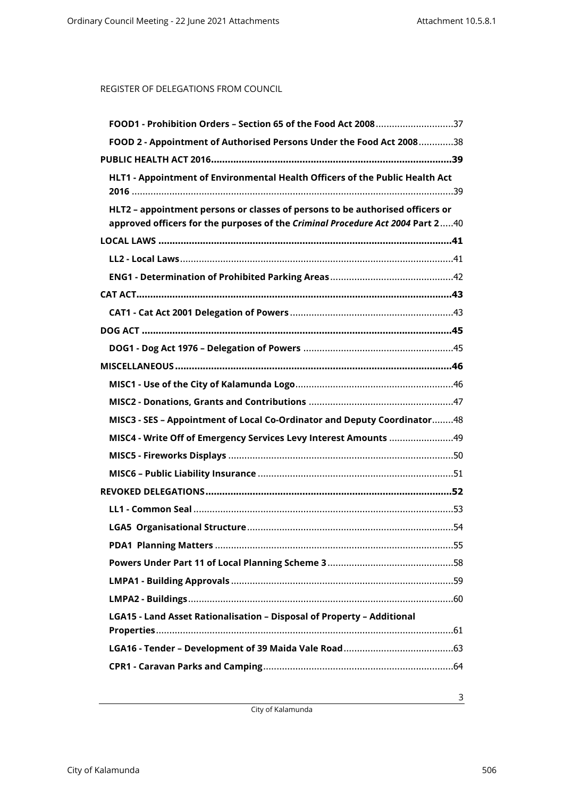| FOOD1 - Prohibition Orders - Section 65 of the Food Act 200837                                                                                                  |
|-----------------------------------------------------------------------------------------------------------------------------------------------------------------|
| FOOD 2 - Appointment of Authorised Persons Under the Food Act 200838                                                                                            |
|                                                                                                                                                                 |
| HLT1 - Appointment of Environmental Health Officers of the Public Health Act                                                                                    |
| HLT2 - appointment persons or classes of persons to be authorised officers or<br>approved officers for the purposes of the Criminal Procedure Act 2004 Part 240 |
|                                                                                                                                                                 |
|                                                                                                                                                                 |
|                                                                                                                                                                 |
|                                                                                                                                                                 |
|                                                                                                                                                                 |
|                                                                                                                                                                 |
|                                                                                                                                                                 |
|                                                                                                                                                                 |
|                                                                                                                                                                 |
|                                                                                                                                                                 |
| MISC3 - SES - Appointment of Local Co-Ordinator and Deputy Coordinator48                                                                                        |
|                                                                                                                                                                 |
|                                                                                                                                                                 |
|                                                                                                                                                                 |
|                                                                                                                                                                 |
|                                                                                                                                                                 |
|                                                                                                                                                                 |
|                                                                                                                                                                 |
|                                                                                                                                                                 |
|                                                                                                                                                                 |
|                                                                                                                                                                 |
| LGA15 - Land Asset Rationalisation - Disposal of Property - Additional                                                                                          |
|                                                                                                                                                                 |
|                                                                                                                                                                 |

City of Kalamunda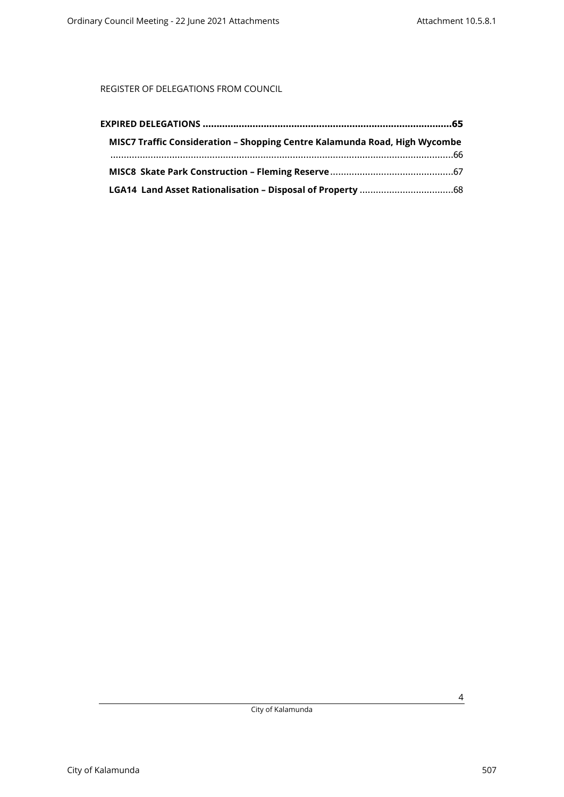| MISC7 Traffic Consideration - Shopping Centre Kalamunda Road, High Wycombe |  |
|----------------------------------------------------------------------------|--|
|                                                                            |  |
|                                                                            |  |
|                                                                            |  |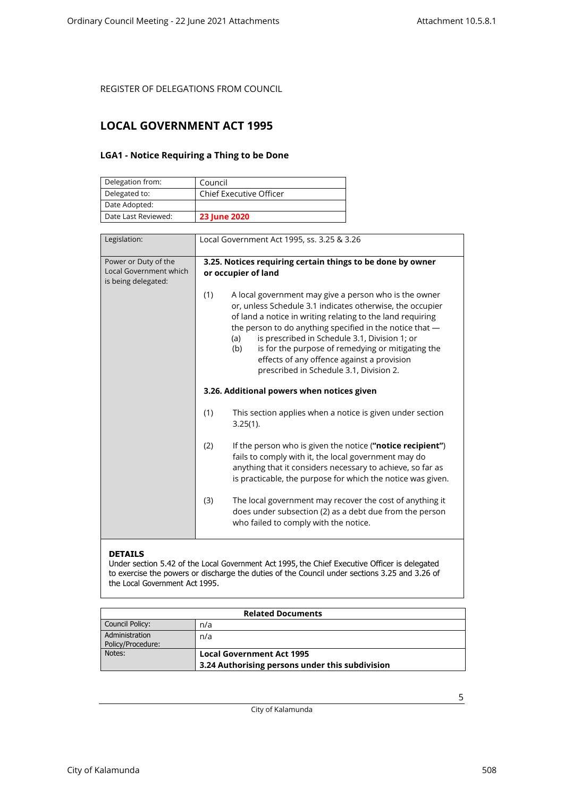## <span id="page-4-1"></span><span id="page-4-0"></span>**LOCAL GOVERNMENT ACT 1995**

### **LGA1 - Notice Requiring a Thing to be Done**

| Delegation from:    | Council                        |
|---------------------|--------------------------------|
| Delegated to:       | <b>Chief Executive Officer</b> |
| Date Adopted:       |                                |
| Date Last Reviewed: | <b>23 June 2020</b>            |

| Legislation:                                                          | Local Government Act 1995, ss. 3.25 & 3.26                                                                                                                                                                                                                                                                                                                                                                                                                       |
|-----------------------------------------------------------------------|------------------------------------------------------------------------------------------------------------------------------------------------------------------------------------------------------------------------------------------------------------------------------------------------------------------------------------------------------------------------------------------------------------------------------------------------------------------|
| Power or Duty of the<br>Local Government which<br>is being delegated: | 3.25. Notices requiring certain things to be done by owner<br>or occupier of land                                                                                                                                                                                                                                                                                                                                                                                |
|                                                                       | (1)<br>A local government may give a person who is the owner<br>or, unless Schedule 3.1 indicates otherwise, the occupier<br>of land a notice in writing relating to the land requiring<br>the person to do anything specified in the notice that -<br>is prescribed in Schedule 3.1, Division 1; or<br>(a)<br>is for the purpose of remedying or mitigating the<br>(b)<br>effects of any offence against a provision<br>prescribed in Schedule 3.1, Division 2. |
|                                                                       | 3.26. Additional powers when notices given                                                                                                                                                                                                                                                                                                                                                                                                                       |
|                                                                       | (1)<br>This section applies when a notice is given under section<br>$3.25(1)$ .                                                                                                                                                                                                                                                                                                                                                                                  |
|                                                                       | (2)<br>If the person who is given the notice ("notice recipient")<br>fails to comply with it, the local government may do<br>anything that it considers necessary to achieve, so far as<br>is practicable, the purpose for which the notice was given.                                                                                                                                                                                                           |
|                                                                       | The local government may recover the cost of anything it<br>(3)<br>does under subsection (2) as a debt due from the person<br>who failed to comply with the notice.                                                                                                                                                                                                                                                                                              |

### **DETAILS**

Under section 5.42 of the Local Government Act 1995, the Chief Executive Officer is delegated to exercise the powers or discharge the duties of the Council under sections 3.25 and 3.26 of the Local Government Act 1995.

| <b>Related Documents</b>            |                                                 |  |
|-------------------------------------|-------------------------------------------------|--|
| Council Policy:                     | n/a                                             |  |
| Administration<br>Policy/Procedure: | n/a                                             |  |
| Notes:                              | <b>Local Government Act 1995</b>                |  |
|                                     | 3.24 Authorising persons under this subdivision |  |

City of Kalamunda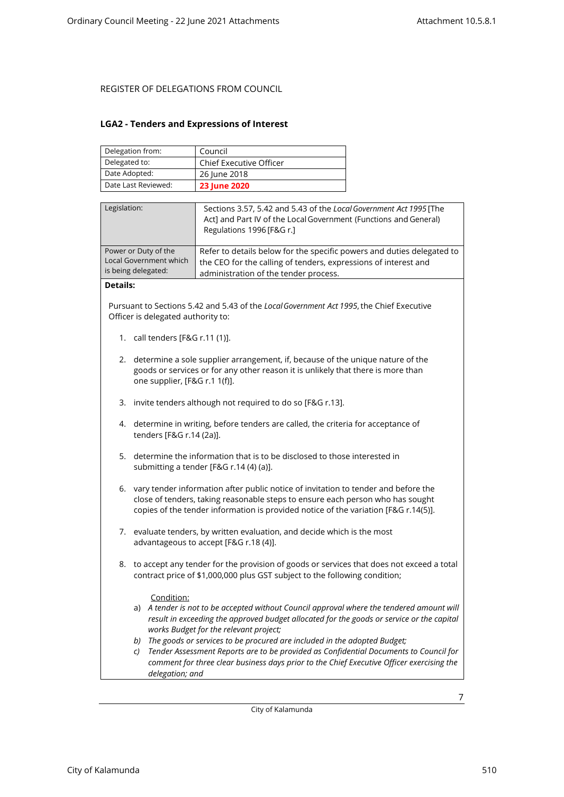### <span id="page-6-0"></span>**LGA2 - Tenders and Expressions of Interest**

| Delegation from:    | Council                        |
|---------------------|--------------------------------|
| Delegated to:       | <b>Chief Executive Officer</b> |
| Date Adopted:       | 26 June 2018                   |
| Date Last Reviewed: | <b>23 June 2020</b>            |

| Legislation:                                                          | Sections 3.57, 5.42 and 5.43 of the Local Government Act 1995 [The<br>Act] and Part IV of the Local Government (Functions and General)<br>Regulations 1996 [F&G r.]                |
|-----------------------------------------------------------------------|------------------------------------------------------------------------------------------------------------------------------------------------------------------------------------|
| Power or Duty of the<br>Local Government which<br>is being delegated: | Refer to details below for the specific powers and duties delegated to<br>the CEO for the calling of tenders, expressions of interest and<br>administration of the tender process. |
| $P = 1.31$                                                            |                                                                                                                                                                                    |

#### **Details:**

Pursuant to Sections 5.42 and 5.43 of the *Local Government Act 1995*, the Chief Executive Officer is delegated authority to:

- 1. call tenders [F&G r.11 (1)].
- 2. determine a sole supplier arrangement, if, because of the unique nature of the goods or services or for any other reason it is unlikely that there is more than one supplier, [F&G r.1 1(f)].
- 3. invite tenders although not required to do so [F&G r.13].
- 4. determine in writing, before tenders are called, the criteria for acceptance of tenders [F&G r.14 (2a)].
- 5. determine the information that is to be disclosed to those interested in submitting a tender [F&G r.14 (4) (a)].
- 6. vary tender information after public notice of invitation to tender and before the close of tenders, taking reasonable steps to ensure each person who has sought copies of the tender information is provided notice of the variation [F&G r.14(5)].
- 7. evaluate tenders, by written evaluation, and decide which is the most advantageous to accept [F&G r.18 (4)].
- 8. to accept any tender for the provision of goods or services that does not exceed a total contract price of \$1,000,000 plus GST subject to the following condition;

### Condition:

- a) *A tender is not to be accepted without Council approval where the tendered amount will result in exceeding the approved budget allocated for the goods or service or the capital works Budget for the relevant project;*
- *b) The goods or services to be procured are included in the adopted Budget;*
- *c) Tender Assessment Reports are to be provided as Confidential Documents to Council for comment for three clear business days prior to the Chief Executive Officer exercising the delegation; and*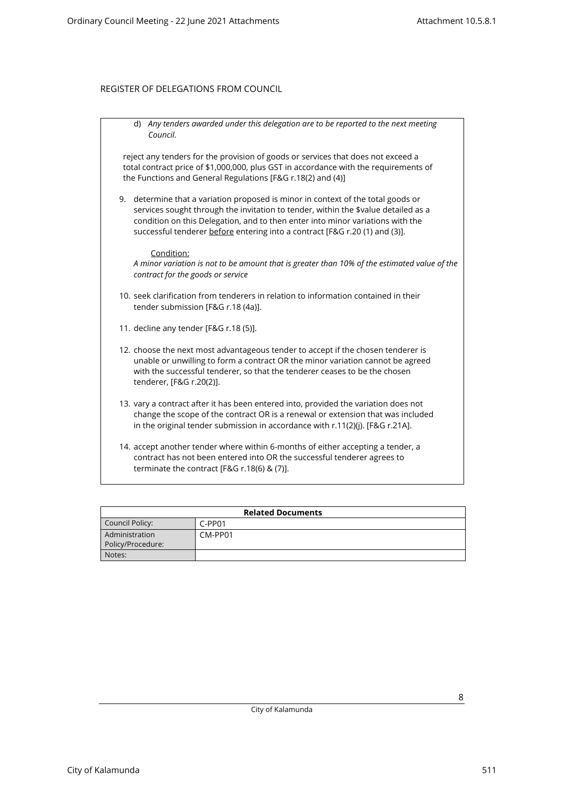| Any tenders awarded under this delegation are to be reported to the next meeting<br>d)<br>Council.                                                                                                                                                                                                                                      |  |
|-----------------------------------------------------------------------------------------------------------------------------------------------------------------------------------------------------------------------------------------------------------------------------------------------------------------------------------------|--|
| reject any tenders for the provision of goods or services that does not exceed a<br>total contract price of \$1,000,000, plus GST in accordance with the requirements of<br>the Functions and General Regulations [F&G r.18(2) and (4)]                                                                                                 |  |
| 9. determine that a variation proposed is minor in context of the total goods or<br>services sought through the invitation to tender, within the \$value detailed as a<br>condition on this Delegation, and to then enter into minor variations with the<br>successful tenderer before entering into a contract [F&G r.20 (1) and (3)]. |  |
| Condition:<br>A minor variation is not to be amount that is greater than 10% of the estimated value of the<br>contract for the goods or service                                                                                                                                                                                         |  |
| 10. seek clarification from tenderers in relation to information contained in their<br>tender submission [F&G r.18 (4a)].                                                                                                                                                                                                               |  |
| 11. decline any tender [F&G r.18 (5)].                                                                                                                                                                                                                                                                                                  |  |
| 12. choose the next most advantageous tender to accept if the chosen tenderer is<br>unable or unwilling to form a contract OR the minor variation cannot be agreed<br>with the successful tenderer, so that the tenderer ceases to be the chosen<br>tenderer, [F&G r.20(2)].                                                            |  |
| 13. vary a contract after it has been entered into, provided the variation does not<br>change the scope of the contract OR is a renewal or extension that was included<br>in the original tender submission in accordance with r.11(2)(j). [F&G r.21A].                                                                                 |  |
| 14. accept another tender where within 6-months of either accepting a tender, a<br>contract has not been entered into OR the successful tenderer agrees to<br>terminate the contract [F&G r.18(6) & (7)].                                                                                                                               |  |

| <b>Related Documents</b> |          |  |
|--------------------------|----------|--|
| Council Policy:          | $C-PP01$ |  |
| Administration           | CM-PP01  |  |
| Policy/Procedure:        |          |  |
| Notes:                   |          |  |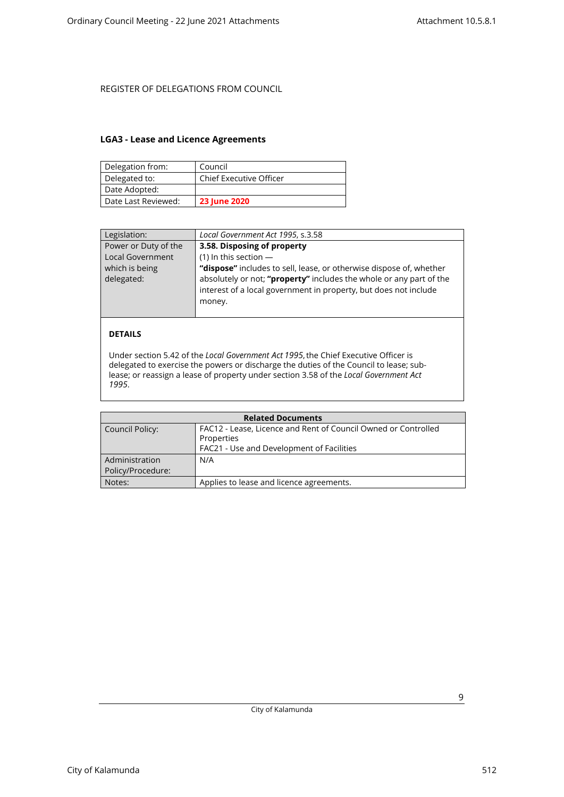### <span id="page-8-0"></span>**LGA3 - Lease and Licence Agreements**

| Delegation from:    | Council                        |
|---------------------|--------------------------------|
| Delegated to:       | <b>Chief Executive Officer</b> |
| Date Adopted:       |                                |
| Date Last Reviewed: | <b>23 June 2020</b>            |

| Legislation:            | Local Government Act 1995, s.3.58                                   |
|-------------------------|---------------------------------------------------------------------|
| Power or Duty of the    | 3.58. Disposing of property                                         |
| <b>Local Government</b> | $(1)$ In this section $-$                                           |
| which is being          | "dispose" includes to sell, lease, or otherwise dispose of, whether |
| delegated:              | absolutely or not; "property" includes the whole or any part of the |
|                         | interest of a local government in property, but does not include    |
|                         | money.                                                              |
|                         |                                                                     |

### **DETAILS**

Under section 5.42 of the *Local Government Act 1995*, the Chief Executive Officer is delegated to exercise the powers or discharge the duties of the Council to lease; sublease; or reassign a lease of property under section 3.58 of the *Local Government Act 1995*.

| <b>Related Documents</b> |                                                                |  |
|--------------------------|----------------------------------------------------------------|--|
| Council Policy:          | FAC12 - Lease, Licence and Rent of Council Owned or Controlled |  |
|                          | Properties                                                     |  |
|                          | FAC21 - Use and Development of Facilities                      |  |
| Administration           | N/A                                                            |  |
| Policy/Procedure:        |                                                                |  |
| Notes:                   | Applies to lease and licence agreements.                       |  |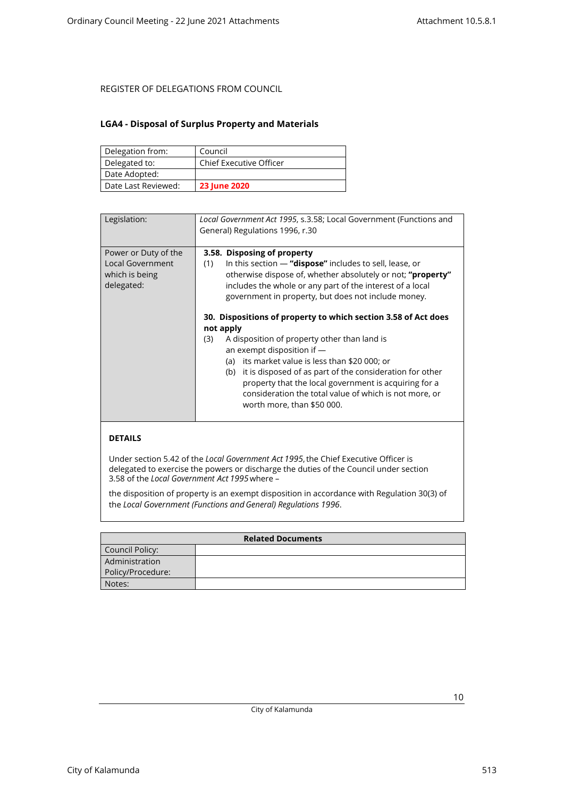### <span id="page-9-0"></span>**LGA4 - Disposal of Surplus Property and Materials**

| Delegation from:    | Council                        |
|---------------------|--------------------------------|
| Delegated to:       | <b>Chief Executive Officer</b> |
| Date Adopted:       |                                |
| Date Last Reviewed: | <b>23 June 2020</b>            |

| Legislation:                                                             | Local Government Act 1995, s.3.58; Local Government (Functions and<br>General) Regulations 1996, r.30                                                                                                                                                                                                                                                                                                                                 |
|--------------------------------------------------------------------------|---------------------------------------------------------------------------------------------------------------------------------------------------------------------------------------------------------------------------------------------------------------------------------------------------------------------------------------------------------------------------------------------------------------------------------------|
| Power or Duty of the<br>Local Government<br>which is being<br>delegated: | 3.58. Disposing of property<br>In this section $-$ "dispose" includes to sell, lease, or<br>(1)<br>otherwise dispose of, whether absolutely or not; "property"<br>includes the whole or any part of the interest of a local<br>government in property, but does not include money.                                                                                                                                                    |
|                                                                          | 30. Dispositions of property to which section 3.58 of Act does<br>not apply<br>A disposition of property other than land is<br>(3)<br>an exempt disposition if $-$<br>(a) its market value is less than \$20 000; or<br>(b) it is disposed of as part of the consideration for other<br>property that the local government is acquiring for a<br>consideration the total value of which is not more, or<br>worth more, than \$50 000. |
|                                                                          |                                                                                                                                                                                                                                                                                                                                                                                                                                       |

### **DETAILS**

Under section 5.42 of the *Local Government Act 1995*, the Chief Executive Officer is delegated to exercise the powers or discharge the duties of the Council under section 3.58 of the *Local Government Act 1995*where –

the disposition of property is an exempt disposition in accordance with Regulation 30(3) of the *Local Government (Functions and General) Regulations 1996*.

| <b>Related Documents</b> |  |
|--------------------------|--|
| Council Policy:          |  |
| Administration           |  |
| Policy/Procedure:        |  |
| Notes:                   |  |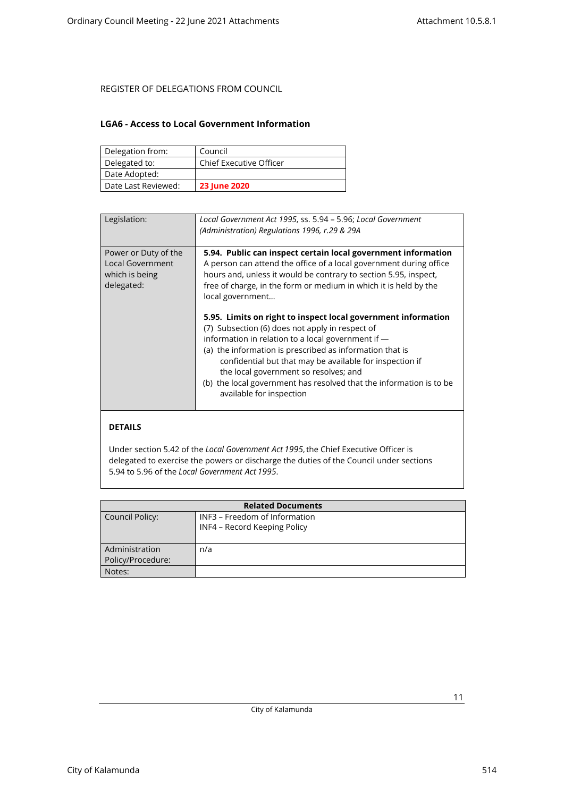### <span id="page-10-0"></span>**LGA6 - Access to Local Government Information**

| Delegation from:    | Council                        |
|---------------------|--------------------------------|
| Delegated to:       | <b>Chief Executive Officer</b> |
| Date Adopted:       |                                |
| Date Last Reviewed: | <b>23 June 2020</b>            |

| Legislation:                                                             | Local Government Act 1995, ss. 5.94 - 5.96; Local Government<br>(Administration) Regulations 1996, r.29 & 29A                                                                                                                                                                                                                                                                                                                                                                                                                                                                                                                                                                                                                                 |
|--------------------------------------------------------------------------|-----------------------------------------------------------------------------------------------------------------------------------------------------------------------------------------------------------------------------------------------------------------------------------------------------------------------------------------------------------------------------------------------------------------------------------------------------------------------------------------------------------------------------------------------------------------------------------------------------------------------------------------------------------------------------------------------------------------------------------------------|
| Power or Duty of the<br>Local Government<br>which is being<br>delegated: | 5.94. Public can inspect certain local government information<br>A person can attend the office of a local government during office<br>hours and, unless it would be contrary to section 5.95, inspect,<br>free of charge, in the form or medium in which it is held by the<br>local government<br>5.95. Limits on right to inspect local government information<br>(7) Subsection (6) does not apply in respect of<br>information in relation to a local government if -<br>(a) the information is prescribed as information that is<br>confidential but that may be available for inspection if<br>the local government so resolves; and<br>(b) the local government has resolved that the information is to be<br>available for inspection |
|                                                                          |                                                                                                                                                                                                                                                                                                                                                                                                                                                                                                                                                                                                                                                                                                                                               |

### **DETAILS**

Under section 5.42 of the *Local Government Act 1995*, the Chief Executive Officer is delegated to exercise the powers or discharge the duties of the Council under sections 5.94 to 5.96 of the *Local Government Act 1995*.

| <b>Related Documents</b> |                               |
|--------------------------|-------------------------------|
| Council Policy:          | INF3 - Freedom of Information |
|                          | INF4 - Record Keeping Policy  |
|                          |                               |
| Administration           | n/a                           |
| Policy/Procedure:        |                               |
| Notes:                   |                               |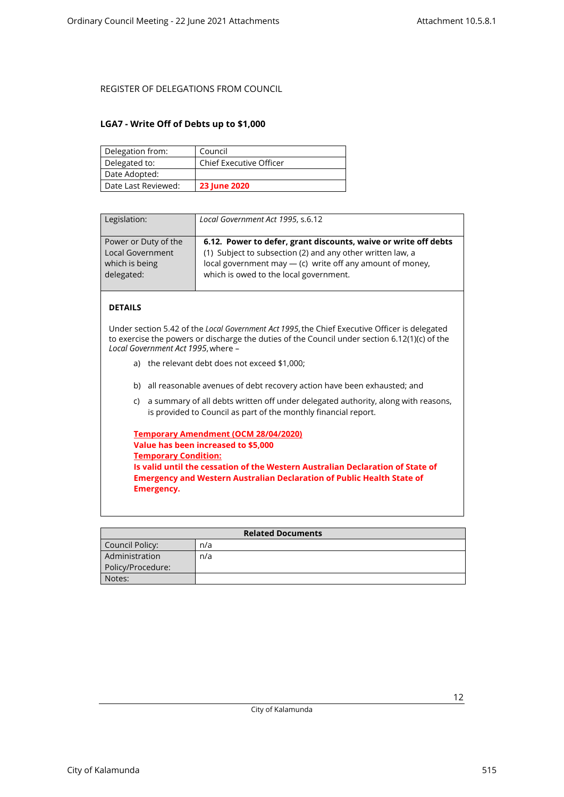### <span id="page-11-0"></span>**LGA7 - Write Off of Debts up to \$1,000**

| Delegation from:    | Council                        |
|---------------------|--------------------------------|
| Delegated to:       | <b>Chief Executive Officer</b> |
| Date Adopted:       |                                |
| Date Last Reviewed: | <b>23 June 2020</b>            |

| Legislation:            | Local Government Act 1995, s.6.12                               |
|-------------------------|-----------------------------------------------------------------|
| Power or Duty of the    | 6.12. Power to defer, grant discounts, waive or write off debts |
| <b>Local Government</b> | (1) Subject to subsection (2) and any other written law, a      |
| which is being          | local government may - (c) write off any amount of money,       |
| delegated:              | which is owed to the local government.                          |

## **DETAILS**

Under section 5.42 of the *Local Government Act 1995*, the Chief Executive Officer is delegated to exercise the powers or discharge the duties of the Council under section 6.12(1)(c) of the *Local Government Act 1995*, where –

- a) the relevant debt does not exceed \$1,000;
- b) all reasonable avenues of debt recovery action have been exhausted; and
- c) a summary of all debts written off under delegated authority, along with reasons, is provided to Council as part of the monthly financial report.

| Temporary Amendment (OCM 28/04/2020)                                           |
|--------------------------------------------------------------------------------|
| Value has been increased to \$5,000                                            |
| <b>Temporary Condition:</b>                                                    |
| Is valid until the cessation of the Western Australian Declaration of State of |
| <b>Emergency and Western Australian Declaration of Public Health State of</b>  |
| Emergency.                                                                     |

| <b>Related Documents</b> |     |
|--------------------------|-----|
| Council Policy:          | n/a |
| Administration           | n/a |
| Policy/Procedure:        |     |
| Notes:                   |     |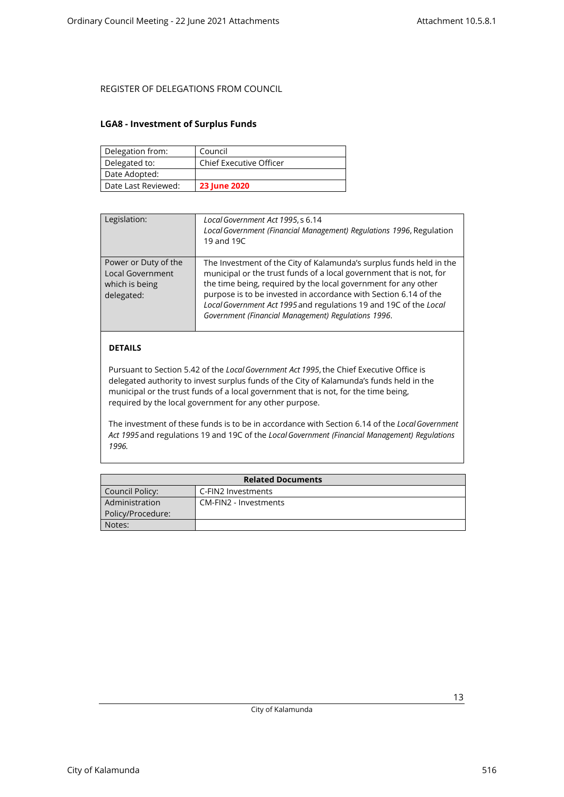### <span id="page-12-0"></span>**LGA8 - Investment of Surplus Funds**

| Delegation from:    | Council                        |
|---------------------|--------------------------------|
| Delegated to:       | <b>Chief Executive Officer</b> |
| Date Adopted:       |                                |
| Date Last Reviewed: | <b>23 June 2020</b>            |

| Legislation:                                                             | Local Government Act 1995, s 6.14<br>Local Government (Financial Management) Regulations 1996, Regulation<br>19 and 19C                                                                                                                                                                                                                                                                                      |
|--------------------------------------------------------------------------|--------------------------------------------------------------------------------------------------------------------------------------------------------------------------------------------------------------------------------------------------------------------------------------------------------------------------------------------------------------------------------------------------------------|
| Power or Duty of the<br>Local Government<br>which is being<br>delegated: | The Investment of the City of Kalamunda's surplus funds held in the<br>municipal or the trust funds of a local government that is not, for<br>the time being, required by the local government for any other<br>purpose is to be invested in accordance with Section 6.14 of the<br>Local Government Act 1995 and regulations 19 and 19C of the Local<br>Government (Financial Management) Regulations 1996. |
|                                                                          |                                                                                                                                                                                                                                                                                                                                                                                                              |

## **DETAILS**

Pursuant to Section 5.42 of the *Local Government Act 1995*, the Chief Executive Office is delegated authority to invest surplus funds of the City of Kalamunda's funds held in the municipal or the trust funds of a local government that is not, for the time being, required by the local government for any other purpose.

The investment of these funds is to be in accordance with Section 6.14 of the *Local Government Act 1995* and regulations 19 and 19C of the *Local Government (Financial Management) Regulations 1996.*

| <b>Related Documents</b> |                       |
|--------------------------|-----------------------|
| Council Policy:          | C-FIN2 Investments    |
| Administration           | CM-FIN2 - Investments |
| Policy/Procedure:        |                       |
| Notes:                   |                       |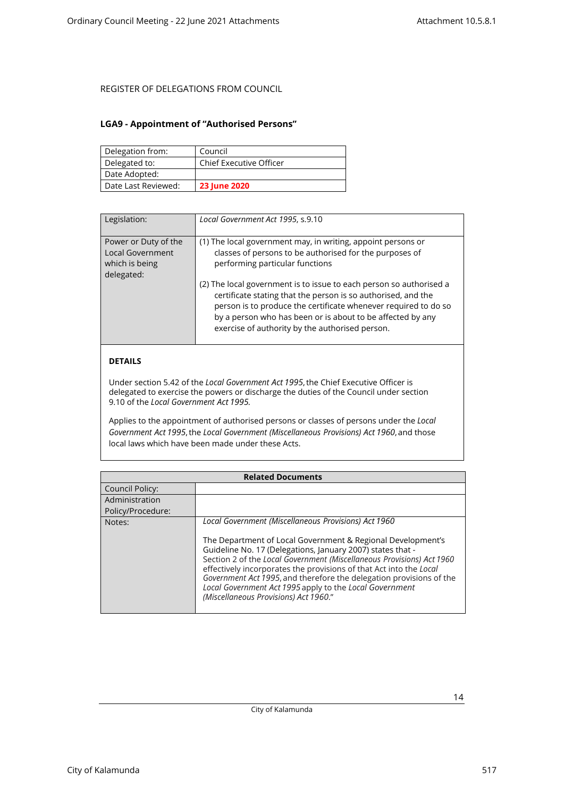### <span id="page-13-0"></span>**LGA9 - Appointment of "Authorised Persons"**

| Delegation from:    | Council                        |
|---------------------|--------------------------------|
| Delegated to:       | <b>Chief Executive Officer</b> |
| Date Adopted:       |                                |
| Date Last Reviewed: | <b>23 June 2020</b>            |

| Legislation:                                                                    | Local Government Act 1995, s.9.10                                                                                                                                                                                                                                                                                        |
|---------------------------------------------------------------------------------|--------------------------------------------------------------------------------------------------------------------------------------------------------------------------------------------------------------------------------------------------------------------------------------------------------------------------|
| Power or Duty of the<br><b>Local Government</b><br>which is being<br>delegated: | (1) The local government may, in writing, appoint persons or<br>classes of persons to be authorised for the purposes of<br>performing particular functions                                                                                                                                                               |
|                                                                                 | (2) The local government is to issue to each person so authorised a<br>certificate stating that the person is so authorised, and the<br>person is to produce the certificate whenever required to do so<br>by a person who has been or is about to be affected by any<br>exercise of authority by the authorised person. |

## **DETAILS**

Under section 5.42 of the *Local Government Act 1995*, the Chief Executive Officer is delegated to exercise the powers or discharge the duties of the Council under section 9.10 of the *Local Government Act 1995.*

Applies to the appointment of authorised persons or classes of persons under the *Local Government Act 1995*, the *Local Government (Miscellaneous Provisions) Act 1960*, and those local laws which have been made under these Acts.

| <b>Related Documents</b> |                                                                                                                                                                                                                                                                                                                                                                                                                                                     |
|--------------------------|-----------------------------------------------------------------------------------------------------------------------------------------------------------------------------------------------------------------------------------------------------------------------------------------------------------------------------------------------------------------------------------------------------------------------------------------------------|
| Council Policy:          |                                                                                                                                                                                                                                                                                                                                                                                                                                                     |
| Administration           |                                                                                                                                                                                                                                                                                                                                                                                                                                                     |
| Policy/Procedure:        |                                                                                                                                                                                                                                                                                                                                                                                                                                                     |
| Notes:                   | Local Government (Miscellaneous Provisions) Act 1960                                                                                                                                                                                                                                                                                                                                                                                                |
|                          | The Department of Local Government & Regional Development's<br>Guideline No. 17 (Delegations, January 2007) states that -<br>Section 2 of the Local Government (Miscellaneous Provisions) Act 1960<br>effectively incorporates the provisions of that Act into the Local<br>Government Act 1995, and therefore the delegation provisions of the<br>Local Government Act 1995 apply to the Local Government<br>(Miscellaneous Provisions) Act 1960." |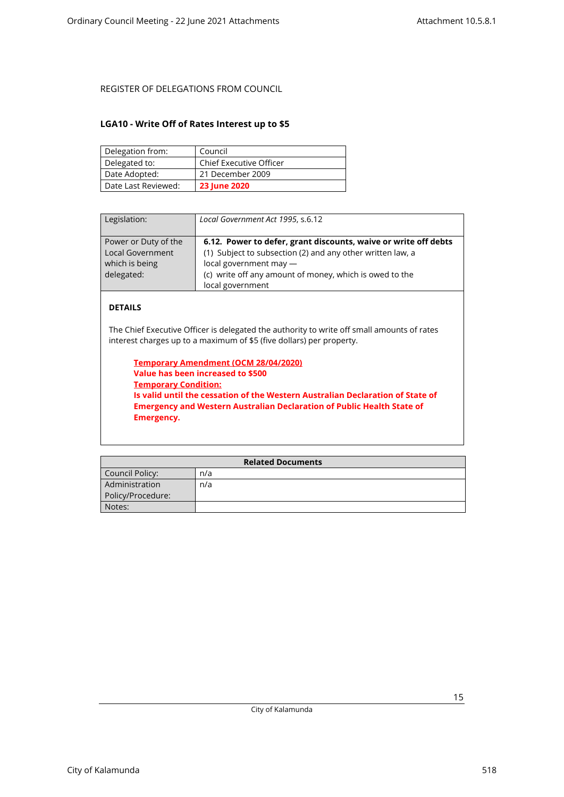### <span id="page-14-0"></span>**LGA10 - Write Off of Rates Interest up to \$5**

| Delegation from:    | Council                        |
|---------------------|--------------------------------|
| Delegated to:       | <b>Chief Executive Officer</b> |
| Date Adopted:       | 21 December 2009               |
| Date Last Reviewed: | <b>23 June 2020</b>            |

| Local Government Act 1995, s.6.12                                                                                                                                                                                                      |
|----------------------------------------------------------------------------------------------------------------------------------------------------------------------------------------------------------------------------------------|
| 6.12. Power to defer, grant discounts, waive or write off debts<br>(1) Subject to subsection (2) and any other written law, a<br>local government may -<br>(c) write off any amount of money, which is owed to the<br>local government |
|                                                                                                                                                                                                                                        |

## **DETAILS**

The Chief Executive Officer is delegated the authority to write off small amounts of rates interest charges up to a maximum of \$5 (five dollars) per property.

**Temporary Amendment (OCM 28/04/2020) Value has been increased to \$500 Temporary Condition: Is valid until the cessation of the Western Australian Declaration of State of Emergency and Western Australian Declaration of Public Health State of Emergency.**

| <b>Related Documents</b> |     |
|--------------------------|-----|
| Council Policy:          | n/a |
| Administration           | n/a |
| Policy/Procedure:        |     |
| Notes:                   |     |

City of Kalamunda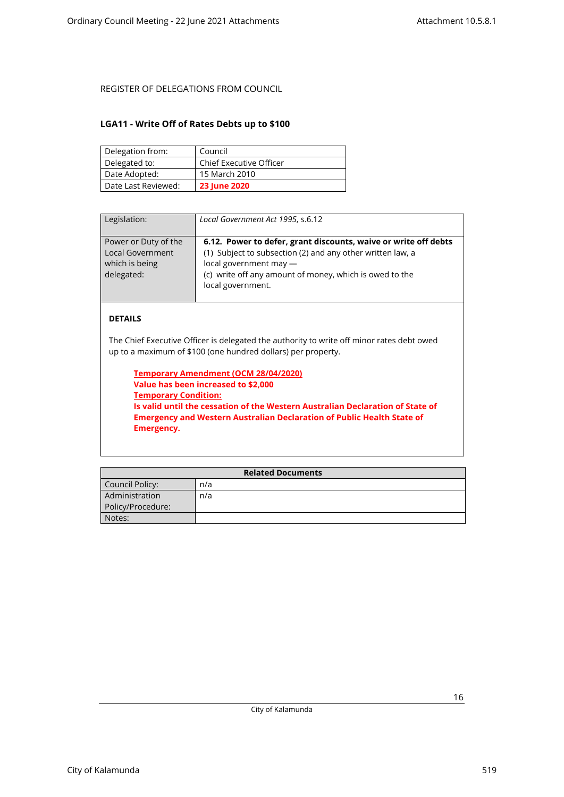### <span id="page-15-0"></span>**LGA11 - Write Off of Rates Debts up to \$100**

| Delegation from:    | Council                        |
|---------------------|--------------------------------|
| Delegated to:       | <b>Chief Executive Officer</b> |
| Date Adopted:       | 15 March 2010                  |
| Date Last Reviewed: | <b>23 June 2020</b>            |

| Legislation:                                                                    | Local Government Act 1995, s.6.12                                                                                                                                                                                                       |
|---------------------------------------------------------------------------------|-----------------------------------------------------------------------------------------------------------------------------------------------------------------------------------------------------------------------------------------|
| Power or Duty of the<br><b>Local Government</b><br>which is being<br>delegated: | 6.12. Power to defer, grant discounts, waive or write off debts<br>(1) Subject to subsection (2) and any other written law, a<br>local government may -<br>(c) write off any amount of money, which is owed to the<br>local government. |

### **DETAILS**

The Chief Executive Officer is delegated the authority to write off minor rates debt owed up to a maximum of \$100 (one hundred dollars) per property.

**Temporary Amendment (OCM 28/04/2020) Value has been increased to \$2,000 Temporary Condition: Is valid until the cessation of the Western Australian Declaration of State of Emergency and Western Australian Declaration of Public Health State of Emergency.**

| <b>Related Documents</b> |     |
|--------------------------|-----|
| Council Policy:          | n/a |
| Administration           | n/a |
| Policy/Procedure:        |     |
| Notes:                   |     |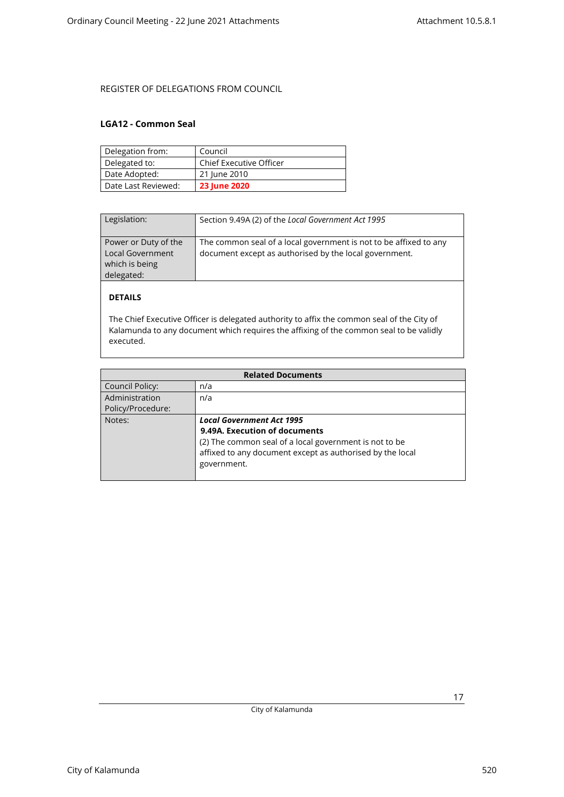### <span id="page-16-0"></span>**LGA12 - Common Seal**

| Delegation from:    | Council                        |
|---------------------|--------------------------------|
| Delegated to:       | <b>Chief Executive Officer</b> |
| Date Adopted:       | 21 June 2010                   |
| Date Last Reviewed: | <b>23 June 2020</b>            |

| Legislation:                                                             | Section 9.49A (2) of the Local Government Act 1995                                                                          |
|--------------------------------------------------------------------------|-----------------------------------------------------------------------------------------------------------------------------|
| Power or Duty of the<br>Local Government<br>which is being<br>delegated: | The common seal of a local government is not to be affixed to any<br>document except as authorised by the local government. |

## **DETAILS**

The Chief Executive Officer is delegated authority to affix the common seal of the City of Kalamunda to any document which requires the affixing of the common seal to be validly executed.

| <b>Related Documents</b> |                                                           |  |
|--------------------------|-----------------------------------------------------------|--|
| Council Policy:          | n/a                                                       |  |
| Administration           | n/a                                                       |  |
| Policy/Procedure:        |                                                           |  |
| Notes:                   | <b>Local Government Act 1995</b>                          |  |
|                          | 9.49A. Execution of documents                             |  |
|                          | (2) The common seal of a local government is not to be    |  |
|                          | affixed to any document except as authorised by the local |  |
|                          | government.                                               |  |
|                          |                                                           |  |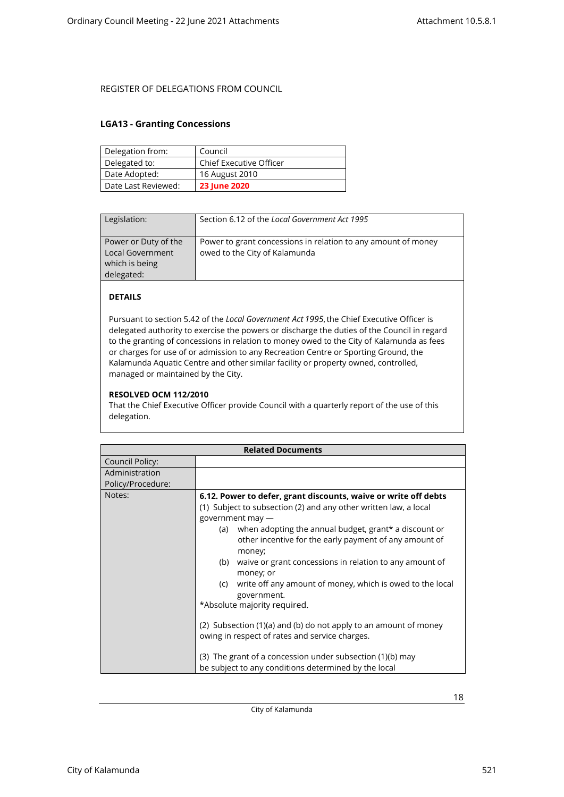### <span id="page-17-0"></span>**LGA13 - Granting Concessions**

| Delegation from:    | Council                 |
|---------------------|-------------------------|
| Delegated to:       | Chief Executive Officer |
| Date Adopted:       | 16 August 2010          |
| Date Last Reviewed: | <b>23 June 2020</b>     |

| Legislation:                                                                    | Section 6.12 of the Local Government Act 1995                                                  |
|---------------------------------------------------------------------------------|------------------------------------------------------------------------------------------------|
| Power or Duty of the<br><b>Local Government</b><br>which is being<br>delegated: | Power to grant concessions in relation to any amount of money<br>owed to the City of Kalamunda |

## **DETAILS**

Pursuant to section 5.42 of the *Local Government Act 1995*, the Chief Executive Officer is delegated authority to exercise the powers or discharge the duties of the Council in regard to the granting of concessions in relation to money owed to the City of Kalamunda as fees or charges for use of or admission to any Recreation Centre or Sporting Ground, the Kalamunda Aquatic Centre and other similar facility or property owned, controlled, managed or maintained by the City.

### **RESOLVED OCM 112/2010**

That the Chief Executive Officer provide Council with a quarterly report of the use of this delegation.

| <b>Related Documents</b> |                                                                                                                                                                                                                                                                                                                                                                                                                                                                                                                                                                                                                                                                                                                                          |
|--------------------------|------------------------------------------------------------------------------------------------------------------------------------------------------------------------------------------------------------------------------------------------------------------------------------------------------------------------------------------------------------------------------------------------------------------------------------------------------------------------------------------------------------------------------------------------------------------------------------------------------------------------------------------------------------------------------------------------------------------------------------------|
| Council Policy:          |                                                                                                                                                                                                                                                                                                                                                                                                                                                                                                                                                                                                                                                                                                                                          |
| Administration           |                                                                                                                                                                                                                                                                                                                                                                                                                                                                                                                                                                                                                                                                                                                                          |
| Policy/Procedure:        |                                                                                                                                                                                                                                                                                                                                                                                                                                                                                                                                                                                                                                                                                                                                          |
| Notes:                   | 6.12. Power to defer, grant discounts, waive or write off debts<br>(1) Subject to subsection (2) and any other written law, a local<br>government may -<br>when adopting the annual budget, grant* a discount or<br>(a)<br>other incentive for the early payment of any amount of<br>money;<br>waive or grant concessions in relation to any amount of<br>(b)<br>money; or<br>write off any amount of money, which is owed to the local<br>(c)<br>government.<br>*Absolute majority required.<br>(2) Subsection (1)(a) and (b) do not apply to an amount of money<br>owing in respect of rates and service charges.<br>(3) The grant of a concession under subsection (1)(b) may<br>be subject to any conditions determined by the local |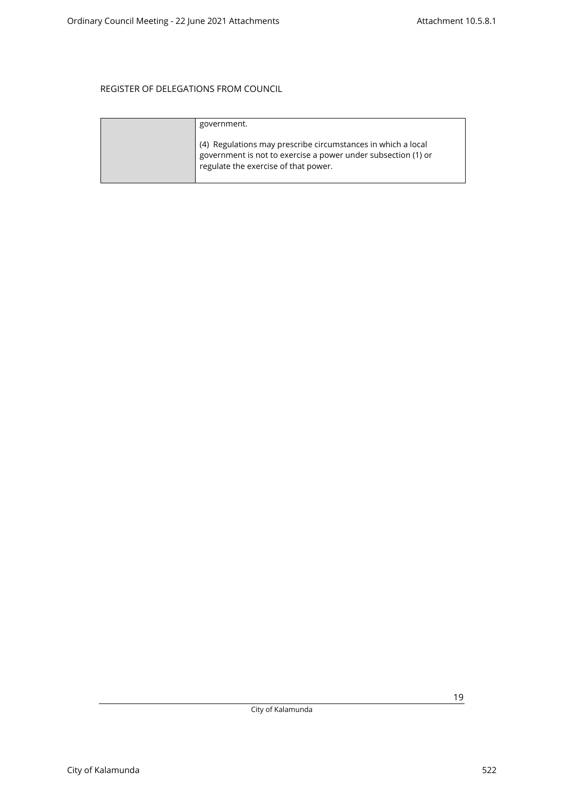| government.                                                                                                                                                           |
|-----------------------------------------------------------------------------------------------------------------------------------------------------------------------|
| (4) Regulations may prescribe circumstances in which a local<br>government is not to exercise a power under subsection (1) or<br>regulate the exercise of that power. |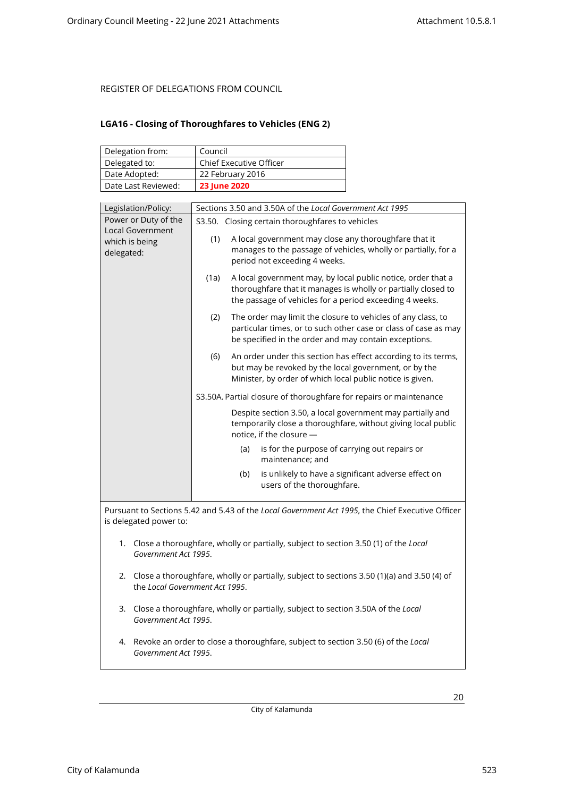## <span id="page-19-0"></span>**LGA16 - Closing of Thoroughfares to Vehicles (ENG 2)**

| Delegation from:    | Council                        |
|---------------------|--------------------------------|
| Delegated to:       | <b>Chief Executive Officer</b> |
| Date Adopted:       | 22 February 2016               |
| Date Last Reviewed: | <b>23 June 2020</b>            |

| Legislation/Policy:                                                                                                             | Sections 3.50 and 3.50A of the Local Government Act 1995                                                                                                                                         |  |
|---------------------------------------------------------------------------------------------------------------------------------|--------------------------------------------------------------------------------------------------------------------------------------------------------------------------------------------------|--|
| Power or Duty of the<br>S3.50. Closing certain thoroughfares to vehicles                                                        |                                                                                                                                                                                                  |  |
| <b>Local Government</b><br>which is being<br>delegated:                                                                         | A local government may close any thoroughfare that it<br>(1)<br>manages to the passage of vehicles, wholly or partially, for a<br>period not exceeding 4 weeks.                                  |  |
|                                                                                                                                 | A local government may, by local public notice, order that a<br>(1a)<br>thoroughfare that it manages is wholly or partially closed to<br>the passage of vehicles for a period exceeding 4 weeks. |  |
|                                                                                                                                 | The order may limit the closure to vehicles of any class, to<br>(2)<br>particular times, or to such other case or class of case as may<br>be specified in the order and may contain exceptions.  |  |
|                                                                                                                                 | (6)<br>An order under this section has effect according to its terms,<br>but may be revoked by the local government, or by the<br>Minister, by order of which local public notice is given.      |  |
|                                                                                                                                 | S3.50A. Partial closure of thoroughfare for repairs or maintenance                                                                                                                               |  |
|                                                                                                                                 | Despite section 3.50, a local government may partially and<br>temporarily close a thoroughfare, without giving local public<br>notice, if the closure -                                          |  |
|                                                                                                                                 | is for the purpose of carrying out repairs or<br>(a)<br>maintenance; and                                                                                                                         |  |
|                                                                                                                                 | is unlikely to have a significant adverse effect on<br>(b)<br>users of the thoroughfare.                                                                                                         |  |
|                                                                                                                                 | Pursuant to Sections 5.42 and 5.43 of the Local Government Act 1995, the Chief Executive Officer                                                                                                 |  |
| is delegated power to:                                                                                                          |                                                                                                                                                                                                  |  |
| 1. Close a thoroughfare, wholly or partially, subject to section 3.50 (1) of the Local<br>Government Act 1995.                  |                                                                                                                                                                                                  |  |
| 2. Close a thoroughfare, wholly or partially, subject to sections 3.50 (1)(a) and 3.50 (4) of<br>the Local Government Act 1995. |                                                                                                                                                                                                  |  |
| Government Act 1995.                                                                                                            | 3. Close a thoroughfare, wholly or partially, subject to section 3.50A of the Local                                                                                                              |  |
| 4.                                                                                                                              | Revoke an order to close a thoroughfare, subject to section 3.50 (6) of the Local<br>Government Act 1995.                                                                                        |  |

City of Kalamunda

City of Kalamunda 523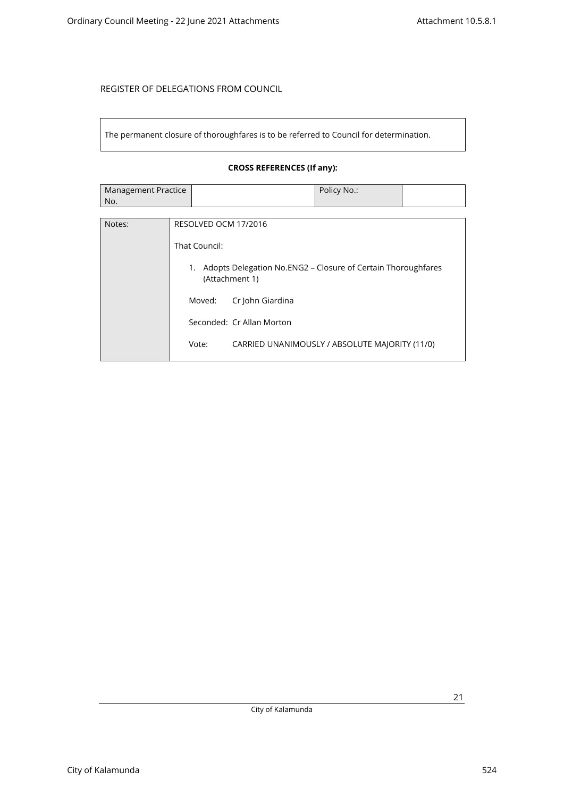The permanent closure of thoroughfares is to be referred to Council for determination.

### **CROSS REFERENCES (If any):**

| Management Practice | Policy No.: |  |
|---------------------|-------------|--|
| No.                 |             |  |

| Notes: | RESOLVED OCM 17/2016                                                                 |
|--------|--------------------------------------------------------------------------------------|
|        | That Council:                                                                        |
|        | Adopts Delegation No.ENG2 – Closure of Certain Thoroughfares<br>1.<br>(Attachment 1) |
|        | Cr John Giardina<br>Moved:                                                           |
|        | Seconded: Cr Allan Morton                                                            |
|        | Vote:<br>CARRIED UNANIMOUSLY / ABSOLUTE MAJORITY (11/0)                              |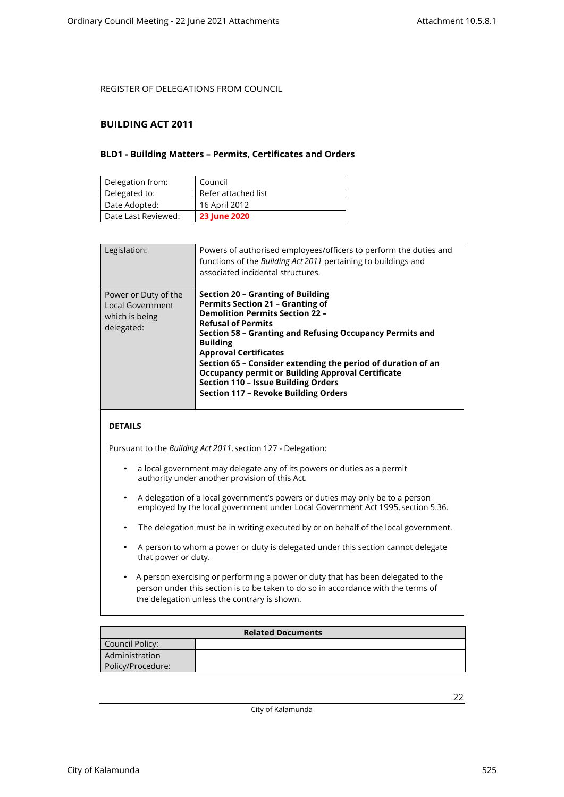### <span id="page-21-1"></span><span id="page-21-0"></span>**BUILDING ACT 2011**

### **BLD1 - Building Matters – Permits, Certificates and Orders**

| Delegation from:    | Council             |
|---------------------|---------------------|
| Delegated to:       | Refer attached list |
| Date Adopted:       | 16 April 2012       |
| Date Last Reviewed: | <b>23 June 2020</b> |

| Legislation:                                                             | Powers of authorised employees/officers to perform the duties and<br>functions of the Building Act 2011 pertaining to buildings and<br>associated incidental structures.                                                                                                                                                                                                                                                                                                                    |
|--------------------------------------------------------------------------|---------------------------------------------------------------------------------------------------------------------------------------------------------------------------------------------------------------------------------------------------------------------------------------------------------------------------------------------------------------------------------------------------------------------------------------------------------------------------------------------|
| Power or Duty of the<br>Local Government<br>which is being<br>delegated: | Section 20 - Granting of Building<br><b>Permits Section 21 - Granting of</b><br><b>Demolition Permits Section 22 -</b><br><b>Refusal of Permits</b><br>Section 58 - Granting and Refusing Occupancy Permits and<br><b>Building</b><br><b>Approval Certificates</b><br>Section 65 - Consider extending the period of duration of an<br><b>Occupancy permit or Building Approval Certificate</b><br><b>Section 110 - Issue Building Orders</b><br><b>Section 117 - Revoke Building Orders</b> |

### **DETAILS**

Pursuant to the *Building Act 2011*, section 127 - Delegation:

- a local government may delegate any of its powers or duties as a permit authority under another provision of this Act.
- A delegation of a local government's powers or duties may only be to a person employed by the local government under Local Government Act 1995, section 5.36.
- The delegation must be in writing executed by or on behalf of the local government.
- A person to whom a power or duty is delegated under this section cannot delegate that power or duty.
- A person exercising or performing a power or duty that has been delegated to the person under this section is to be taken to do so in accordance with the terms of the delegation unless the contrary is shown.

| <b>Related Documents</b> |  |  |
|--------------------------|--|--|
| Council Policy:          |  |  |
| Administration           |  |  |
| Policy/Procedure:        |  |  |

City of Kalamunda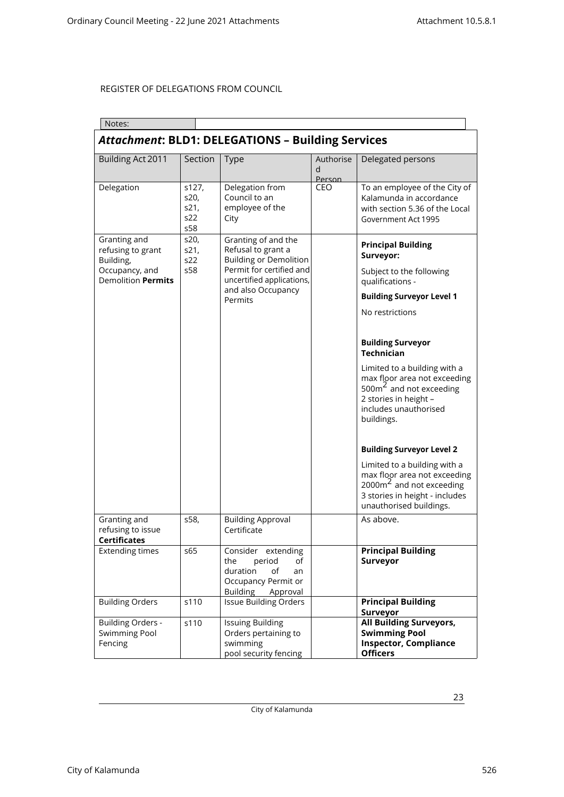| Notes:                                                                                        |                                     |                                                                                                                                                           |                          |                                                                                                                                                                    |  |
|-----------------------------------------------------------------------------------------------|-------------------------------------|-----------------------------------------------------------------------------------------------------------------------------------------------------------|--------------------------|--------------------------------------------------------------------------------------------------------------------------------------------------------------------|--|
| <b>Attachment: BLD1: DELEGATIONS - Building Services</b>                                      |                                     |                                                                                                                                                           |                          |                                                                                                                                                                    |  |
| Building Act 2011                                                                             | Section                             | <b>Type</b>                                                                                                                                               | Authorise<br>d<br>Person | Delegated persons                                                                                                                                                  |  |
| Delegation                                                                                    | s127,<br>s20,<br>s21,<br>s22<br>s58 | Delegation from<br>Council to an<br>employee of the<br>City                                                                                               | CEO                      | To an employee of the City of<br>Kalamunda in accordance<br>with section 5.36 of the Local<br>Government Act 1995                                                  |  |
| Granting and<br>refusing to grant<br>Building,<br>Occupancy, and<br><b>Demolition Permits</b> | s20,<br>s21,<br>s22<br>s58          | Granting of and the<br>Refusal to grant a<br><b>Building or Demolition</b><br>Permit for certified and<br>uncertified applications,<br>and also Occupancy |                          | <b>Principal Building</b><br>Surveyor:<br>Subject to the following<br>qualifications -                                                                             |  |
|                                                                                               |                                     | Permits                                                                                                                                                   |                          | <b>Building Surveyor Level 1</b>                                                                                                                                   |  |
|                                                                                               |                                     |                                                                                                                                                           |                          | No restrictions                                                                                                                                                    |  |
|                                                                                               |                                     |                                                                                                                                                           |                          | <b>Building Surveyor</b><br><b>Technician</b>                                                                                                                      |  |
|                                                                                               |                                     |                                                                                                                                                           |                          | Limited to a building with a<br>max floor area not exceeding<br>500 $\text{m}^2$ and not exceeding<br>2 stories in height -<br>includes unauthorised<br>buildings. |  |
|                                                                                               |                                     |                                                                                                                                                           |                          | <b>Building Surveyor Level 2</b>                                                                                                                                   |  |
|                                                                                               |                                     |                                                                                                                                                           |                          | Limited to a building with a<br>max floor area not exceeding<br>$2000 \text{m}^2$ and not exceeding<br>3 stories in height - includes<br>unauthorised buildings.   |  |
| Granting and<br>refusing to issue<br><b>Certificates</b>                                      | s58,                                | <b>Building Approval</b><br>Certificate                                                                                                                   |                          | As above.                                                                                                                                                          |  |
| <b>Extending times</b>                                                                        | s65                                 | Consider extending<br>the<br>period<br>of<br>duration<br>of<br>an<br>Occupancy Permit or<br><b>Building</b><br>Approval                                   |                          | <b>Principal Building</b><br>Surveyor                                                                                                                              |  |
| <b>Building Orders</b>                                                                        | s110                                | <b>Issue Building Orders</b>                                                                                                                              |                          | <b>Principal Building</b><br>Surveyor                                                                                                                              |  |
| <b>Building Orders -</b><br><b>Swimming Pool</b><br>Fencing                                   | s110                                | <b>Issuing Building</b><br>Orders pertaining to<br>swimming<br>pool security fencing                                                                      |                          | <b>All Building Surveyors,</b><br><b>Swimming Pool</b><br><b>Inspector, Compliance</b><br><b>Officers</b>                                                          |  |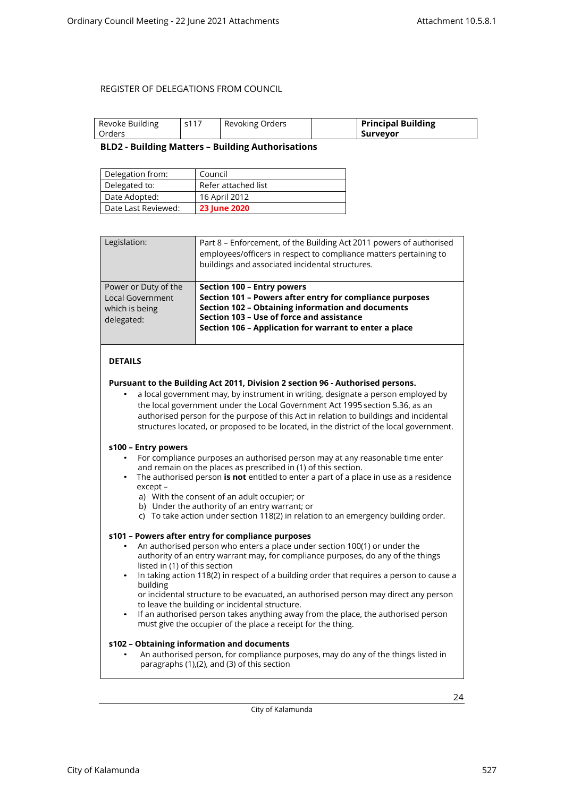<span id="page-23-0"></span>

| Revoke Building | s117 | Revoking Orders | <b>Principal Building</b> |
|-----------------|------|-----------------|---------------------------|
| Orders          |      |                 | . Surveyor                |

### **BLD2 - Building Matters – Building Authorisations**

| Delegation from:    | Council             |
|---------------------|---------------------|
| Delegated to:       | Refer attached list |
| Date Adopted:       | 16 April 2012       |
| Date Last Reviewed: | <b>23 June 2020</b> |

| Legislation:                                                                    | Part 8 – Enforcement, of the Building Act 2011 powers of authorised<br>employees/officers in respect to compliance matters pertaining to<br>buildings and associated incidental structures.                                                               |
|---------------------------------------------------------------------------------|-----------------------------------------------------------------------------------------------------------------------------------------------------------------------------------------------------------------------------------------------------------|
| Power or Duty of the<br><b>Local Government</b><br>which is being<br>delegated: | Section 100 - Entry powers<br>Section 101 - Powers after entry for compliance purposes<br><b>Section 102 - Obtaining information and documents</b><br>Section 103 - Use of force and assistance<br>Section 106 - Application for warrant to enter a place |

### **DETAILS**

#### **Pursuant to the Building Act 2011, Division 2 section 96 - Authorised persons.**

• a local government may, by instrument in writing, designate a person employed by the local government under the Local Government Act 1995 section 5.36, as an authorised person for the purpose of this Act in relation to buildings and incidental structures located, or proposed to be located, in the district of the local government.

#### **s100 – Entry powers**

- For compliance purposes an authorised person may at any reasonable time enter and remain on the places as prescribed in (1) of this section.
- The authorised person **is not** entitled to enter a part of a place in use as a residence except –
	- a) With the consent of an adult occupier; or
	- b) Under the authority of an entry warrant; or
	- c) To take action under section 118(2) in relation to an emergency building order.

### **s101 – Powers after entry for compliance purposes**

- An authorised person who enters a place under section 100(1) or under the authority of an entry warrant may, for compliance purposes, do any of the things listed in (1) of this section
- In taking action 118(2) in respect of a building order that requires a person to cause a building
	- or incidental structure to be evacuated, an authorised person may direct any person to leave the building or incidental structure.
- If an authorised person takes anything away from the place, the authorised person must give the occupier of the place a receipt for the thing.

#### **s102 – Obtaining information and documents**

• An authorised person, for compliance purposes, may do any of the things listed in paragraphs (1),(2), and (3) of this section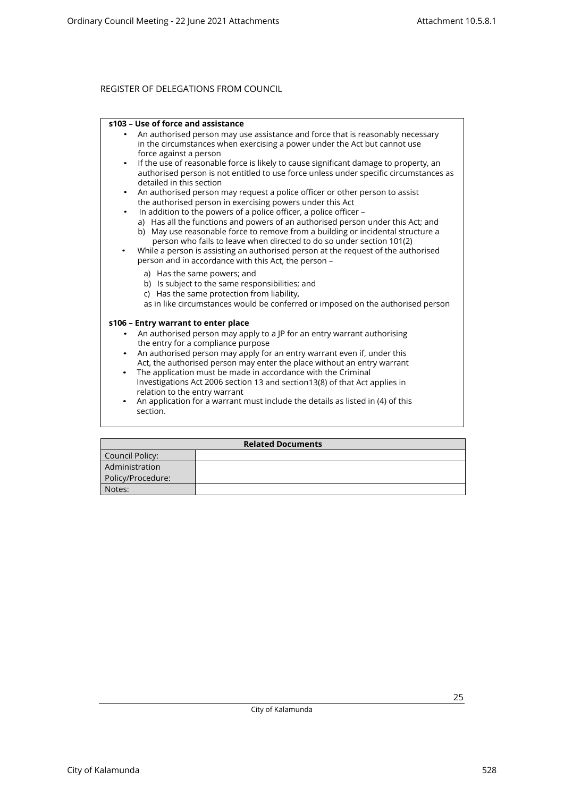#### **s103 – Use of force and assistance**

- An authorised person may use assistance and force that is reasonably necessary in the circumstances when exercising a power under the Act but cannot use force against a person
- If the use of reasonable force is likely to cause significant damage to property, an authorised person is not entitled to use force unless under specific circumstances as detailed in this section
- An authorised person may request a police officer or other person to assist the authorised person in exercising powers under this Act
	- In addition to the powers of a police officer, a police officer –
	- a) Has all the functions and powers of an authorised person under this Act; and b) May use reasonable force to remove from a building or incidental structure a
- person who fails to leave when directed to do so under section 101(2) • While a person is assisting an authorised person at the request of the authorised person and in accordance with this Act, the person –
	- a) Has the same powers; and
	- b) Is subject to the same responsibilities; and
	- c) Has the same protection from liability,
	- as in like circumstances would be conferred or imposed on the authorised person

#### **s106 – Entry warrant to enter place**

- An authorised person may apply to a JP for an entry warrant authorising the entry for a compliance purpose
- An authorised person may apply for an entry warrant even if, under this Act, the authorised person may enter the place without an entry warrant
- The application must be made in accordance with the Criminal Investigations Act 2006 section 13 and section13(8) of that Act applies in relation to the entry warrant
- An application for a warrant must include the details as listed in (4) of this section.

| <b>Related Documents</b> |  |  |  |
|--------------------------|--|--|--|
| Council Policy:          |  |  |  |
| Administration           |  |  |  |
| Policy/Procedure:        |  |  |  |
| Notes:                   |  |  |  |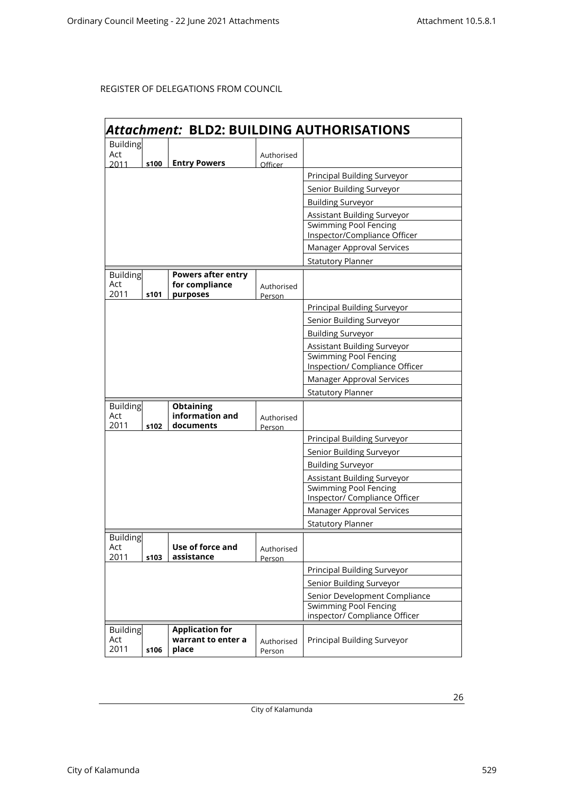|                        | Attachment: BLD2: BUILDING AUTHORISATIONS |                                                               |                      |                                                              |  |
|------------------------|-------------------------------------------|---------------------------------------------------------------|----------------------|--------------------------------------------------------------|--|
| <b>Building</b>        |                                           |                                                               |                      |                                                              |  |
| Act                    |                                           |                                                               | Authorised           |                                                              |  |
| 2011                   | s100                                      | <b>Entry Powers</b>                                           | Officer              |                                                              |  |
|                        |                                           |                                                               |                      | Principal Building Surveyor                                  |  |
|                        |                                           |                                                               |                      | Senior Building Surveyor                                     |  |
|                        |                                           |                                                               |                      | <b>Building Surveyor</b>                                     |  |
|                        |                                           |                                                               |                      | Assistant Building Surveyor                                  |  |
|                        |                                           |                                                               |                      | <b>Swimming Pool Fencing</b><br>Inspector/Compliance Officer |  |
|                        |                                           |                                                               |                      | Manager Approval Services                                    |  |
|                        |                                           |                                                               |                      |                                                              |  |
|                        |                                           |                                                               |                      | <b>Statutory Planner</b>                                     |  |
| <b>Building</b><br>Act |                                           | <b>Powers after entry</b><br>for compliance                   |                      |                                                              |  |
| 2011                   | s101                                      | purposes                                                      | Authorised<br>Person |                                                              |  |
|                        |                                           |                                                               |                      | Principal Building Surveyor                                  |  |
|                        |                                           |                                                               |                      | Senior Building Surveyor                                     |  |
|                        |                                           |                                                               |                      | <b>Building Surveyor</b>                                     |  |
|                        |                                           |                                                               |                      | Assistant Building Surveyor                                  |  |
|                        |                                           |                                                               |                      | <b>Swimming Pool Fencing</b>                                 |  |
|                        |                                           |                                                               |                      | Inspection/ Compliance Officer                               |  |
|                        |                                           |                                                               |                      | Manager Approval Services                                    |  |
|                        |                                           |                                                               |                      | <b>Statutory Planner</b>                                     |  |
| <b>Building</b>        |                                           | <b>Obtaining</b>                                              |                      |                                                              |  |
| Act<br>2011            | s102                                      | information and<br>documents                                  | Authorised           |                                                              |  |
|                        |                                           |                                                               | Person               | <b>Principal Building Surveyor</b>                           |  |
|                        |                                           |                                                               |                      | Senior Building Surveyor                                     |  |
|                        |                                           |                                                               |                      | <b>Building Surveyor</b>                                     |  |
|                        |                                           |                                                               |                      | Assistant Building Surveyor                                  |  |
|                        |                                           |                                                               |                      | <b>Swimming Pool Fencing</b>                                 |  |
|                        |                                           |                                                               |                      | Inspector/ Compliance Officer                                |  |
|                        |                                           |                                                               |                      | Manager Approval Services                                    |  |
|                        |                                           |                                                               |                      | <b>Statutory Planner</b>                                     |  |
| <b>Building</b>        |                                           |                                                               |                      |                                                              |  |
| Act                    |                                           | Use of force and                                              | Authorised           |                                                              |  |
| 2011                   | s103                                      | assistance                                                    | Person               |                                                              |  |
|                        |                                           |                                                               |                      | Principal Building Surveyor                                  |  |
|                        |                                           |                                                               |                      | Senior Building Surveyor                                     |  |
|                        |                                           | Senior Development Compliance                                 |                      |                                                              |  |
|                        |                                           | <b>Swimming Pool Fencing</b><br>inspector/ Compliance Officer |                      |                                                              |  |
| <b>Building</b>        |                                           | <b>Application for</b>                                        |                      |                                                              |  |
| Act                    |                                           | warrant to enter a                                            | Authorised           | Principal Building Surveyor                                  |  |
| 2011                   | s106                                      | place                                                         | Person               |                                                              |  |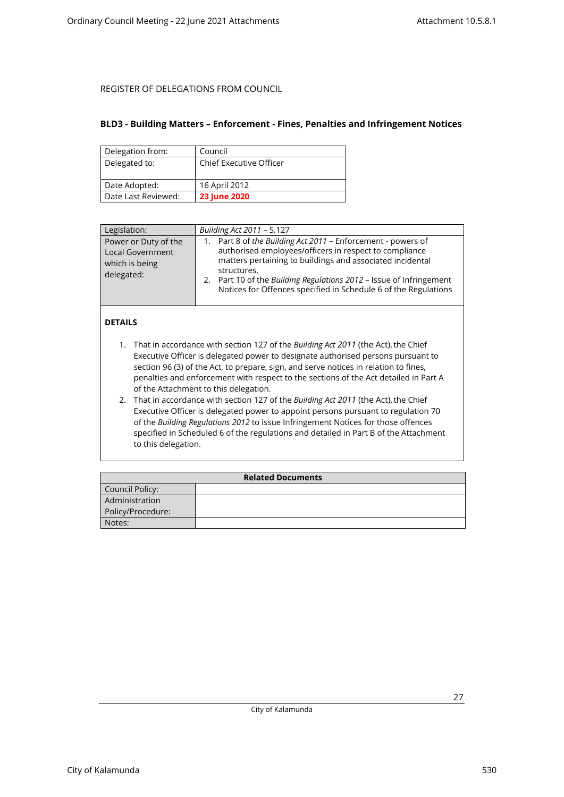### <span id="page-26-0"></span>**BLD3 - Building Matters – Enforcement - Fines, Penalties and Infringement Notices**

| Delegation from:    | Council                        |
|---------------------|--------------------------------|
| Delegated to:       | <b>Chief Executive Officer</b> |
|                     |                                |
| Date Adopted:       | 16 April 2012                  |
| Date Last Reviewed: | <b>23 June 2020</b>            |

| Legislation:                                                                    | Building Act 2011 - S.127                                                                                                                                                                                                                                                                                                                       |
|---------------------------------------------------------------------------------|-------------------------------------------------------------------------------------------------------------------------------------------------------------------------------------------------------------------------------------------------------------------------------------------------------------------------------------------------|
| Power or Duty of the<br><b>Local Government</b><br>which is being<br>delegated: | Part 8 of the Building Act 2011 - Enforcement - powers of<br>1.<br>authorised employees/officers in respect to compliance<br>matters pertaining to buildings and associated incidental<br>structures.<br>2. Part 10 of the Building Regulations 2012 - Issue of Infringement<br>Notices for Offences specified in Schedule 6 of the Regulations |

### **DETAILS**

- 1. That in accordance with section 127 of the *Building Act 2011* (the Act), the Chief Executive Officer is delegated power to designate authorised persons pursuant to section 96 (3) of the Act, to prepare, sign, and serve notices in relation to fines, penalties and enforcement with respect to the sections of the Act detailed in Part A of the Attachment to this delegation.
- 2. That in accordance with section 127 of the *Building Act 2011* (the Act), the Chief Executive Officer is delegated power to appoint persons pursuant to regulation 70 of the *Building Regulations 2012* to issue Infringement Notices for those offences specified in Scheduled 6 of the regulations and detailed in Part B of the Attachment to this delegation.

| <b>Related Documents</b> |  |  |
|--------------------------|--|--|
| Council Policy:          |  |  |
| Administration           |  |  |
| Policy/Procedure:        |  |  |
| Notes:                   |  |  |

City of Kalamunda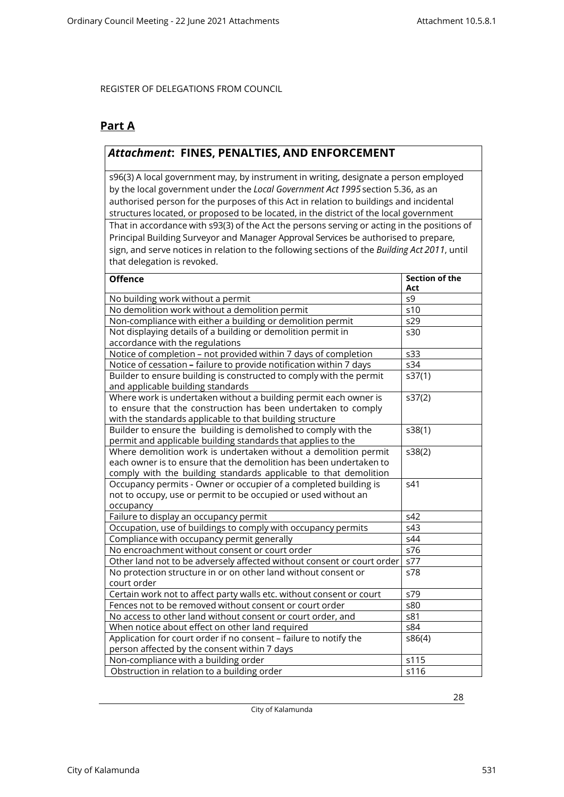## **Part A**

## *Attachment***: FINES, PENALTIES, AND ENFORCEMENT**

s96(3) A local government may, by instrument in writing, designate a person employed by the local government under the *Local Government Act 1995*section 5.36, as an authorised person for the purposes of this Act in relation to buildings and incidental structures located, or proposed to be located, in the district of the local government That in accordance with s93(3) of the Act the persons serving or acting in the positions of Principal Building Surveyor and Manager Approval Services be authorised to prepare, sign, and serve notices in relation to the following sections of the *Building Act 2011*, until that delegation is revoked.

| <b>Offence</b>                                                         | <b>Section of the</b><br>Act |
|------------------------------------------------------------------------|------------------------------|
| No building work without a permit                                      | s9                           |
| No demolition work without a demolition permit                         | s10                          |
| Non-compliance with either a building or demolition permit             | s29                          |
| Not displaying details of a building or demolition permit in           | s30                          |
| accordance with the regulations                                        |                              |
| Notice of completion - not provided within 7 days of completion        | s33                          |
| Notice of cessation - failure to provide notification within 7 days    | s34                          |
| Builder to ensure building is constructed to comply with the permit    | s37(1)                       |
| and applicable building standards                                      |                              |
| Where work is undertaken without a building permit each owner is       | s37(2)                       |
| to ensure that the construction has been undertaken to comply          |                              |
| with the standards applicable to that building structure               |                              |
| Builder to ensure the building is demolished to comply with the        | s38(1)                       |
| permit and applicable building standards that applies to the           |                              |
| Where demolition work is undertaken without a demolition permit        | s38(2)                       |
| each owner is to ensure that the demolition has been undertaken to     |                              |
| comply with the building standards applicable to that demolition       |                              |
| Occupancy permits - Owner or occupier of a completed building is       | s41                          |
| not to occupy, use or permit to be occupied or used without an         |                              |
| occupancy                                                              |                              |
| Failure to display an occupancy permit                                 | s42                          |
| Occupation, use of buildings to comply with occupancy permits          | s43                          |
| Compliance with occupancy permit generally                             | s44                          |
| No encroachment without consent or court order                         | s76                          |
| Other land not to be adversely affected without consent or court order | s77                          |
| No protection structure in or on other land without consent or         | s78                          |
| court order                                                            |                              |
| Certain work not to affect party walls etc. without consent or court   | s79                          |
| Fences not to be removed without consent or court order                | s80                          |
| No access to other land without consent or court order, and            | s81                          |
| When notice about effect on other land required                        | s84                          |
| Application for court order if no consent - failure to notify the      | s86(4)                       |
| person affected by the consent within 7 days                           |                              |
| Non-compliance with a building order                                   | s115                         |
| Obstruction in relation to a building order                            | s116                         |

City of Kalamunda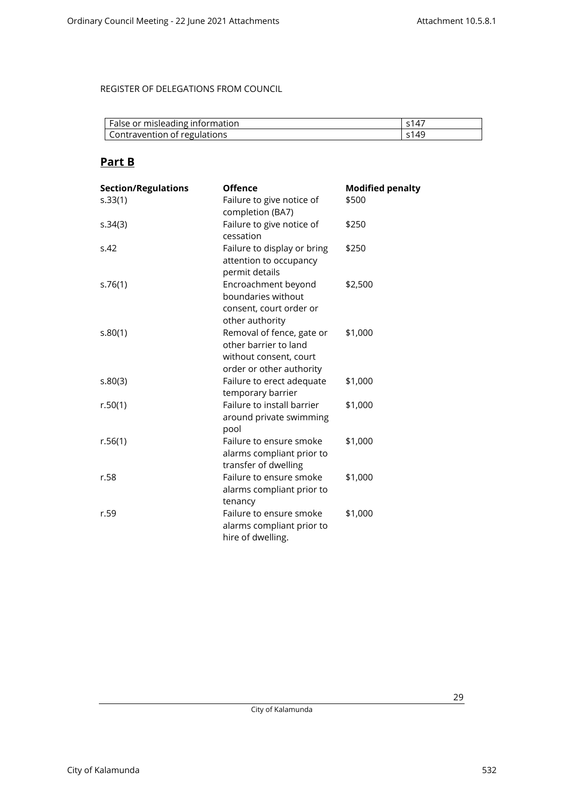| False or misleading information | S14.             |
|---------------------------------|------------------|
| Contravention of regulations    | 514 <sup>c</sup> |

## **Part B**

| <b>Section/Regulations</b> | <b>Offence</b>                                                                                           | <b>Modified penalty</b> |
|----------------------------|----------------------------------------------------------------------------------------------------------|-------------------------|
| s.33(1)                    | Failure to give notice of<br>completion (BA7)                                                            | \$500                   |
| s.34(3)                    | Failure to give notice of<br>cessation                                                                   | \$250                   |
| S.42                       | Failure to display or bring<br>attention to occupancy<br>permit details                                  | \$250                   |
| s.76(1)                    | Encroachment beyond<br>boundaries without<br>consent, court order or<br>other authority                  | \$2,500                 |
| s.80(1)                    | Removal of fence, gate or<br>other barrier to land<br>without consent, court<br>order or other authority | \$1,000                 |
| s.80(3)                    | Failure to erect adequate<br>temporary barrier                                                           | \$1,000                 |
| r.50(1)                    | Failure to install barrier<br>around private swimming<br>pool                                            | \$1,000                 |
| r.56(1)                    | Failure to ensure smoke<br>alarms compliant prior to<br>transfer of dwelling                             | \$1,000                 |
| r.58                       | Failure to ensure smoke<br>alarms compliant prior to<br>tenancy                                          | \$1,000                 |
| r.59                       | Failure to ensure smoke<br>alarms compliant prior to<br>hire of dwelling.                                | \$1,000                 |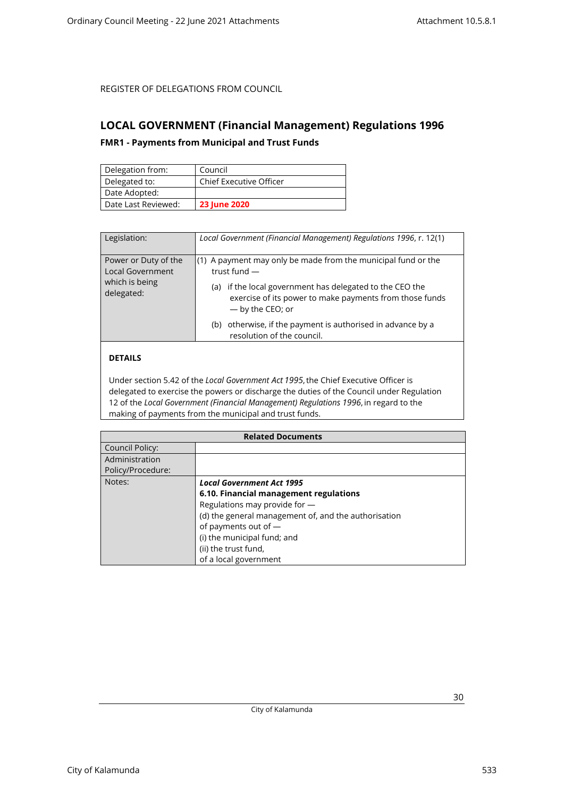## <span id="page-29-1"></span><span id="page-29-0"></span>**LOCAL GOVERNMENT (Financial Management) Regulations 1996**

### **FMR1 - Payments from Municipal and Trust Funds**

| Delegation from:    | Council                        |
|---------------------|--------------------------------|
| Delegated to:       | <b>Chief Executive Officer</b> |
| Date Adopted:       |                                |
| Date Last Reviewed: | <b>23 June 2020</b>            |

| Legislation:                                                                    | Local Government (Financial Management) Regulations 1996, r. 12(1)                                                                                                                                                              |
|---------------------------------------------------------------------------------|---------------------------------------------------------------------------------------------------------------------------------------------------------------------------------------------------------------------------------|
| Power or Duty of the<br><b>Local Government</b><br>which is being<br>delegated: | $(1)$ A payment may only be made from the municipal fund or the<br>trust fund $-$<br>if the local government has delegated to the CEO the<br>(a)<br>exercise of its power to make payments from those funds<br>- by the CEO; or |
|                                                                                 | otherwise, if the payment is authorised in advance by a<br>(b)<br>resolution of the council.                                                                                                                                    |

## **DETAILS**

Under section 5.42 of the *Local Government Act 1995*, the Chief Executive Officer is delegated to exercise the powers or discharge the duties of the Council under Regulation 12 of the *Local Government (Financial Management) Regulations 1996*, in regard to the making of payments from the municipal and trust funds.

| <b>Related Documents</b> |                                                      |
|--------------------------|------------------------------------------------------|
| Council Policy:          |                                                      |
| Administration           |                                                      |
| Policy/Procedure:        |                                                      |
| Notes:                   | <b>Local Government Act 1995</b>                     |
|                          | 6.10. Financial management regulations               |
|                          | Regulations may provide for -                        |
|                          | (d) the general management of, and the authorisation |
|                          | of payments out of -                                 |
|                          | (i) the municipal fund; and                          |
|                          | (ii) the trust fund,                                 |
|                          | of a local government                                |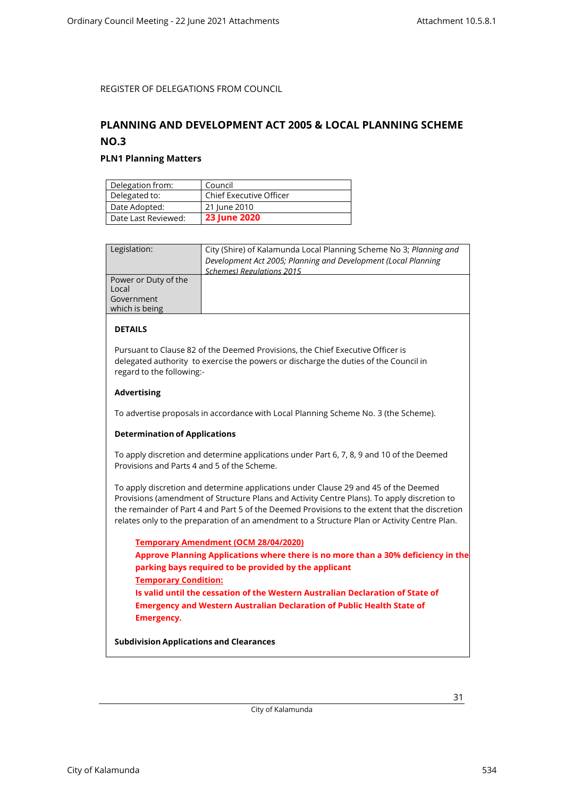## <span id="page-30-1"></span><span id="page-30-0"></span>**PLANNING AND DEVELOPMENT ACT 2005 & LOCAL PLANNING SCHEME NO.3**

### **PLN1 Planning Matters**

| Delegation from:    | Council                        |
|---------------------|--------------------------------|
| Delegated to:       | <b>Chief Executive Officer</b> |
| Date Adopted:       | 21 June 2010                   |
| Date Last Reviewed: | <b>23 June 2020</b>            |

| Legislation:         | City (Shire) of Kalamunda Local Planning Scheme No 3; Planning and |
|----------------------|--------------------------------------------------------------------|
|                      | Development Act 2005; Planning and Development (Local Planning     |
|                      | Schemes) Regulations 2015                                          |
| Power or Duty of the |                                                                    |
| Local                |                                                                    |
| Government           |                                                                    |
| which is being       |                                                                    |
|                      |                                                                    |

### **DETAILS**

Pursuant to Clause 82 of the Deemed Provisions, the Chief Executive Officer is delegated authority to exercise the powers or discharge the duties of the Council in regard to the following:-

#### **Advertising**

To advertise proposals in accordance with Local Planning Scheme No. 3 (the Scheme).

#### **Determination of Applications**

To apply discretion and determine applications under Part 6, 7, 8, 9 and 10 of the Deemed Provisions and Parts 4 and 5 of the Scheme.

To apply discretion and determine applications under Clause 29 and 45 of the Deemed Provisions (amendment of Structure Plans and Activity Centre Plans). To apply discretion to the remainder of Part 4 and Part 5 of the Deemed Provisions to the extent that the discretion relates only to the preparation of an amendment to a Structure Plan or Activity Centre Plan.

**Temporary Amendment (OCM 28/04/2020) Approve Planning Applications where there is no more than a 30% deficiency in the parking bays required to be provided by the applicant Temporary Condition: Is valid until the cessation of the Western Australian Declaration of State of Emergency and Western Australian Declaration of Public Health State of Emergency.**

**Subdivision Applications and Clearances**

City of Kalamunda 534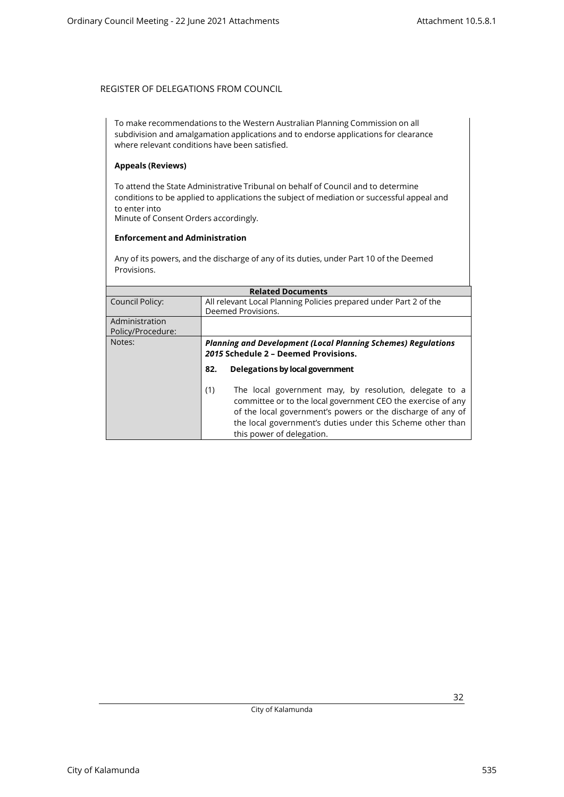To make recommendations to the Western Australian Planning Commission on all subdivision and amalgamation applications and to endorse applications for clearance where relevant conditions have been satisfied.

### **Appeals (Reviews)**

To attend the State Administrative Tribunal on behalf of Council and to determine conditions to be applied to applications the subject of mediation or successful appeal and to enter into Minute of Consent Orders accordingly.

#### **Enforcement and Administration**

Any of its powers, and the discharge of any of its duties, under Part 10 of the Deemed Provisions.

| <b>Related Documents</b>            |                                                                                                                                                                                                                                                                                         |  |
|-------------------------------------|-----------------------------------------------------------------------------------------------------------------------------------------------------------------------------------------------------------------------------------------------------------------------------------------|--|
| Council Policy:                     | All relevant Local Planning Policies prepared under Part 2 of the<br>Deemed Provisions.                                                                                                                                                                                                 |  |
| Administration<br>Policy/Procedure: |                                                                                                                                                                                                                                                                                         |  |
| Notes:                              | <b>Planning and Development (Local Planning Schemes) Regulations</b><br>2015 Schedule 2 - Deemed Provisions.                                                                                                                                                                            |  |
|                                     | Delegations by local government<br>82.                                                                                                                                                                                                                                                  |  |
|                                     | The local government may, by resolution, delegate to a<br>(1)<br>committee or to the local government CEO the exercise of any<br>of the local government's powers or the discharge of any of<br>the local government's duties under this Scheme other than<br>this power of delegation. |  |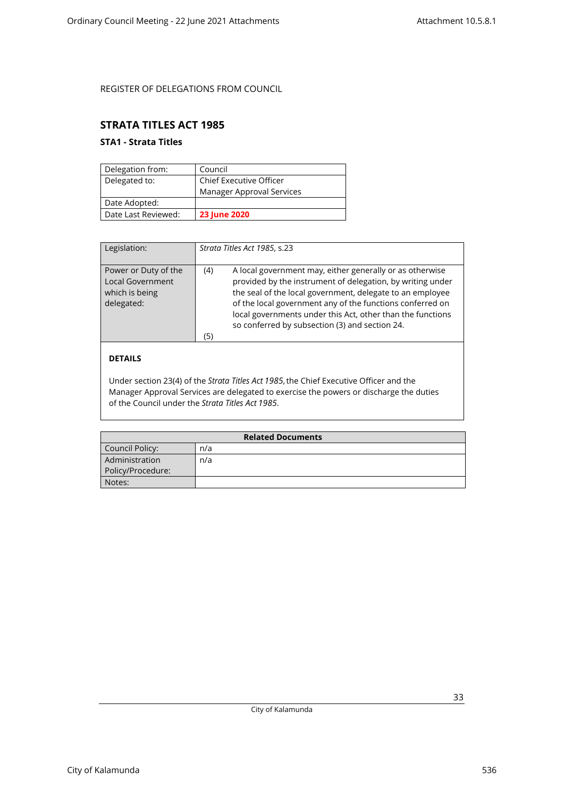## <span id="page-32-1"></span><span id="page-32-0"></span>**STRATA TITLES ACT 1985**

## **STA1 - Strata Titles**

| Delegation from:    | Council                        |
|---------------------|--------------------------------|
| Delegated to:       | <b>Chief Executive Officer</b> |
|                     | Manager Approval Services      |
| Date Adopted:       |                                |
| Date Last Reviewed: | <b>23 June 2020</b>            |

| Legislation:                                                                    | Strata Titles Act 1985, s.23                                                                                                                                                                                                                                                                                                                                                   |
|---------------------------------------------------------------------------------|--------------------------------------------------------------------------------------------------------------------------------------------------------------------------------------------------------------------------------------------------------------------------------------------------------------------------------------------------------------------------------|
| Power or Duty of the<br><b>Local Government</b><br>which is being<br>delegated: | A local government may, either generally or as otherwise<br>(4)<br>provided by the instrument of delegation, by writing under<br>the seal of the local government, delegate to an employee<br>of the local government any of the functions conferred on<br>local governments under this Act, other than the functions<br>so conferred by subsection (3) and section 24.<br>(5) |

## **DETAILS**

Under section 23(4) of the *Strata Titles Act 1985*, the Chief Executive Officer and the Manager Approval Services are delegated to exercise the powers or discharge the duties of the Council under the *Strata Titles Act 1985*.

| <b>Related Documents</b> |     |
|--------------------------|-----|
| Council Policy:          | n/a |
| Administration           | n/a |
| Policy/Procedure:        |     |
| Notes:                   |     |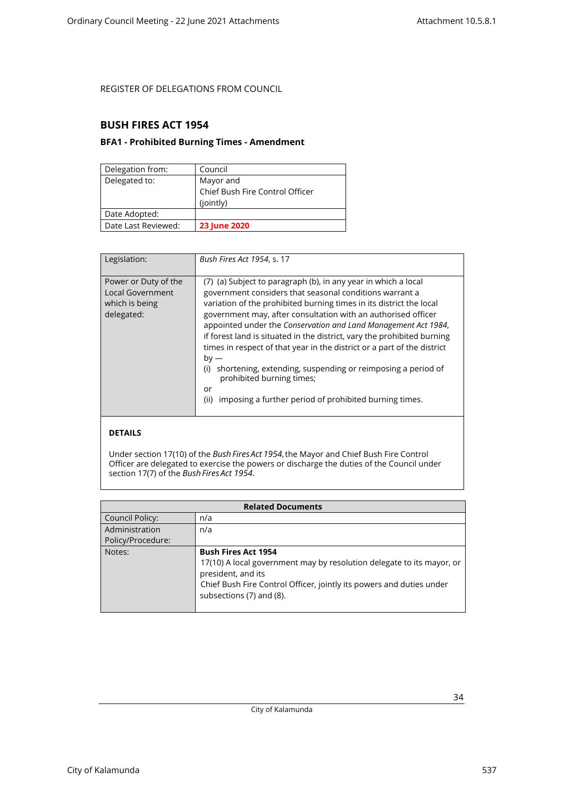## <span id="page-33-1"></span><span id="page-33-0"></span>**BUSH FIRES ACT 1954**

### **BFA1 - Prohibited Burning Times - Amendment**

| Delegation from:    | Council                         |
|---------------------|---------------------------------|
| Delegated to:       | Mayor and                       |
|                     | Chief Bush Fire Control Officer |
|                     | (jointly)                       |
| Date Adopted:       |                                 |
| Date Last Reviewed: | 23 June 2020                    |

| Legislation:                                                                    | Bush Fires Act 1954, s. 17                                                                                                                                                                                                                                                                                                                                                                                                                                                                                                                                                                                                                                                     |
|---------------------------------------------------------------------------------|--------------------------------------------------------------------------------------------------------------------------------------------------------------------------------------------------------------------------------------------------------------------------------------------------------------------------------------------------------------------------------------------------------------------------------------------------------------------------------------------------------------------------------------------------------------------------------------------------------------------------------------------------------------------------------|
| Power or Duty of the<br><b>Local Government</b><br>which is being<br>delegated: | (7) (a) Subject to paragraph (b), in any year in which a local<br>government considers that seasonal conditions warrant a<br>variation of the prohibited burning times in its district the local<br>government may, after consultation with an authorised officer<br>appointed under the Conservation and Land Management Act 1984,<br>if forest land is situated in the district, vary the prohibited burning<br>times in respect of that year in the district or a part of the district<br>$by -$<br>shortening, extending, suspending or reimposing a period of<br>(i)<br>prohibited burning times;<br>or<br>imposing a further period of prohibited burning times.<br>(ii) |

## **DETAILS**

Under section 17(10) of the *Bush Fires Act 1954*, the Mayor and Chief Bush Fire Control Officer are delegated to exercise the powers or discharge the duties of the Council under section 17(7) of the *Bush Fires Act 1954*.

| <b>Related Documents</b> |                                                                       |  |
|--------------------------|-----------------------------------------------------------------------|--|
| <b>Council Policy:</b>   | n/a                                                                   |  |
| Administration           | n/a                                                                   |  |
| Policy/Procedure:        |                                                                       |  |
| Notes:                   | <b>Bush Fires Act 1954</b>                                            |  |
|                          | 17(10) A local government may by resolution delegate to its mayor, or |  |
|                          | president, and its                                                    |  |
|                          | Chief Bush Fire Control Officer, jointly its powers and duties under  |  |
|                          | subsections (7) and (8).                                              |  |
|                          |                                                                       |  |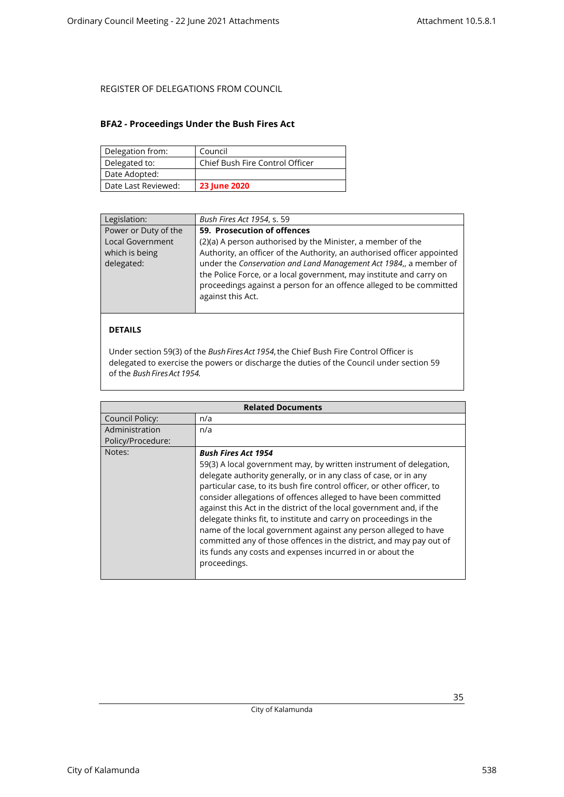### <span id="page-34-0"></span>**BFA2 - Proceedings Under the Bush Fires Act**

| Delegation from:    | Council                         |
|---------------------|---------------------------------|
| Delegated to:       | Chief Bush Fire Control Officer |
| Date Adopted:       |                                 |
| Date Last Reviewed: | <b>23 June 2020</b>             |

| Legislation:         | Bush Fires Act 1954, s. 59                                              |
|----------------------|-------------------------------------------------------------------------|
| Power or Duty of the | 59. Prosecution of offences                                             |
| Local Government     | (2)(a) A person authorised by the Minister, a member of the             |
| which is being       | Authority, an officer of the Authority, an authorised officer appointed |
| delegated:           | under the Conservation and Land Management Act 1984,, a member of       |
|                      | the Police Force, or a local government, may institute and carry on     |
|                      | proceedings against a person for an offence alleged to be committed     |
|                      | against this Act.                                                       |
|                      |                                                                         |
|                      |                                                                         |
| <b>DETAILS</b>       |                                                                         |

Under section 59(3) of the *Bush Fires Act 1954*, the Chief Bush Fire Control Officer is delegated to exercise the powers or discharge the duties of the Council under section 59 of the *Bush Fires Act 1954.*

|                   | <b>Related Documents</b>                                                                                                                                                                                                                                                                                                                                                                                                                                                                                                                                                                                                                                                               |
|-------------------|----------------------------------------------------------------------------------------------------------------------------------------------------------------------------------------------------------------------------------------------------------------------------------------------------------------------------------------------------------------------------------------------------------------------------------------------------------------------------------------------------------------------------------------------------------------------------------------------------------------------------------------------------------------------------------------|
| Council Policy:   | n/a                                                                                                                                                                                                                                                                                                                                                                                                                                                                                                                                                                                                                                                                                    |
| Administration    | n/a                                                                                                                                                                                                                                                                                                                                                                                                                                                                                                                                                                                                                                                                                    |
| Policy/Procedure: |                                                                                                                                                                                                                                                                                                                                                                                                                                                                                                                                                                                                                                                                                        |
| Notes:            | <b>Bush Fires Act 1954</b><br>59(3) A local government may, by written instrument of delegation,<br>delegate authority generally, or in any class of case, or in any<br>particular case, to its bush fire control officer, or other officer, to<br>consider allegations of offences alleged to have been committed<br>against this Act in the district of the local government and, if the<br>delegate thinks fit, to institute and carry on proceedings in the<br>name of the local government against any person alleged to have<br>committed any of those offences in the district, and may pay out of<br>its funds any costs and expenses incurred in or about the<br>proceedings. |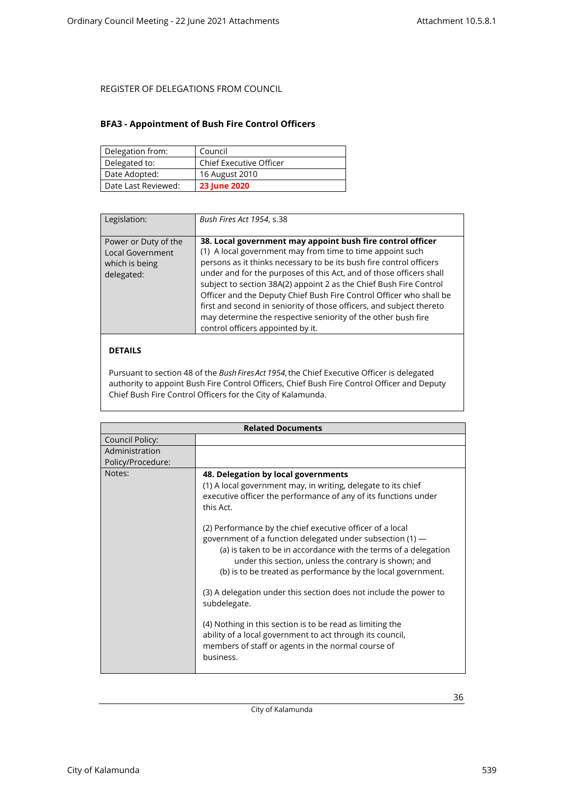### <span id="page-35-0"></span>**BFA3 - Appointment of Bush Fire Control Officers**

| Delegation from:    | Council                        |
|---------------------|--------------------------------|
| Delegated to:       | <b>Chief Executive Officer</b> |
| Date Adopted:       | 16 August 2010                 |
| Date Last Reviewed: | <b>23 June 2020</b>            |

| Legislation:                                                                    | Bush Fires Act 1954, s.38                                                                                                                                                                                                                                                                                                                                                                                                                                                                                                                                                                        |
|---------------------------------------------------------------------------------|--------------------------------------------------------------------------------------------------------------------------------------------------------------------------------------------------------------------------------------------------------------------------------------------------------------------------------------------------------------------------------------------------------------------------------------------------------------------------------------------------------------------------------------------------------------------------------------------------|
| Power or Duty of the<br><b>Local Government</b><br>which is being<br>delegated: | 38. Local government may appoint bush fire control officer<br>(1) A local government may from time to time appoint such<br>persons as it thinks necessary to be its bush fire control officers<br>under and for the purposes of this Act, and of those officers shall<br>subject to section 38A(2) appoint 2 as the Chief Bush Fire Control<br>Officer and the Deputy Chief Bush Fire Control Officer who shall be<br>first and second in seniority of those officers, and subject thereto<br>may determine the respective seniority of the other bush fire<br>control officers appointed by it. |

### **DETAILS**

Pursuant to section 48 of the *Bush Fires Act 1954*, the Chief Executive Officer is delegated authority to appoint Bush Fire Control Officers, Chief Bush Fire Control Officer and Deputy Chief Bush Fire Control Officers for the City of Kalamunda.

|                                     | <b>Related Documents</b>                                                                                                                                                                                                                                                                                                                                                                                                                                                                                                                                                                                                                                                                                                                                                                     |
|-------------------------------------|----------------------------------------------------------------------------------------------------------------------------------------------------------------------------------------------------------------------------------------------------------------------------------------------------------------------------------------------------------------------------------------------------------------------------------------------------------------------------------------------------------------------------------------------------------------------------------------------------------------------------------------------------------------------------------------------------------------------------------------------------------------------------------------------|
| Council Policy:                     |                                                                                                                                                                                                                                                                                                                                                                                                                                                                                                                                                                                                                                                                                                                                                                                              |
| Administration<br>Policy/Procedure: |                                                                                                                                                                                                                                                                                                                                                                                                                                                                                                                                                                                                                                                                                                                                                                                              |
| Notes:                              | 48. Delegation by local governments<br>(1) A local government may, in writing, delegate to its chief<br>executive officer the performance of any of its functions under<br>this Act.<br>(2) Performance by the chief executive officer of a local<br>government of a function delegated under subsection (1) -<br>(a) is taken to be in accordance with the terms of a delegation<br>under this section, unless the contrary is shown; and<br>(b) is to be treated as performance by the local government.<br>(3) A delegation under this section does not include the power to<br>subdelegate.<br>(4) Nothing in this section is to be read as limiting the<br>ability of a local government to act through its council,<br>members of staff or agents in the normal course of<br>business. |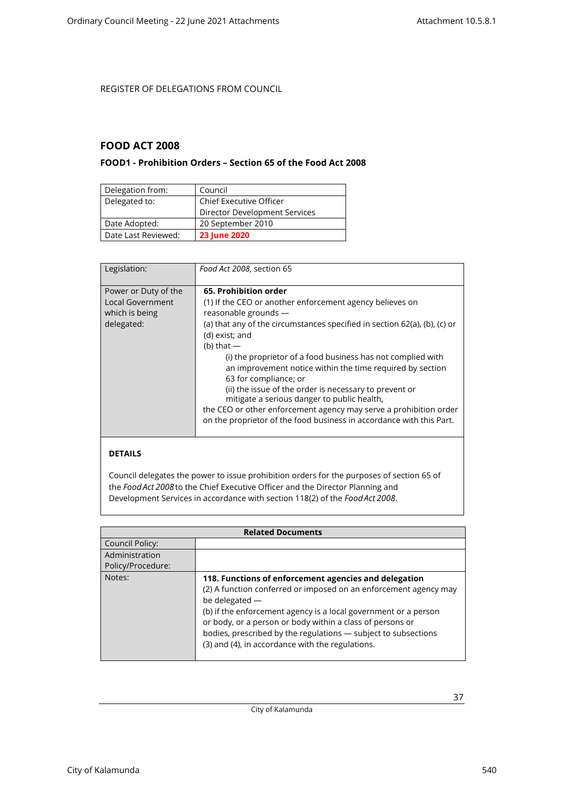## <span id="page-36-1"></span><span id="page-36-0"></span>**FOOD ACT 2008**

### **FOOD1 - Prohibition Orders – Section 65 of the Food Act 2008**

| Delegation from:    | Council                        |
|---------------------|--------------------------------|
| Delegated to:       | <b>Chief Executive Officer</b> |
|                     | Director Development Services  |
| Date Adopted:       | 20 September 2010              |
| Date Last Reviewed: | <b>23 June 2020</b>            |

| Legislation:                                                             | Food Act 2008, section 65                                                                                                                                                                                                                                                                                                                                                                                                                                                                                                                                                                                                              |
|--------------------------------------------------------------------------|----------------------------------------------------------------------------------------------------------------------------------------------------------------------------------------------------------------------------------------------------------------------------------------------------------------------------------------------------------------------------------------------------------------------------------------------------------------------------------------------------------------------------------------------------------------------------------------------------------------------------------------|
| Power or Duty of the<br>Local Government<br>which is being<br>delegated: | 65. Prohibition order<br>(1) If the CEO or another enforcement agency believes on<br>reasonable grounds -<br>(a) that any of the circumstances specified in section $62(a)$ , (b), (c) or<br>(d) exist; and<br>(b) that $-$<br>(i) the proprietor of a food business has not complied with<br>an improvement notice within the time required by section<br>63 for compliance; or<br>(ii) the issue of the order is necessary to prevent or<br>mitigate a serious danger to public health,<br>the CEO or other enforcement agency may serve a prohibition order<br>on the proprietor of the food business in accordance with this Part. |

### **DETAILS**

Council delegates the power to issue prohibition orders for the purposes of section 65 of the *Food Act 2008*to the Chief Executive Officer and the Director Planning and Development Services in accordance with section 118(2) of the *Food Act 2008*.

| <b>Related Documents</b> |                                                                                                                                                                                                                                                                                                                                                                                                   |
|--------------------------|---------------------------------------------------------------------------------------------------------------------------------------------------------------------------------------------------------------------------------------------------------------------------------------------------------------------------------------------------------------------------------------------------|
| Council Policy:          |                                                                                                                                                                                                                                                                                                                                                                                                   |
| Administration           |                                                                                                                                                                                                                                                                                                                                                                                                   |
| Policy/Procedure:        |                                                                                                                                                                                                                                                                                                                                                                                                   |
| Notes:                   | 118. Functions of enforcement agencies and delegation<br>(2) A function conferred or imposed on an enforcement agency may<br>be delegated -<br>(b) if the enforcement agency is a local government or a person<br>or body, or a person or body within a class of persons or<br>bodies, prescribed by the regulations - subject to subsections<br>(3) and (4), in accordance with the regulations. |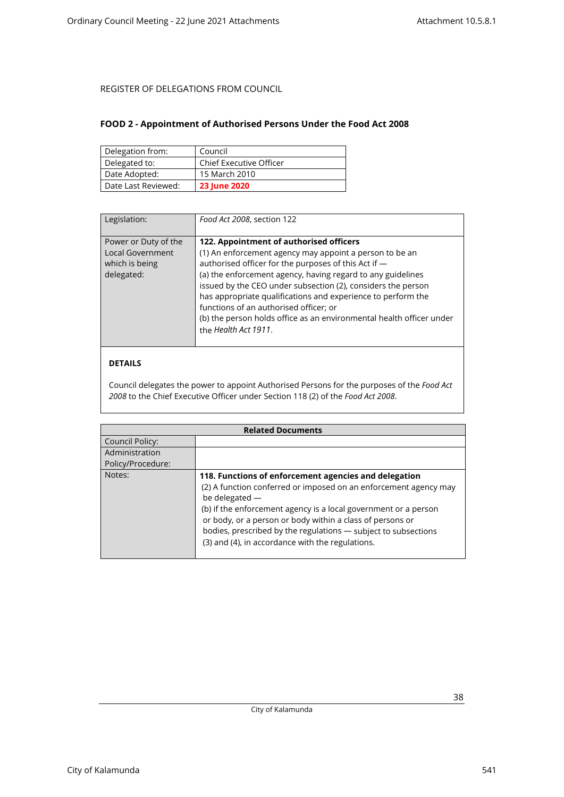### <span id="page-37-0"></span>**FOOD 2 - Appointment of Authorised Persons Under the Food Act 2008**

| Delegation from:    | Council                        |
|---------------------|--------------------------------|
| Delegated to:       | <b>Chief Executive Officer</b> |
| Date Adopted:       | 15 March 2010                  |
| Date Last Reviewed: | <b>23 June 2020</b>            |

| Legislation:                                                                    | Food Act 2008, section 122                                                                                                                                                                                                                                                                                                                                                                                                                                                                          |
|---------------------------------------------------------------------------------|-----------------------------------------------------------------------------------------------------------------------------------------------------------------------------------------------------------------------------------------------------------------------------------------------------------------------------------------------------------------------------------------------------------------------------------------------------------------------------------------------------|
| Power or Duty of the<br><b>Local Government</b><br>which is being<br>delegated: | 122. Appointment of authorised officers<br>(1) An enforcement agency may appoint a person to be an<br>authorised officer for the purposes of this Act if -<br>(a) the enforcement agency, having regard to any guidelines<br>issued by the CEO under subsection (2), considers the person<br>has appropriate qualifications and experience to perform the<br>functions of an authorised officer; or<br>(b) the person holds office as an environmental health officer under<br>the Health Act 1911. |

### **DETAILS**

Council delegates the power to appoint Authorised Persons for the purposes of the *Food Act 2008* to the Chief Executive Officer under Section 118 (2) of the *Food Act 2008*.

| <b>Related Documents</b> |                                                                                                                                                                                                                                                                                                                                                                                                   |  |
|--------------------------|---------------------------------------------------------------------------------------------------------------------------------------------------------------------------------------------------------------------------------------------------------------------------------------------------------------------------------------------------------------------------------------------------|--|
| Council Policy:          |                                                                                                                                                                                                                                                                                                                                                                                                   |  |
| Administration           |                                                                                                                                                                                                                                                                                                                                                                                                   |  |
| Policy/Procedure:        |                                                                                                                                                                                                                                                                                                                                                                                                   |  |
| Notes:                   | 118. Functions of enforcement agencies and delegation<br>(2) A function conferred or imposed on an enforcement agency may<br>be delegated -<br>(b) if the enforcement agency is a local government or a person<br>or body, or a person or body within a class of persons or<br>bodies, prescribed by the regulations - subject to subsections<br>(3) and (4), in accordance with the regulations. |  |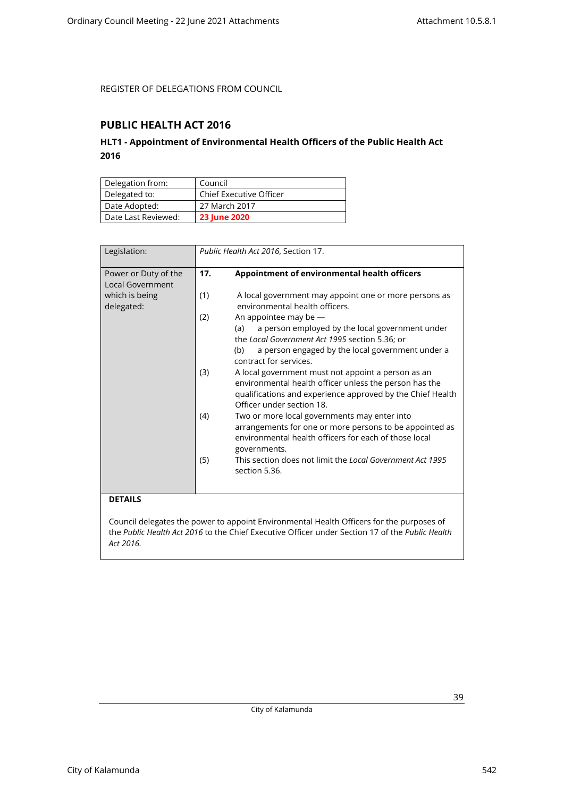## <span id="page-38-1"></span><span id="page-38-0"></span>**PUBLIC HEALTH ACT 2016**

## **HLT1 - Appointment of Environmental Health Officers of the Public Health Act 2016**

| Delegation from:    | Council                        |
|---------------------|--------------------------------|
| Delegated to:       | <b>Chief Executive Officer</b> |
| Date Adopted:       | 27 March 2017                  |
| Date Last Reviewed: | <b>23 June 2020</b>            |

| Legislation:                             |     | Public Health Act 2016, Section 17.                                                                                                                                                                                      |
|------------------------------------------|-----|--------------------------------------------------------------------------------------------------------------------------------------------------------------------------------------------------------------------------|
| Power or Duty of the<br>Local Government | 17. | Appointment of environmental health officers                                                                                                                                                                             |
| which is being<br>delegated:             | (1) | A local government may appoint one or more persons as<br>environmental health officers.                                                                                                                                  |
|                                          | (2) | An appointee may be $-$<br>a person employed by the local government under<br>(a)<br>the Local Government Act 1995 section 5.36; or<br>a person engaged by the local government under a<br>(b)<br>contract for services. |
|                                          | (3) | A local government must not appoint a person as an<br>environmental health officer unless the person has the<br>qualifications and experience approved by the Chief Health<br>Officer under section 18.                  |
|                                          | (4) | Two or more local governments may enter into<br>arrangements for one or more persons to be appointed as<br>environmental health officers for each of those local<br>governments.                                         |
|                                          | (5) | This section does not limit the Local Government Act 1995<br>section 5.36.                                                                                                                                               |

### **DETAILS**

Council delegates the power to appoint Environmental Health Officers for the purposes of the *Public Health Act 2016* to the Chief Executive Officer under Section 17 of the *Public Health Act 2016.*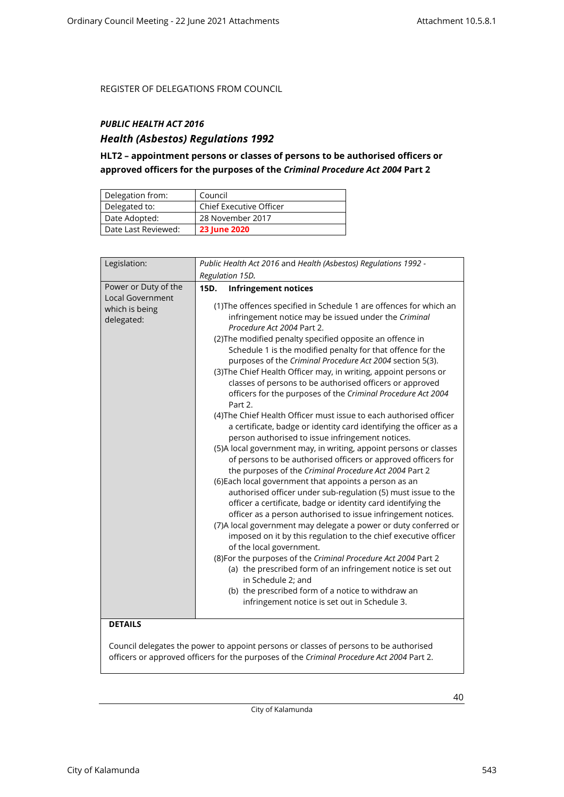## <span id="page-39-0"></span>*PUBLIC HEALTH ACT 2016*

## *Health (Asbestos) Regulations 1992*

## **HLT2 – appointment persons or classes of persons to be authorised officers or approved officers for the purposes of the** *Criminal Procedure Act 2004* **Part 2**

| Delegation from:    | Council                 |
|---------------------|-------------------------|
| Delegated to:       | Chief Executive Officer |
| Date Adopted:       | 28 November 2017        |
| Date Last Reviewed: | <b>23 June 2020</b>     |

| Legislation:                                                                               | Public Health Act 2016 and Health (Asbestos) Regulations 1992 -                                                                                                                                                                                                                                                                                                                                                                                                                                                                                                                                                                                                                                                                                                                                                                                                                                                                                                                                                                                                                                                                                                                                                                                                                                                                                                                                                                                                                                                                                                                                                                                                                                    |  |
|--------------------------------------------------------------------------------------------|----------------------------------------------------------------------------------------------------------------------------------------------------------------------------------------------------------------------------------------------------------------------------------------------------------------------------------------------------------------------------------------------------------------------------------------------------------------------------------------------------------------------------------------------------------------------------------------------------------------------------------------------------------------------------------------------------------------------------------------------------------------------------------------------------------------------------------------------------------------------------------------------------------------------------------------------------------------------------------------------------------------------------------------------------------------------------------------------------------------------------------------------------------------------------------------------------------------------------------------------------------------------------------------------------------------------------------------------------------------------------------------------------------------------------------------------------------------------------------------------------------------------------------------------------------------------------------------------------------------------------------------------------------------------------------------------------|--|
|                                                                                            | Regulation 15D.                                                                                                                                                                                                                                                                                                                                                                                                                                                                                                                                                                                                                                                                                                                                                                                                                                                                                                                                                                                                                                                                                                                                                                                                                                                                                                                                                                                                                                                                                                                                                                                                                                                                                    |  |
| Power or Duty of the<br>Local Government<br>which is being<br>delegated:<br><b>DETAILS</b> | 15D.<br><b>Infringement notices</b><br>(1) The offences specified in Schedule 1 are offences for which an<br>infringement notice may be issued under the Criminal<br>Procedure Act 2004 Part 2.<br>(2) The modified penalty specified opposite an offence in<br>Schedule 1 is the modified penalty for that offence for the<br>purposes of the Criminal Procedure Act 2004 section 5(3).<br>(3) The Chief Health Officer may, in writing, appoint persons or<br>classes of persons to be authorised officers or approved<br>officers for the purposes of the Criminal Procedure Act 2004<br>Part 2.<br>(4) The Chief Health Officer must issue to each authorised officer<br>a certificate, badge or identity card identifying the officer as a<br>person authorised to issue infringement notices.<br>(5)A local government may, in writing, appoint persons or classes<br>of persons to be authorised officers or approved officers for<br>the purposes of the Criminal Procedure Act 2004 Part 2<br>(6) Each local government that appoints a person as an<br>authorised officer under sub-regulation (5) must issue to the<br>officer a certificate, badge or identity card identifying the<br>officer as a person authorised to issue infringement notices.<br>(7) A local government may delegate a power or duty conferred or<br>imposed on it by this regulation to the chief executive officer<br>of the local government.<br>(8) For the purposes of the Criminal Procedure Act 2004 Part 2<br>(a) the prescribed form of an infringement notice is set out<br>in Schedule 2; and<br>(b) the prescribed form of a notice to withdraw an<br>infringement notice is set out in Schedule 3. |  |
|                                                                                            |                                                                                                                                                                                                                                                                                                                                                                                                                                                                                                                                                                                                                                                                                                                                                                                                                                                                                                                                                                                                                                                                                                                                                                                                                                                                                                                                                                                                                                                                                                                                                                                                                                                                                                    |  |

Council delegates the power to appoint persons or classes of persons to be authorised officers or approved officers for the purposes of the *Criminal Procedure Act 2004* Part 2.

City of Kalamunda

City of Kalamunda 543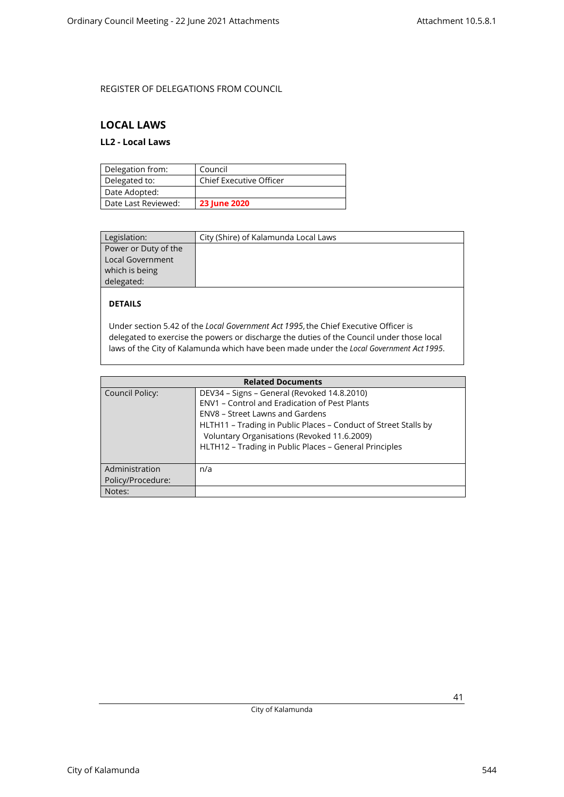## <span id="page-40-1"></span><span id="page-40-0"></span>**LOCAL LAWS**

## **LL2 - Local Laws**

| Delegation from:    | Council                        |
|---------------------|--------------------------------|
| Delegated to:       | <b>Chief Executive Officer</b> |
| Date Adopted:       |                                |
| Date Last Reviewed: | <b>23 June 2020</b>            |

| Legislation:         | City (Shire) of Kalamunda Local Laws |
|----------------------|--------------------------------------|
| Power or Duty of the |                                      |
| Local Government     |                                      |
| which is being       |                                      |
| delegated:           |                                      |

### **DETAILS**

Under section 5.42 of the *Local Government Act 1995*, the Chief Executive Officer is delegated to exercise the powers or discharge the duties of the Council under those local laws of the City of Kalamunda which have been made under the *Local Government Act 1995*.

| <b>Related Documents</b>            |                                                                                                                                                                                                                                                                                                             |  |
|-------------------------------------|-------------------------------------------------------------------------------------------------------------------------------------------------------------------------------------------------------------------------------------------------------------------------------------------------------------|--|
| Council Policy:                     | DEV34 - Signs - General (Revoked 14.8.2010)<br>ENV1 - Control and Eradication of Pest Plants<br>ENV8 – Street Lawns and Gardens<br>HLTH11 - Trading in Public Places - Conduct of Street Stalls by<br>Voluntary Organisations (Revoked 11.6.2009)<br>HLTH12 - Trading in Public Places - General Principles |  |
| Administration<br>Policy/Procedure: | n/a                                                                                                                                                                                                                                                                                                         |  |
| Notes:                              |                                                                                                                                                                                                                                                                                                             |  |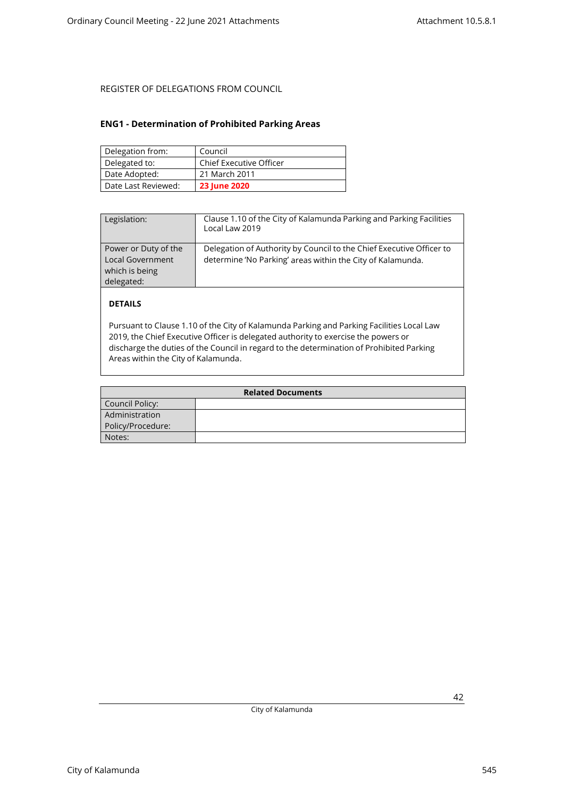### <span id="page-41-0"></span>**ENG1 - Determination of Prohibited Parking Areas**

| Delegation from:    | Council                 |
|---------------------|-------------------------|
| Delegated to:       | Chief Executive Officer |
| Date Adopted:       | 21 March 2011           |
| Date Last Reviewed: | <b>23 June 2020</b>     |

| Legislation:                                                                    | Clause 1.10 of the City of Kalamunda Parking and Parking Facilities<br>Local Law 2019                                              |
|---------------------------------------------------------------------------------|------------------------------------------------------------------------------------------------------------------------------------|
| Power or Duty of the<br><b>Local Government</b><br>which is being<br>delegated: | Delegation of Authority by Council to the Chief Executive Officer to<br>determine 'No Parking' areas within the City of Kalamunda. |

### **DETAILS**

Pursuant to Clause 1.10 of the City of Kalamunda Parking and Parking Facilities Local Law 2019, the Chief Executive Officer is delegated authority to exercise the powers or discharge the duties of the Council in regard to the determination of Prohibited Parking Areas within the City of Kalamunda.

| <b>Related Documents</b> |  |
|--------------------------|--|
| Council Policy:          |  |
| Administration           |  |
| Policy/Procedure:        |  |
| Notes:                   |  |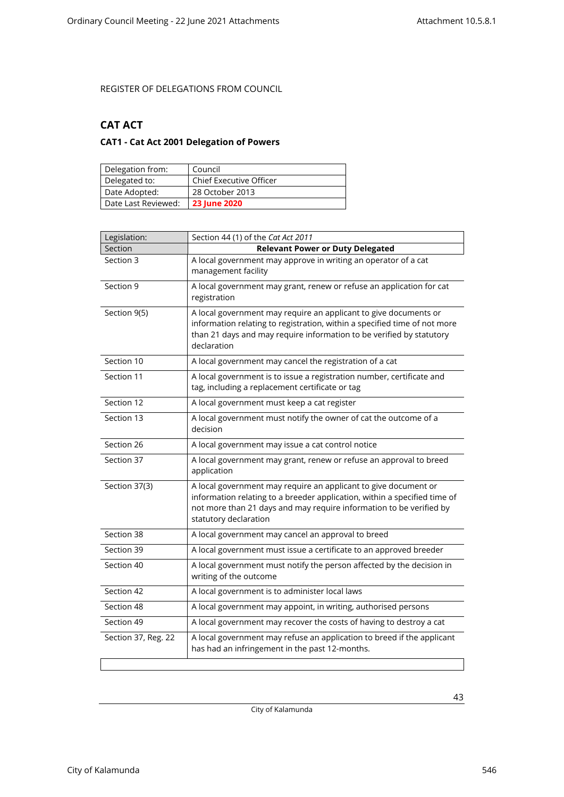## <span id="page-42-1"></span><span id="page-42-0"></span>**CAT ACT**

## **CAT1 - Cat Act 2001 Delegation of Powers**

| Delegation from:    | Council                        |
|---------------------|--------------------------------|
| Delegated to:       | <b>Chief Executive Officer</b> |
| Date Adopted:       | 28 October 2013                |
| Date Last Reviewed: | <b>23 June 2020</b>            |

| Legislation:        | Section 44 (1) of the Cat Act 2011                                                                                                                                                                                                           |
|---------------------|----------------------------------------------------------------------------------------------------------------------------------------------------------------------------------------------------------------------------------------------|
| Section             | <b>Relevant Power or Duty Delegated</b>                                                                                                                                                                                                      |
| Section 3           | A local government may approve in writing an operator of a cat<br>management facility                                                                                                                                                        |
| Section 9           | A local government may grant, renew or refuse an application for cat<br>registration                                                                                                                                                         |
| Section 9(5)        | A local government may require an applicant to give documents or<br>information relating to registration, within a specified time of not more<br>than 21 days and may require information to be verified by statutory<br>declaration         |
| Section 10          | A local government may cancel the registration of a cat                                                                                                                                                                                      |
| Section 11          | A local government is to issue a registration number, certificate and<br>tag, including a replacement certificate or tag                                                                                                                     |
| Section 12          | A local government must keep a cat register                                                                                                                                                                                                  |
| Section 13          | A local government must notify the owner of cat the outcome of a<br>decision                                                                                                                                                                 |
| Section 26          | A local government may issue a cat control notice                                                                                                                                                                                            |
| Section 37          | A local government may grant, renew or refuse an approval to breed<br>application                                                                                                                                                            |
| Section 37(3)       | A local government may require an applicant to give document or<br>information relating to a breeder application, within a specified time of<br>not more than 21 days and may require information to be verified by<br>statutory declaration |
| Section 38          | A local government may cancel an approval to breed                                                                                                                                                                                           |
| Section 39          | A local government must issue a certificate to an approved breeder                                                                                                                                                                           |
| Section 40          | A local government must notify the person affected by the decision in<br>writing of the outcome                                                                                                                                              |
| Section 42          | A local government is to administer local laws                                                                                                                                                                                               |
| Section 48          | A local government may appoint, in writing, authorised persons                                                                                                                                                                               |
| Section 49          | A local government may recover the costs of having to destroy a cat                                                                                                                                                                          |
| Section 37, Reg. 22 | A local government may refuse an application to breed if the applicant<br>has had an infringement in the past 12-months.                                                                                                                     |
|                     |                                                                                                                                                                                                                                              |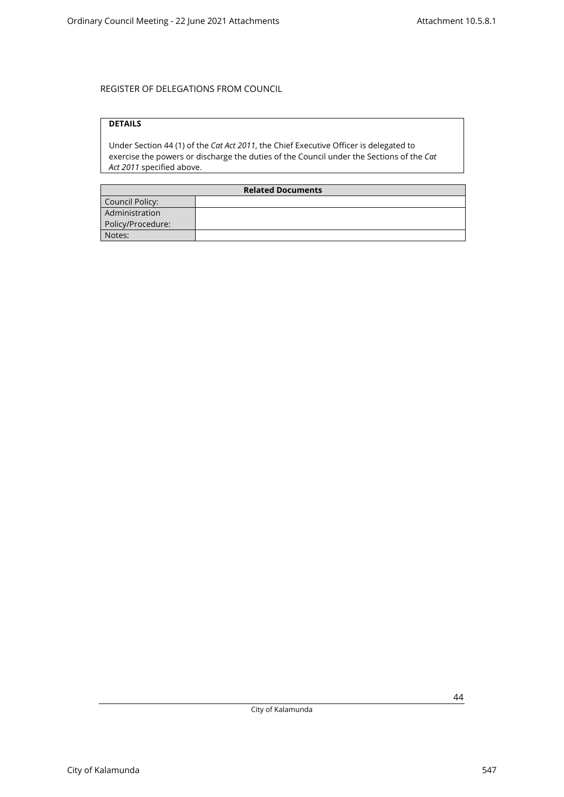## **DETAILS**

Under Section 44 (1) of the *Cat Act 2011*, the Chief Executive Officer is delegated to exercise the powers or discharge the duties of the Council under the Sections of the *Cat Act 2011* specified above.

| <b>Related Documents</b> |  |
|--------------------------|--|
| Council Policy:          |  |
| Administration           |  |
| Policy/Procedure:        |  |
| Notes:                   |  |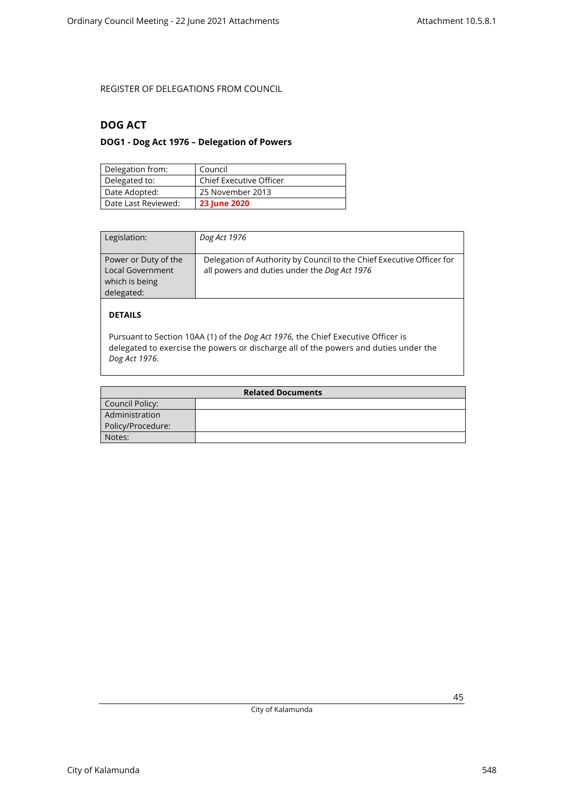## <span id="page-44-1"></span><span id="page-44-0"></span>**DOG ACT**

## **DOG1 - Dog Act 1976 – Delegation of Powers**

| Delegation from:    | Council                        |
|---------------------|--------------------------------|
| Delegated to:       | <b>Chief Executive Officer</b> |
| Date Adopted:       | 25 November 2013               |
| Date Last Reviewed: | <b>23 June 2020</b>            |

| Legislation:                                                             | Dog Act 1976                                                                                                          |
|--------------------------------------------------------------------------|-----------------------------------------------------------------------------------------------------------------------|
| Power or Duty of the<br>Local Government<br>which is being<br>delegated: | Delegation of Authority by Council to the Chief Executive Officer for<br>all powers and duties under the Dog Act 1976 |
| <b>DETAILS</b>                                                           |                                                                                                                       |

Pursuant to Section 10AA (1) of the *Dog Act 1976,* the Chief Executive Officer is delegated to exercise the powers or discharge all of the powers and duties under the *Dog Act 1976*.

| <b>Related Documents</b> |  |
|--------------------------|--|
| Council Policy:          |  |
| Administration           |  |
| Policy/Procedure:        |  |
| Notes:                   |  |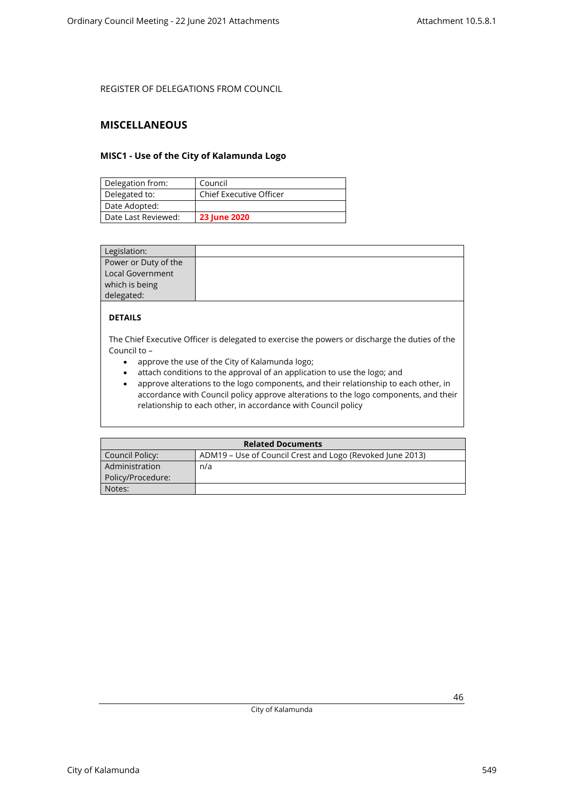### <span id="page-45-1"></span><span id="page-45-0"></span>**MISCELLANEOUS**

### **MISC1 - Use of the City of Kalamunda Logo**

| Delegation from:    | Council                        |
|---------------------|--------------------------------|
| Delegated to:       | <b>Chief Executive Officer</b> |
| Date Adopted:       |                                |
| Date Last Reviewed: | <b>23 June 2020</b>            |

| Legislation:         |  |
|----------------------|--|
| Power or Duty of the |  |
| Local Government     |  |
| which is being       |  |
| delegated:           |  |

### **DETAILS**

The Chief Executive Officer is delegated to exercise the powers or discharge the duties of the Council to –

- approve the use of the City of Kalamunda logo;
- attach conditions to the approval of an application to use the logo; and
- approve alterations to the logo components, and their relationship to each other, in accordance with Council policy approve alterations to the logo components, and their relationship to each other, in accordance with Council policy

| <b>Related Documents</b> |                                                           |  |
|--------------------------|-----------------------------------------------------------|--|
| Council Policy:          | ADM19 – Use of Council Crest and Logo (Revoked June 2013) |  |
| Administration           | n/a                                                       |  |
| Policy/Procedure:        |                                                           |  |
| Notes:                   |                                                           |  |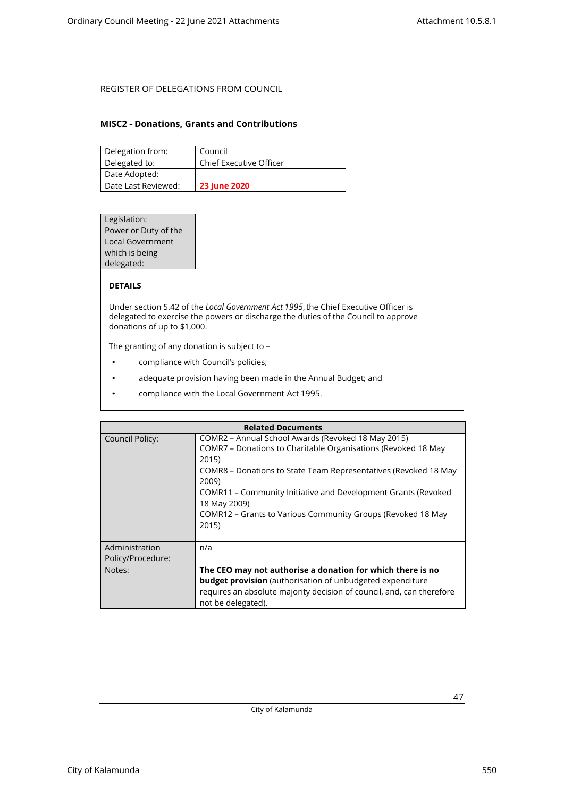### <span id="page-46-0"></span>**MISC2 - Donations, Grants and Contributions**

| Delegation from:    | Council                        |
|---------------------|--------------------------------|
| Delegated to:       | <b>Chief Executive Officer</b> |
| Date Adopted:       |                                |
| Date Last Reviewed: | <b>23 June 2020</b>            |

| Legislation:         |  |
|----------------------|--|
| Power or Duty of the |  |
| Local Government     |  |
| which is being       |  |
| delegated:           |  |
|                      |  |

## **DETAILS**

Under section 5.42 of the *Local Government Act 1995*, the Chief Executive Officer is delegated to exercise the powers or discharge the duties of the Council to approve donations of up to \$1,000.

The granting of any donation is subject to –

- compliance with Council's policies;
- adequate provision having been made in the Annual Budget; and
- compliance with the Local Government Act 1995.

| <b>Related Documents</b>            |                                                                                                                                                                                                                                                                                                                                                                   |  |
|-------------------------------------|-------------------------------------------------------------------------------------------------------------------------------------------------------------------------------------------------------------------------------------------------------------------------------------------------------------------------------------------------------------------|--|
| Council Policy:                     | COMR2 – Annual School Awards (Revoked 18 May 2015)<br>COMR7 – Donations to Charitable Organisations (Revoked 18 May<br>2015)<br>COMR8 – Donations to State Team Representatives (Revoked 18 May<br>2009)<br>COMR11 – Community Initiative and Development Grants (Revoked<br>18 May 2009)<br>COMR12 – Grants to Various Community Groups (Revoked 18 May<br>2015) |  |
| Administration<br>Policy/Procedure: | n/a                                                                                                                                                                                                                                                                                                                                                               |  |
| Notes:                              | The CEO may not authorise a donation for which there is no<br><b>budget provision</b> (authorisation of unbudgeted expenditure<br>requires an absolute majority decision of council, and, can therefore<br>not be delegated).                                                                                                                                     |  |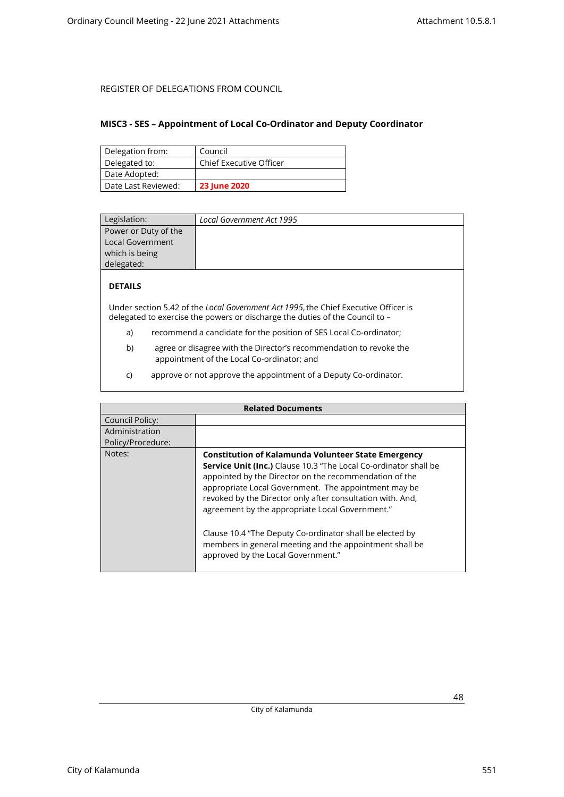### <span id="page-47-0"></span>**MISC3 - SES – Appointment of Local Co-Ordinator and Deputy Coordinator**

| Delegation from:    | Council                        |
|---------------------|--------------------------------|
| Delegated to:       | <b>Chief Executive Officer</b> |
| Date Adopted:       |                                |
| Date Last Reviewed: | <b>23 June 2020</b>            |

| Legislation:         | Local Government Act 1995 |
|----------------------|---------------------------|
| Power or Duty of the |                           |
| Local Government     |                           |
| which is being       |                           |
| delegated:           |                           |

### **DETAILS**

Under section 5.42 of the *Local Government Act 1995*, the Chief Executive Officer is delegated to exercise the powers or discharge the duties of the Council to –

- a) recommend a candidate for the position of SES Local Co-ordinator;
- b) agree or disagree with the Director's recommendation to revoke the appointment of the Local Co-ordinator; and
- c) approve or not approve the appointment of a Deputy Co-ordinator.

| <b>Related Documents</b> |                                                                                                                                                                                                                                                                                                                                                                                                                                                                                                                                       |
|--------------------------|---------------------------------------------------------------------------------------------------------------------------------------------------------------------------------------------------------------------------------------------------------------------------------------------------------------------------------------------------------------------------------------------------------------------------------------------------------------------------------------------------------------------------------------|
| Council Policy:          |                                                                                                                                                                                                                                                                                                                                                                                                                                                                                                                                       |
| Administration           |                                                                                                                                                                                                                                                                                                                                                                                                                                                                                                                                       |
| Policy/Procedure:        |                                                                                                                                                                                                                                                                                                                                                                                                                                                                                                                                       |
| Notes:                   | <b>Constitution of Kalamunda Volunteer State Emergency</b><br><b>Service Unit (Inc.)</b> Clause 10.3 "The Local Co-ordinator shall be<br>appointed by the Director on the recommendation of the<br>appropriate Local Government. The appointment may be<br>revoked by the Director only after consultation with. And,<br>agreement by the appropriate Local Government."<br>Clause 10.4 "The Deputy Co-ordinator shall be elected by<br>members in general meeting and the appointment shall be<br>approved by the Local Government." |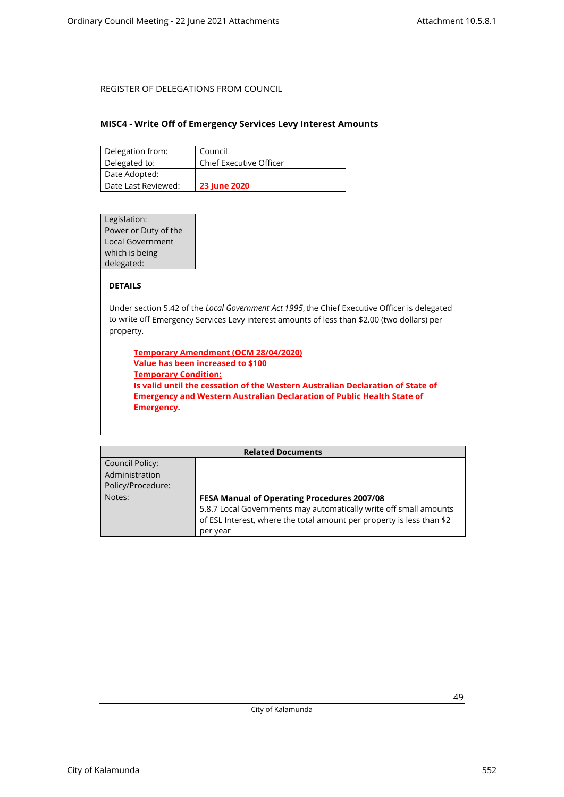### <span id="page-48-0"></span>**MISC4 - Write Off of Emergency Services Levy Interest Amounts**

| Delegation from:    | Council                        |
|---------------------|--------------------------------|
| Delegated to:       | <b>Chief Executive Officer</b> |
| Date Adopted:       |                                |
| Date Last Reviewed: | <b>23 June 2020</b>            |

| Legislation:         |                                                                                               |
|----------------------|-----------------------------------------------------------------------------------------------|
| Power or Duty of the |                                                                                               |
| Local Government     |                                                                                               |
| which is being       |                                                                                               |
| delegated:           |                                                                                               |
| <b>DETAILS</b>       |                                                                                               |
|                      | Under section 5.42 of the Local Government Act 1995, the Chief Executive Officer is delegated |

to write off Emergency Services Levy interest amounts of less than \$2.00 (two dollars) per property.

**Temporary Amendment (OCM 28/04/2020) Value has been increased to \$100 Temporary Condition: Is valid until the cessation of the Western Australian Declaration of State of Emergency and Western Australian Declaration of Public Health State of Emergency.**

| <b>Related Documents</b> |                                                                       |
|--------------------------|-----------------------------------------------------------------------|
| Council Policy:          |                                                                       |
| Administration           |                                                                       |
| Policy/Procedure:        |                                                                       |
| Notes:                   | <b>FESA Manual of Operating Procedures 2007/08</b>                    |
|                          | 5.8.7 Local Governments may automatically write off small amounts     |
|                          | of ESL Interest, where the total amount per property is less than \$2 |
|                          | per year                                                              |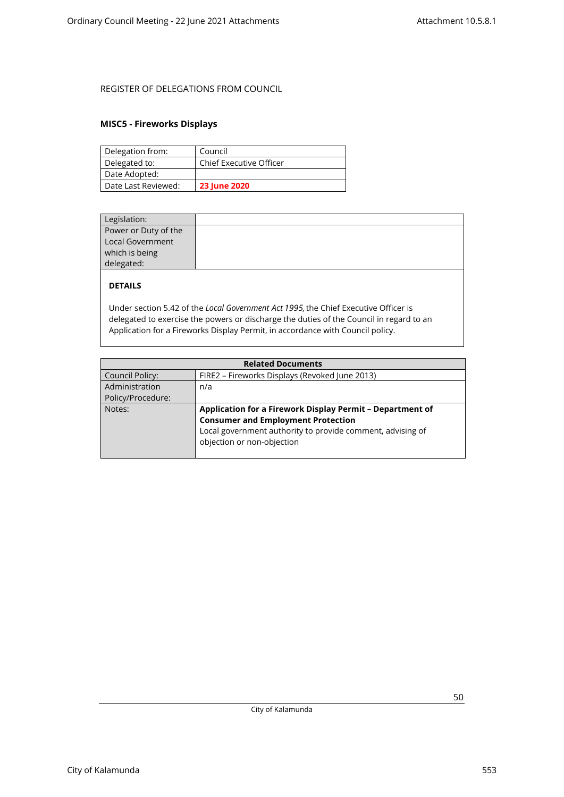### <span id="page-49-0"></span>**MISC5 - Fireworks Displays**

| Delegation from:    | Council                        |
|---------------------|--------------------------------|
| Delegated to:       | <b>Chief Executive Officer</b> |
| Date Adopted:       |                                |
| Date Last Reviewed: | <b>23 June 2020</b>            |

| Legislation:         |  |
|----------------------|--|
| Power or Duty of the |  |
| Local Government     |  |
| which is being       |  |
| delegated:           |  |
|                      |  |

## **DETAILS**

Under section 5.42 of the *Local Government Act 1995,* the Chief Executive Officer is delegated to exercise the powers or discharge the duties of the Council in regard to an Application for a Fireworks Display Permit, in accordance with Council policy.

| <b>Related Documents</b> |                                                            |
|--------------------------|------------------------------------------------------------|
| Council Policy:          | FIRE2 - Fireworks Displays (Revoked June 2013)             |
| Administration           | n/a                                                        |
| Policy/Procedure:        |                                                            |
| Notes:                   | Application for a Firework Display Permit - Department of  |
|                          | <b>Consumer and Employment Protection</b>                  |
|                          | Local government authority to provide comment, advising of |
|                          | objection or non-objection                                 |
|                          |                                                            |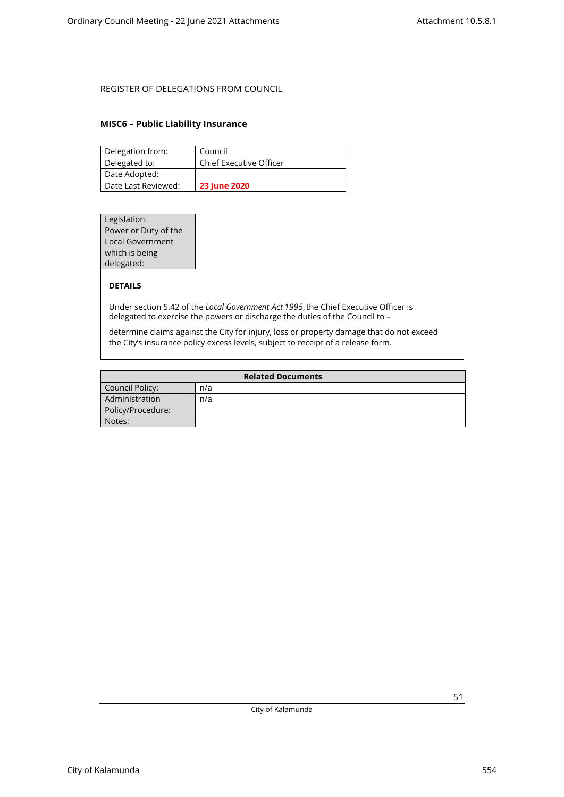### <span id="page-50-0"></span>**MISC6 – Public Liability Insurance**

| Delegation from:    | Council                        |
|---------------------|--------------------------------|
| Delegated to:       | <b>Chief Executive Officer</b> |
| Date Adopted:       |                                |
| Date Last Reviewed: | <b>23 June 2020</b>            |

| Legislation:            |  |
|-------------------------|--|
| Power or Duty of the    |  |
| <b>Local Government</b> |  |
| which is being          |  |
| delegated:              |  |

### **DETAILS**

Under section 5.42 of the *Local Government Act 1995*, the Chief Executive Officer is delegated to exercise the powers or discharge the duties of the Council to –

determine claims against the City for injury, loss or property damage that do not exceed the City's insurance policy excess levels, subject to receipt of a release form.

| <b>Related Documents</b> |     |
|--------------------------|-----|
| Council Policy:          | n/a |
| Administration           | n/a |
| Policy/Procedure:        |     |
| Notes:                   |     |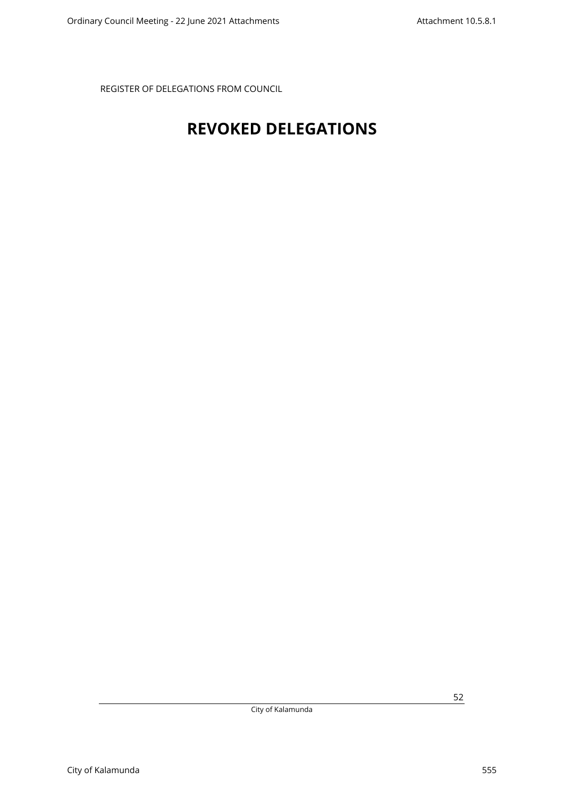# <span id="page-51-0"></span>**REVOKED DELEGATIONS**

City of Kalamunda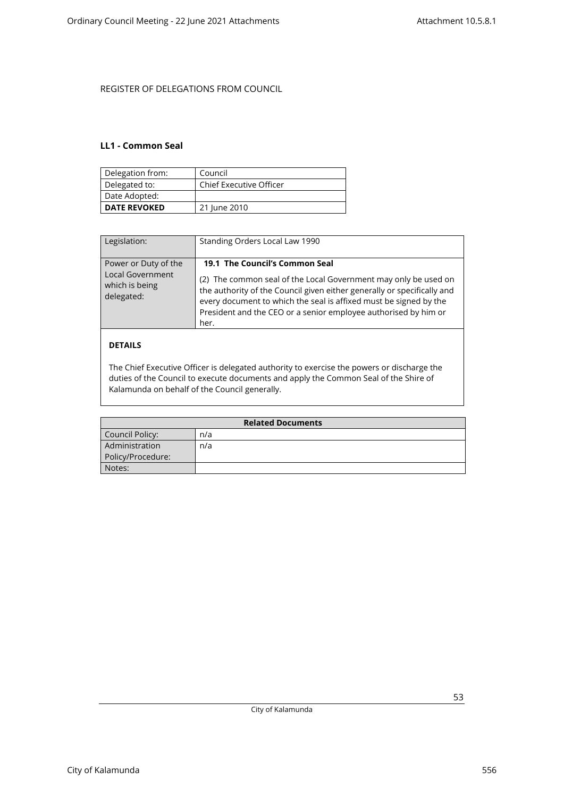### <span id="page-52-0"></span>**LL1 - Common Seal**

| Delegation from:    | Council                        |
|---------------------|--------------------------------|
| Delegated to:       | <b>Chief Executive Officer</b> |
| Date Adopted:       |                                |
| <b>DATE REVOKED</b> | 21 June 2010                   |

| Legislation:                                                             | Standing Orders Local Law 1990                                                                                                                                                                                                                                                                                               |
|--------------------------------------------------------------------------|------------------------------------------------------------------------------------------------------------------------------------------------------------------------------------------------------------------------------------------------------------------------------------------------------------------------------|
| Power or Duty of the<br>Local Government<br>which is being<br>delegated: | 19.1 The Council's Common Seal<br>(2) The common seal of the Local Government may only be used on<br>the authority of the Council given either generally or specifically and<br>every document to which the seal is affixed must be signed by the<br>President and the CEO or a senior employee authorised by him or<br>her. |
| DFTAILS                                                                  |                                                                                                                                                                                                                                                                                                                              |

### The Chief Executive Officer is delegated authority to exercise the powers or discharge the duties of the Council to execute documents and apply the Common Seal of the Shire of Kalamunda on behalf of the Council generally.

| <b>Related Documents</b> |     |
|--------------------------|-----|
| Council Policy:          | n/a |
| Administration           | n/a |
| Policy/Procedure:        |     |
| Notes:                   |     |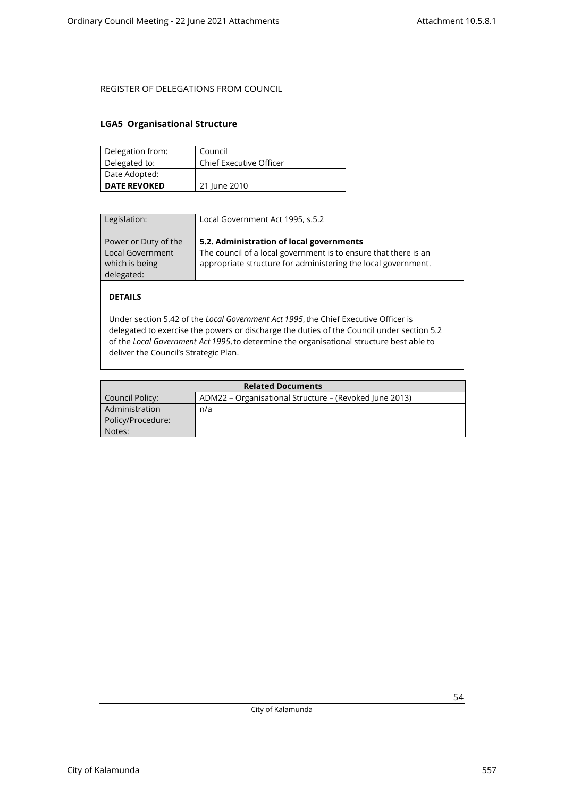### <span id="page-53-0"></span>**LGA5 Organisational Structure**

| Delegation from:    | Council                 |
|---------------------|-------------------------|
| Delegated to:       | Chief Executive Officer |
| Date Adopted:       |                         |
| <b>DATE REVOKED</b> | 21 June 2010            |

| Legislation:                                                                    | Local Government Act 1995, s.5.2                                                                                                                                             |
|---------------------------------------------------------------------------------|------------------------------------------------------------------------------------------------------------------------------------------------------------------------------|
| Power or Duty of the<br><b>Local Government</b><br>which is being<br>delegated: | 5.2. Administration of local governments<br>The council of a local government is to ensure that there is an<br>appropriate structure for administering the local government. |

## **DETAILS**

Under section 5.42 of the *Local Government Act 1995*, the Chief Executive Officer is delegated to exercise the powers or discharge the duties of the Council under section 5.2 of the *Local Government Act 1995*, to determine the organisational structure best able to deliver the Council's Strategic Plan.

| <b>Related Documents</b> |                                                        |
|--------------------------|--------------------------------------------------------|
| Council Policy:          | ADM22 – Organisational Structure – (Revoked June 2013) |
| Administration           | n/a                                                    |
| Policy/Procedure:        |                                                        |
| Notes:                   |                                                        |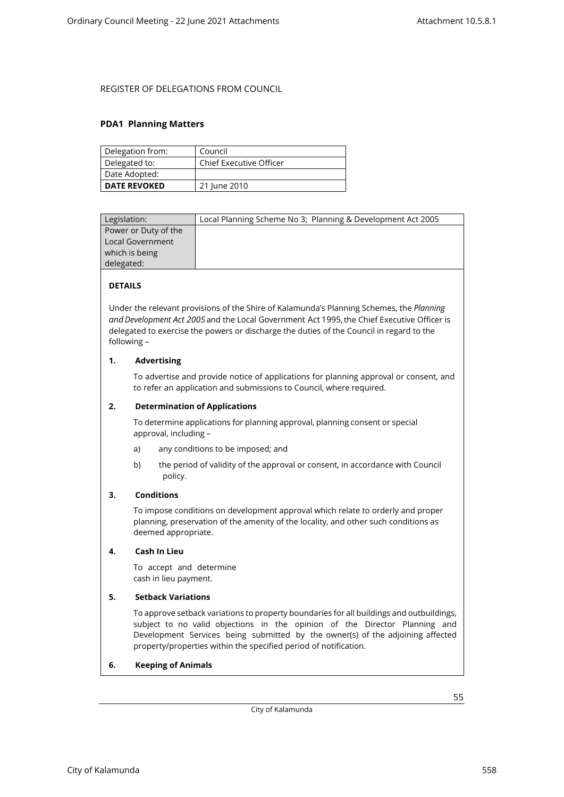### <span id="page-54-0"></span>**PDA1 Planning Matters**

| Delegation from:    | Council                        |
|---------------------|--------------------------------|
| Delegated to:       | <b>Chief Executive Officer</b> |
| Date Adopted:       |                                |
| <b>DATE REVOKED</b> | 21 June 2010                   |

| Legislation:         | Local Planning Scheme No 3; Planning & Development Act 2005 |
|----------------------|-------------------------------------------------------------|
| Power or Duty of the |                                                             |
| Local Government     |                                                             |
| which is being       |                                                             |
| delegated:           |                                                             |
|                      |                                                             |

### **DETAILS**

Under the relevant provisions of the Shire of Kalamunda's Planning Schemes, the *Planning and Development Act 2005*and the Local Government Act 1995, the Chief Executive Officer is delegated to exercise the powers or discharge the duties of the Council in regard to the following –

### **1. Advertising**

To advertise and provide notice of applications for planning approval or consent, and to refer an application and submissions to Council, where required.

### **2. Determination of Applications**

To determine applications for planning approval, planning consent or special approval, including –

- a) any conditions to be imposed; and
- b) the period of validity of the approval or consent, in accordance with Council policy.

### **3. Conditions**

To impose conditions on development approval which relate to orderly and proper planning, preservation of the amenity of the locality, and other such conditions as deemed appropriate.

### **4. Cash In Lieu**

To accept and determine cash in lieu payment.

### **5. Setback Variations**

To approve setback variations to property boundaries for all buildings and outbuildings, subject to no valid objections in the opinion of the Director Planning and Development Services being submitted by the owner(s) of the adjoining affected property/properties within the specified period of notification.

### **6. Keeping of Animals**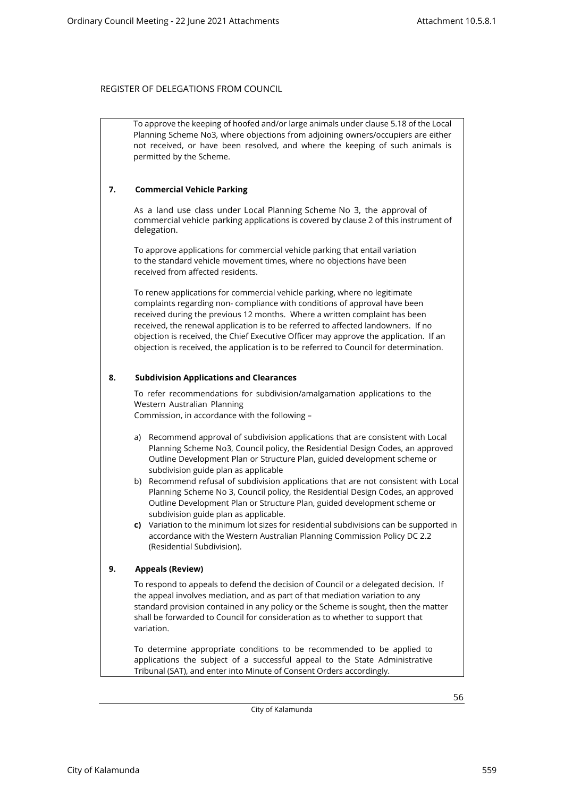To approve the keeping of hoofed and/or large animals under clause 5.18 of the Local Planning Scheme No3, where objections from adjoining owners/occupiers are either not received, or have been resolved, and where the keeping of such animals is permitted by the Scheme.

### **7. Commercial Vehicle Parking**

As a land use class under Local Planning Scheme No 3, the approval of commercial vehicle parking applications is covered by clause 2 of this instrument of delegation.

To approve applications for commercial vehicle parking that entail variation to the standard vehicle movement times, where no objections have been received from affected residents.

To renew applications for commercial vehicle parking, where no legitimate complaints regarding non- compliance with conditions of approval have been received during the previous 12 months. Where a written complaint has been received, the renewal application is to be referred to affected landowners. If no objection is received, the Chief Executive Officer may approve the application. If an objection is received, the application is to be referred to Council for determination.

### **8. Subdivision Applications and Clearances**

To refer recommendations for subdivision/amalgamation applications to the Western Australian Planning

Commission, in accordance with the following –

- a) Recommend approval of subdivision applications that are consistent with Local Planning Scheme No3, Council policy, the Residential Design Codes, an approved Outline Development Plan or Structure Plan, guided development scheme or subdivision guide plan as applicable
- b) Recommend refusal of subdivision applications that are not consistent with Local Planning Scheme No 3, Council policy, the Residential Design Codes, an approved Outline Development Plan or Structure Plan, guided development scheme or subdivision guide plan as applicable.
- **c)** Variation to the minimum lot sizes for residential subdivisions can be supported in accordance with the Western Australian Planning Commission Policy DC 2.2 (Residential Subdivision).

### **9. Appeals (Review)**

To respond to appeals to defend the decision of Council or a delegated decision. If the appeal involves mediation, and as part of that mediation variation to any standard provision contained in any policy or the Scheme is sought, then the matter shall be forwarded to Council for consideration as to whether to support that variation.

To determine appropriate conditions to be recommended to be applied to applications the subject of a successful appeal to the State Administrative Tribunal (SAT), and enter into Minute of Consent Orders accordingly.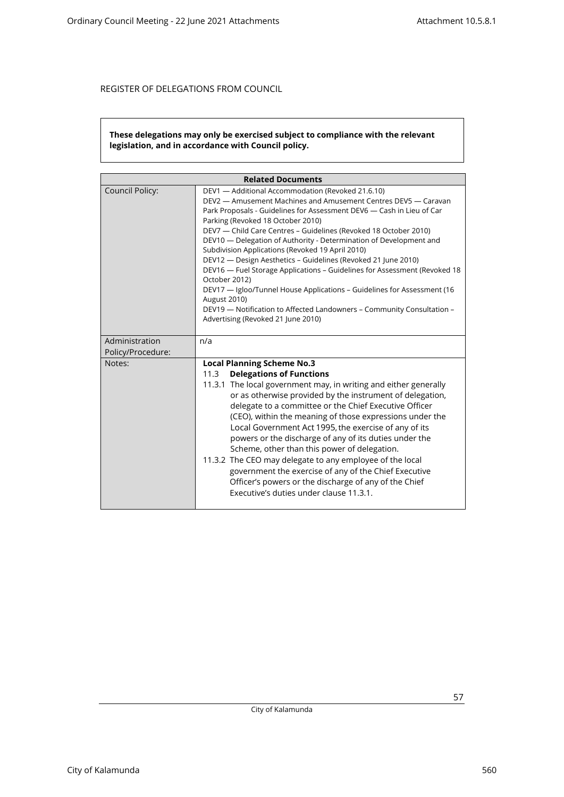### **These delegations may only be exercised subject to compliance with the relevant legislation, and in accordance with Council policy.**

| <b>Related Documents</b>            |                                                                                                                                                                                                                                                                                                                                                                                                                                                                                                                                                                                                                                                                                                                                                                                                           |  |
|-------------------------------------|-----------------------------------------------------------------------------------------------------------------------------------------------------------------------------------------------------------------------------------------------------------------------------------------------------------------------------------------------------------------------------------------------------------------------------------------------------------------------------------------------------------------------------------------------------------------------------------------------------------------------------------------------------------------------------------------------------------------------------------------------------------------------------------------------------------|--|
| Council Policy:                     | DEV1 - Additional Accommodation (Revoked 21.6.10)<br>DEV2 - Amusement Machines and Amusement Centres DEV5 - Caravan<br>Park Proposals - Guidelines for Assessment DEV6 - Cash in Lieu of Car<br>Parking (Revoked 18 October 2010)<br>DEV7 - Child Care Centres - Guidelines (Revoked 18 October 2010)<br>DEV10 — Delegation of Authority - Determination of Development and<br>Subdivision Applications (Revoked 19 April 2010)<br>DEV12 - Design Aesthetics - Guidelines (Revoked 21 June 2010)<br>DEV16 - Fuel Storage Applications - Guidelines for Assessment (Revoked 18<br>October 2012)<br>DEV17 - Igloo/Tunnel House Applications - Guidelines for Assessment (16<br>August 2010)<br>DEV19 - Notification to Affected Landowners - Community Consultation -<br>Advertising (Revoked 21 June 2010) |  |
| Administration<br>Policy/Procedure: | n/a                                                                                                                                                                                                                                                                                                                                                                                                                                                                                                                                                                                                                                                                                                                                                                                                       |  |
| Notes:                              | <b>Local Planning Scheme No.3</b><br><b>Delegations of Functions</b><br>11.3<br>11.3.1 The local government may, in writing and either generally<br>or as otherwise provided by the instrument of delegation,<br>delegate to a committee or the Chief Executive Officer<br>(CEO), within the meaning of those expressions under the<br>Local Government Act 1995, the exercise of any of its<br>powers or the discharge of any of its duties under the<br>Scheme, other than this power of delegation.<br>11.3.2 The CEO may delegate to any employee of the local<br>government the exercise of any of the Chief Executive<br>Officer's powers or the discharge of any of the Chief<br>Executive's duties under clause 11.3.1.                                                                           |  |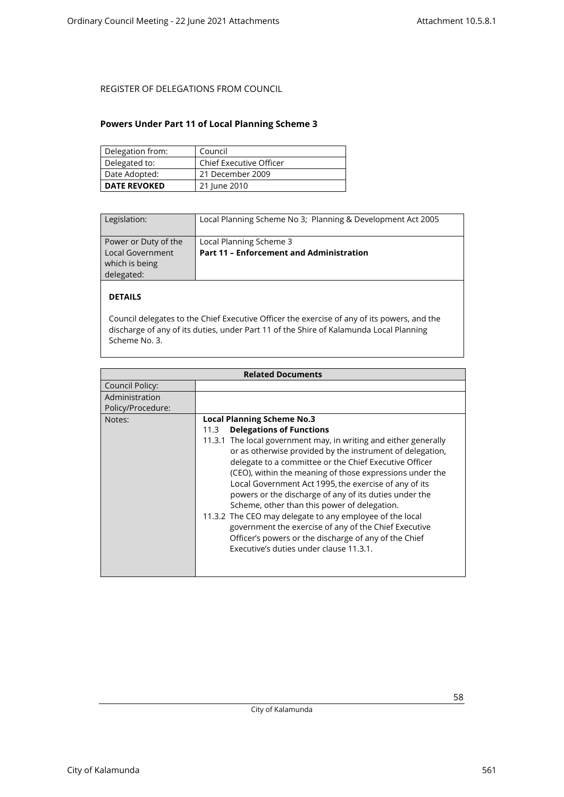### <span id="page-57-0"></span>**Powers Under Part 11 of Local Planning Scheme 3**

| Delegation from:    | Council                        |
|---------------------|--------------------------------|
| Delegated to:       | <b>Chief Executive Officer</b> |
| Date Adopted:       | 21 December 2009               |
| <b>DATE REVOKED</b> | 21 June 2010                   |

| Legislation:                                                             | Local Planning Scheme No 3; Planning & Development Act 2005                |
|--------------------------------------------------------------------------|----------------------------------------------------------------------------|
| Power or Duty of the<br>Local Government<br>which is being<br>delegated: | Local Planning Scheme 3<br><b>Part 11 - Enforcement and Administration</b> |

## **DETAILS**

Council delegates to the Chief Executive Officer the exercise of any of its powers, and the discharge of any of its duties, under Part 11 of the Shire of Kalamunda Local Planning Scheme No. 3.

| <b>Related Documents</b> |                                                                                                                                                                                                                                                                                                                                                                                                                                                                                                                                                                                                                                                                                      |
|--------------------------|--------------------------------------------------------------------------------------------------------------------------------------------------------------------------------------------------------------------------------------------------------------------------------------------------------------------------------------------------------------------------------------------------------------------------------------------------------------------------------------------------------------------------------------------------------------------------------------------------------------------------------------------------------------------------------------|
| Council Policy:          |                                                                                                                                                                                                                                                                                                                                                                                                                                                                                                                                                                                                                                                                                      |
| Administration           |                                                                                                                                                                                                                                                                                                                                                                                                                                                                                                                                                                                                                                                                                      |
| Policy/Procedure:        |                                                                                                                                                                                                                                                                                                                                                                                                                                                                                                                                                                                                                                                                                      |
| Notes:                   | <b>Local Planning Scheme No.3</b><br><b>Delegations of Functions</b><br>11.3<br>11.3.1 The local government may, in writing and either generally<br>or as otherwise provided by the instrument of delegation,<br>delegate to a committee or the Chief Executive Officer<br>(CEO), within the meaning of those expressions under the<br>Local Government Act 1995, the exercise of any of its<br>powers or the discharge of any of its duties under the<br>Scheme, other than this power of delegation.<br>11.3.2 The CEO may delegate to any employee of the local<br>government the exercise of any of the Chief Executive<br>Officer's powers or the discharge of any of the Chief |
|                          | Executive's duties under clause 11.3.1.                                                                                                                                                                                                                                                                                                                                                                                                                                                                                                                                                                                                                                              |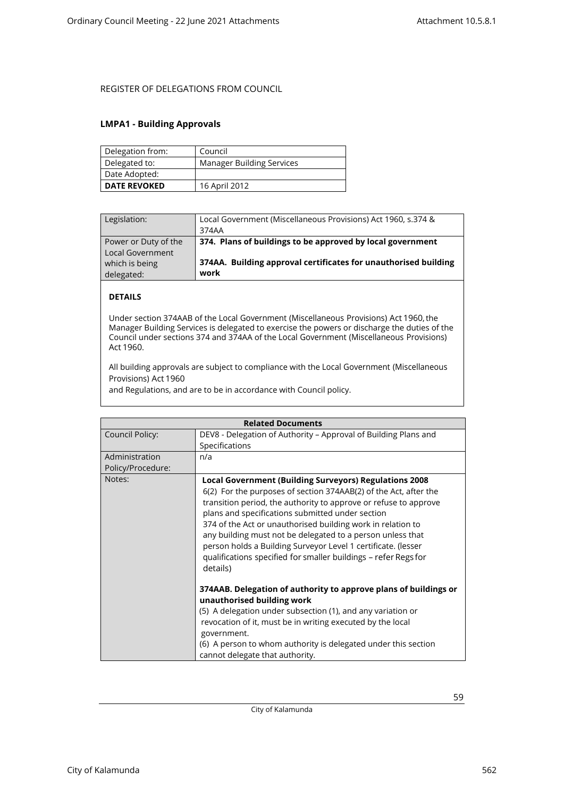### <span id="page-58-0"></span>**LMPA1 - Building Approvals**

| Delegation from:    | Council                          |
|---------------------|----------------------------------|
| Delegated to:       | <b>Manager Building Services</b> |
| Date Adopted:       |                                  |
| <b>DATE REVOKED</b> | 16 April 2012                    |

| Legislation:                             | Local Government (Miscellaneous Provisions) Act 1960, s.374 &<br>374AA  |
|------------------------------------------|-------------------------------------------------------------------------|
| Power or Duty of the<br>Local Government | 374. Plans of buildings to be approved by local government              |
| which is being<br>delegated:             | 374AA. Building approval certificates for unauthorised building<br>work |

### **DETAILS**

Under section 374AAB of the Local Government (Miscellaneous Provisions) Act 1960, the Manager Building Services is delegated to exercise the powers or discharge the duties of the Council under sections 374 and 374AA of the Local Government (Miscellaneous Provisions) Act 1960.

All building approvals are subject to compliance with the Local Government (Miscellaneous Provisions) Act 1960

and Regulations, and are to be in accordance with Council policy.

|                   | <b>Related Documents</b>                                                                                                                                                                                                                                                                                                                                                                                                                                                                                                               |
|-------------------|----------------------------------------------------------------------------------------------------------------------------------------------------------------------------------------------------------------------------------------------------------------------------------------------------------------------------------------------------------------------------------------------------------------------------------------------------------------------------------------------------------------------------------------|
| Council Policy:   | DEV8 - Delegation of Authority - Approval of Building Plans and                                                                                                                                                                                                                                                                                                                                                                                                                                                                        |
|                   | Specifications                                                                                                                                                                                                                                                                                                                                                                                                                                                                                                                         |
| Administration    | n/a                                                                                                                                                                                                                                                                                                                                                                                                                                                                                                                                    |
| Policy/Procedure: |                                                                                                                                                                                                                                                                                                                                                                                                                                                                                                                                        |
| Notes:            | <b>Local Government (Building Surveyors) Regulations 2008</b><br>6(2) For the purposes of section 374AAB(2) of the Act, after the<br>transition period, the authority to approve or refuse to approve<br>plans and specifications submitted under section<br>374 of the Act or unauthorised building work in relation to<br>any building must not be delegated to a person unless that<br>person holds a Building Surveyor Level 1 certificate. (lesser<br>qualifications specified for smaller buildings - refer Regs for<br>details) |
|                   | 374AAB. Delegation of authority to approve plans of buildings or<br>unauthorised building work<br>(5) A delegation under subsection (1), and any variation or<br>revocation of it, must be in writing executed by the local<br>government.<br>(6) A person to whom authority is delegated under this section<br>cannot delegate that authority.                                                                                                                                                                                        |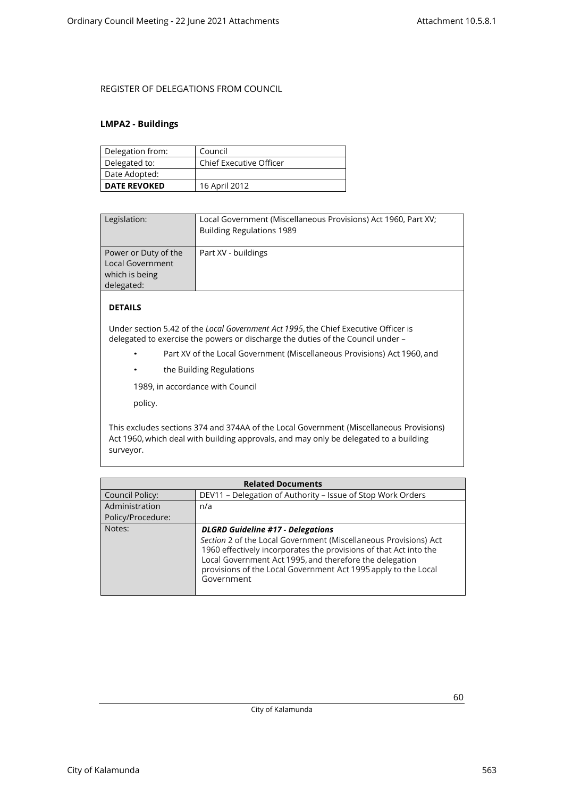### <span id="page-59-0"></span>**LMPA2 - Buildings**

| Delegation from:    | Council                        |
|---------------------|--------------------------------|
| Delegated to:       | <b>Chief Executive Officer</b> |
| Date Adopted:       |                                |
| <b>DATE REVOKED</b> | 16 April 2012                  |

| Legislation:                                                                    | Local Government (Miscellaneous Provisions) Act 1960, Part XV;<br><b>Building Regulations 1989</b> |
|---------------------------------------------------------------------------------|----------------------------------------------------------------------------------------------------|
| Power or Duty of the<br><b>Local Government</b><br>which is being<br>delegated: | Part XV - buildings                                                                                |

## **DETAILS**

Under section 5.42 of the *Local Government Act 1995*, the Chief Executive Officer is delegated to exercise the powers or discharge the duties of the Council under –

- Part XV of the Local Government (Miscellaneous Provisions) Act 1960, and
- the Building Regulations

1989, in accordance with Council

policy.

This excludes sections 374 and 374AA of the Local Government (Miscellaneous Provisions) Act 1960, which deal with building approvals, and may only be delegated to a building surveyor.

| <b>Related Documents</b> |                                                                                                                                                                                                                                                                                                                              |  |
|--------------------------|------------------------------------------------------------------------------------------------------------------------------------------------------------------------------------------------------------------------------------------------------------------------------------------------------------------------------|--|
| Council Policy:          | DEV11 - Delegation of Authority - Issue of Stop Work Orders                                                                                                                                                                                                                                                                  |  |
| Administration           | n/a                                                                                                                                                                                                                                                                                                                          |  |
| Policy/Procedure:        |                                                                                                                                                                                                                                                                                                                              |  |
| Notes:                   | <b>DLGRD Guideline #17 - Delegations</b><br>Section 2 of the Local Government (Miscellaneous Provisions) Act<br>1960 effectively incorporates the provisions of that Act into the<br>Local Government Act 1995, and therefore the delegation<br>provisions of the Local Government Act 1995 apply to the Local<br>Government |  |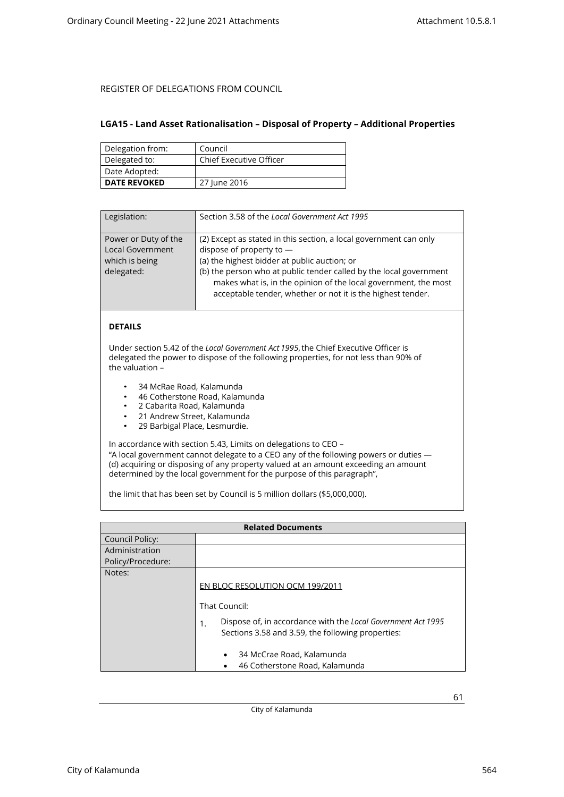### <span id="page-60-0"></span>**LGA15 - Land Asset Rationalisation – Disposal of Property – Additional Properties**

| Delegation from:    | Council                        |
|---------------------|--------------------------------|
| Delegated to:       | <b>Chief Executive Officer</b> |
| Date Adopted:       |                                |
| <b>DATE REVOKED</b> | 27 June 2016                   |

| Legislation:                                                                    | Section 3.58 of the Local Government Act 1995                                                                                                                                                                                                                                                                                                           |
|---------------------------------------------------------------------------------|---------------------------------------------------------------------------------------------------------------------------------------------------------------------------------------------------------------------------------------------------------------------------------------------------------------------------------------------------------|
| Power or Duty of the<br><b>Local Government</b><br>which is being<br>delegated: | (2) Except as stated in this section, a local government can only<br>dispose of property to $-$<br>(a) the highest bidder at public auction; or<br>(b) the person who at public tender called by the local government<br>makes what is, in the opinion of the local government, the most<br>acceptable tender, whether or not it is the highest tender. |

### **DETAILS**

Under section 5.42 of the *Local Government Act 1995*, the Chief Executive Officer is delegated the power to dispose of the following properties, for not less than 90% of the valuation –

- 34 McRae Road, Kalamunda
- 46 Cotherstone Road, Kalamunda<br>• 2 Cabarita Boad, Kalamunda
- 2 Cabarita Road, Kalamunda
- 21 Andrew Street, Kalamunda<br>• 29 Barbigal Place, Lesmurdie
- 29 Barbigal Place, Lesmurdie.

In accordance with section 5.43, Limits on delegations to CEO – "A local government cannot delegate to a CEO any of the following powers or duties —

(d) acquiring or disposing of any property valued at an amount exceeding an amount determined by the local government for the purpose of this paragraph",

the limit that has been set by Council is 5 million dollars (\$5,000,000).

|                   | <b>Related Documents</b>                                                                                                |
|-------------------|-------------------------------------------------------------------------------------------------------------------------|
| Council Policy:   |                                                                                                                         |
| Administration    |                                                                                                                         |
| Policy/Procedure: |                                                                                                                         |
| Notes:            |                                                                                                                         |
|                   | EN BLOC RESOLUTION OCM 199/2011                                                                                         |
|                   | That Council:                                                                                                           |
|                   | Dispose of, in accordance with the Local Government Act 1995<br>1.<br>Sections 3.58 and 3.59, the following properties: |
|                   | 34 McCrae Road, Kalamunda<br>$\bullet$                                                                                  |
|                   | 46 Cotherstone Road, Kalamunda                                                                                          |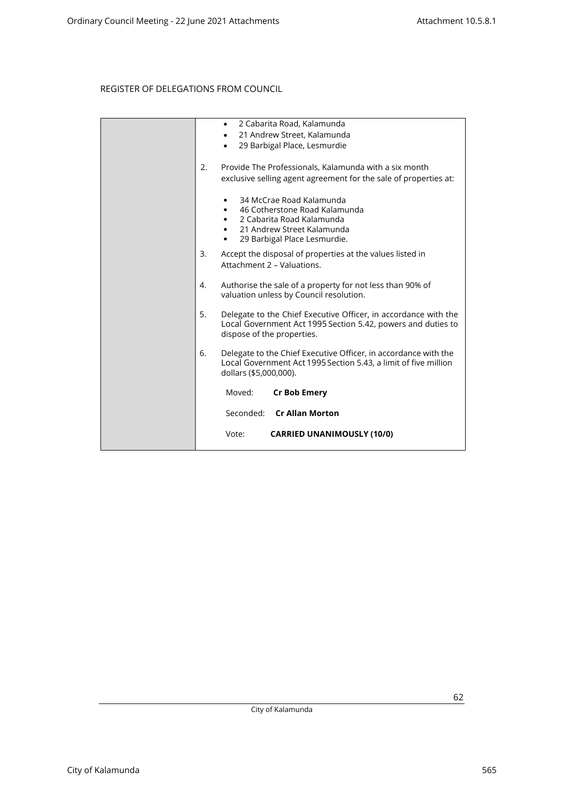|    | 2 Cabarita Road, Kalamunda<br>$\bullet$<br>21 Andrew Street, Kalamunda<br>$\bullet$<br>29 Barbigal Place, Lesmurdie<br>$\bullet$                                       |
|----|------------------------------------------------------------------------------------------------------------------------------------------------------------------------|
| 2. | Provide The Professionals, Kalamunda with a six month<br>exclusive selling agent agreement for the sale of properties at:                                              |
|    | 34 McCrae Road Kalamunda<br>46 Cotherstone Road Kalamunda<br>$\bullet$<br>2 Cabarita Road Kalamunda<br>21 Andrew Street Kalamunda<br>29 Barbigal Place Lesmurdie.<br>٠ |
| 3. | Accept the disposal of properties at the values listed in<br>Attachment 2 - Valuations.                                                                                |
| 4. | Authorise the sale of a property for not less than 90% of<br>valuation unless by Council resolution.                                                                   |
| 5. | Delegate to the Chief Executive Officer, in accordance with the<br>Local Government Act 1995 Section 5.42, powers and duties to<br>dispose of the properties.          |
| 6. | Delegate to the Chief Executive Officer, in accordance with the<br>Local Government Act 1995 Section 5.43, a limit of five million<br>dollars (\$5,000,000).           |
|    | Moved:<br><b>Cr Bob Emery</b>                                                                                                                                          |
|    | Seconded: Cr Allan Morton                                                                                                                                              |
|    | <b>CARRIED UNANIMOUSLY (10/0)</b><br>Vote:                                                                                                                             |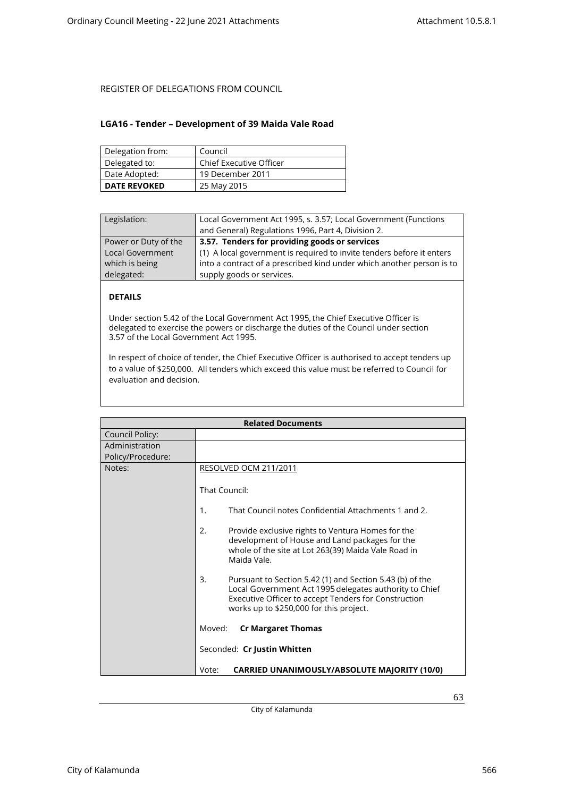### <span id="page-62-0"></span>**LGA16 - Tender – Development of 39 Maida Vale Road**

| Delegation from:    | Council                 |
|---------------------|-------------------------|
| Delegated to:       | Chief Executive Officer |
| Date Adopted:       | 19 December 2011        |
| <b>DATE REVOKED</b> | 25 May 2015             |

| Legislation:            | Local Government Act 1995, s. 3.57; Local Government (Functions<br>and General) Regulations 1996, Part 4, Division 2. |
|-------------------------|-----------------------------------------------------------------------------------------------------------------------|
| Power or Duty of the    | 3.57. Tenders for providing goods or services                                                                         |
| <b>Local Government</b> | (1) A local government is required to invite tenders before it enters                                                 |
| which is being          | into a contract of a prescribed kind under which another person is to                                                 |
| delegated:              | supply goods or services.                                                                                             |

### **DETAILS**

Under section 5.42 of the Local Government Act 1995, the Chief Executive Officer is delegated to exercise the powers or discharge the duties of the Council under section 3.57 of the Local Government Act 1995.

In respect of choice of tender, the Chief Executive Officer is authorised to accept tenders up to a value of \$250,000. All tenders which exceed this value must be referred to Council for evaluation and decision.

|                   | <b>Related Documents</b>                                                                                                                                                                                                    |
|-------------------|-----------------------------------------------------------------------------------------------------------------------------------------------------------------------------------------------------------------------------|
| Council Policy:   |                                                                                                                                                                                                                             |
| Administration    |                                                                                                                                                                                                                             |
| Policy/Procedure: |                                                                                                                                                                                                                             |
| Notes:            | RESOLVED OCM 211/2011                                                                                                                                                                                                       |
|                   | That Council:                                                                                                                                                                                                               |
|                   | That Council notes Confidential Attachments 1 and 2.<br>1.                                                                                                                                                                  |
|                   | 2.<br>Provide exclusive rights to Ventura Homes for the<br>development of House and Land packages for the<br>whole of the site at Lot 263(39) Maida Vale Road in<br>Maida Vale.                                             |
|                   | 3.<br>Pursuant to Section 5.42 (1) and Section 5.43 (b) of the<br>Local Government Act 1995 delegates authority to Chief<br>Executive Officer to accept Tenders for Construction<br>works up to \$250,000 for this project. |
|                   | Moved:<br><b>Cr Margaret Thomas</b>                                                                                                                                                                                         |
|                   | Seconded: Cr Justin Whitten                                                                                                                                                                                                 |
|                   | <b>CARRIED UNANIMOUSLY/ABSOLUTE MAJORITY (10/0)</b><br>Vote:                                                                                                                                                                |

City of Kalamunda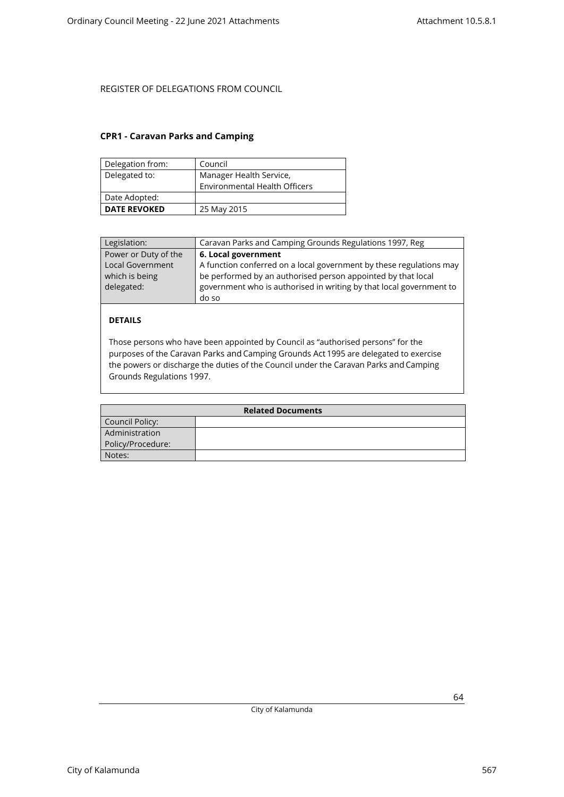### <span id="page-63-0"></span>**CPR1 - Caravan Parks and Camping**

| Delegation from:    | Council                              |
|---------------------|--------------------------------------|
| Delegated to:       | Manager Health Service,              |
|                     | <b>Environmental Health Officers</b> |
| Date Adopted:       |                                      |
| <b>DATE REVOKED</b> | 25 May 2015                          |

| Legislation:            | Caravan Parks and Camping Grounds Regulations 1997, Reg             |
|-------------------------|---------------------------------------------------------------------|
| Power or Duty of the    | 6. Local government                                                 |
| <b>Local Government</b> | A function conferred on a local government by these regulations may |
| which is being          | be performed by an authorised person appointed by that local        |
| delegated:              | government who is authorised in writing by that local government to |
|                         | do so                                                               |

### **DETAILS**

Those persons who have been appointed by Council as "authorised persons" for the purposes of the Caravan Parks and Camping Grounds Act 1995 are delegated to exercise the powers or discharge the duties of the Council under the Caravan Parks and Camping Grounds Regulations 1997.

| <b>Related Documents</b> |  |
|--------------------------|--|
| Council Policy:          |  |
| Administration           |  |
| Policy/Procedure:        |  |
| Notes:                   |  |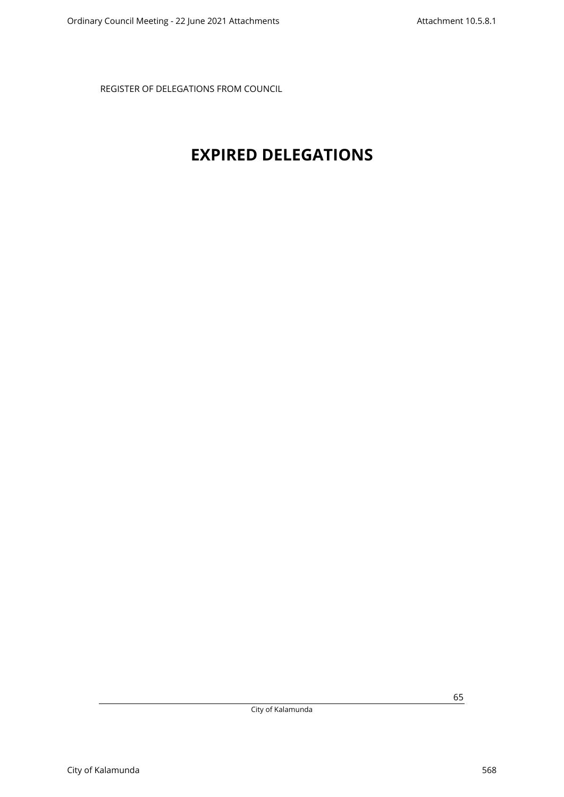# <span id="page-64-0"></span>**EXPIRED DELEGATIONS**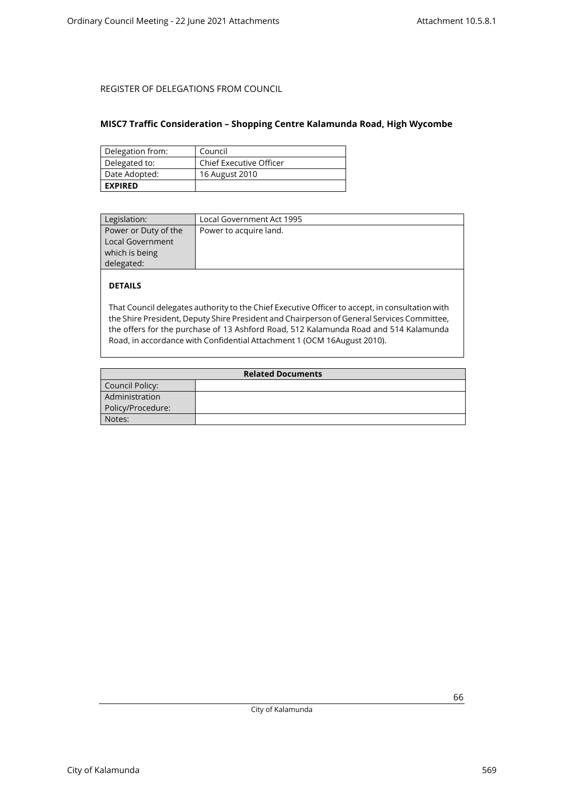### <span id="page-65-0"></span>**MISC7 Traffic Consideration – Shopping Centre Kalamunda Road, High Wycombe**

| Delegation from: | Council                        |
|------------------|--------------------------------|
| Delegated to:    | <b>Chief Executive Officer</b> |
| Date Adopted:    | 16 August 2010                 |
| <b>EXPIRED</b>   |                                |

| Power to acquire land. |
|------------------------|
|                        |
|                        |
|                        |
|                        |
|                        |

### **DETAILS**

That Council delegates authority to the Chief Executive Officer to accept, in consultation with the Shire President, Deputy Shire President and Chairperson of General Services Committee, the offers for the purchase of 13 Ashford Road, 512 Kalamunda Road and 514 Kalamunda Road, in accordance with Confidential Attachment 1 (OCM 16August 2010).

| <b>Related Documents</b> |  |
|--------------------------|--|
| Council Policy:          |  |
| Administration           |  |
| Policy/Procedure:        |  |
| Notes:                   |  |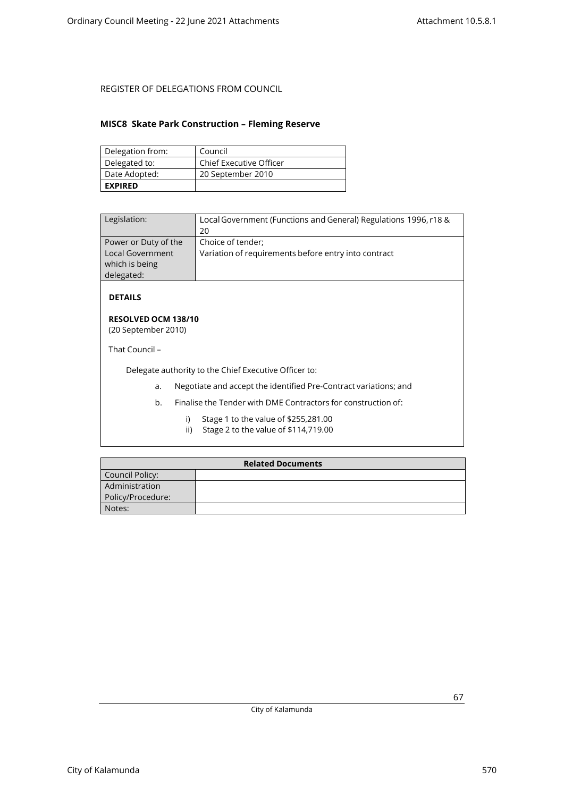### <span id="page-66-0"></span>**MISC8 Skate Park Construction – Fleming Reserve**

| Delegation from: | Council                        |
|------------------|--------------------------------|
| Delegated to:    | <b>Chief Executive Officer</b> |
| Date Adopted:    | 20 September 2010              |
| <b>EXPIRED</b>   |                                |

| Legislation:                                                                    | Local Government (Functions and General) Regulations 1996, r18 &<br>20    |
|---------------------------------------------------------------------------------|---------------------------------------------------------------------------|
| Power or Duty of the<br><b>Local Government</b><br>which is being<br>delegated: | Choice of tender;<br>Variation of requirements before entry into contract |

**DETAILS**

#### **RESOLVED OCM 138/10** (20 September 2010)

That Council –

Delegate authority to the Chief Executive Officer to:

- a. Negotiate and accept the identified Pre-Contract variations; and
- b. Finalise the Tender with DME Contractors for construction of:
	- i) Stage 1 to the value of \$255,281.00
	- ii) Stage 2 to the value of \$114,719.00

| <b>Related Documents</b> |  |
|--------------------------|--|
| Council Policy:          |  |
| Administration           |  |
| Policy/Procedure:        |  |
| Notes:                   |  |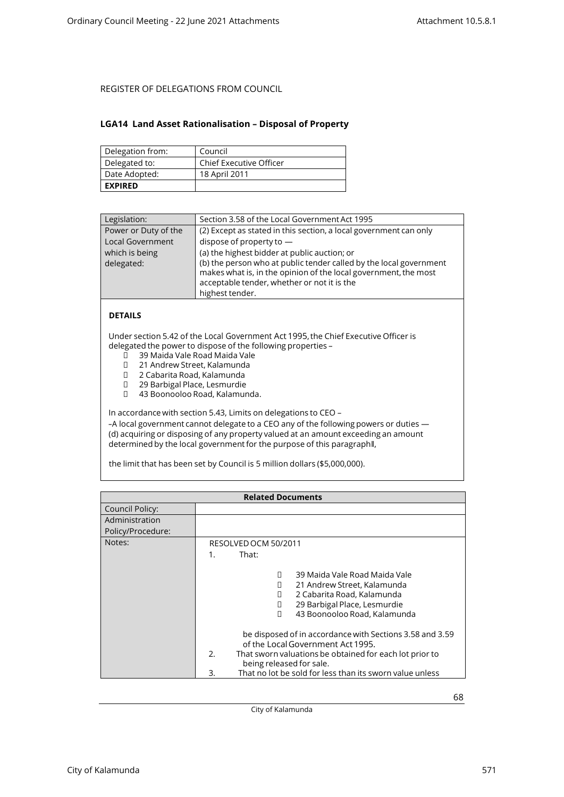### <span id="page-67-0"></span>**LGA14 Land Asset Rationalisation – Disposal of Property**

| Delegation from: | Council                        |
|------------------|--------------------------------|
| Delegated to:    | <b>Chief Executive Officer</b> |
| Date Adopted:    | 18 April 2011                  |
| <b>EXPIRED</b>   |                                |

| Legislation:            | Section 3.58 of the Local Government Act 1995                                                                                                                                                           |  |
|-------------------------|---------------------------------------------------------------------------------------------------------------------------------------------------------------------------------------------------------|--|
| Power or Duty of the    | (2) Except as stated in this section, a local government can only                                                                                                                                       |  |
| <b>Local Government</b> | dispose of property to $-$                                                                                                                                                                              |  |
| which is being          | (a) the highest bidder at public auction; or                                                                                                                                                            |  |
| delegated:              | (b) the person who at public tender called by the local government<br>makes what is, in the opinion of the local government, the most<br>acceptable tender, whether or not it is the<br>highest tender. |  |

### **DETAILS**

Under section 5.42 of the Local Government Act 1995, the Chief Executive Officer is delegated the power to dispose of the following properties –<br>  $\Box$  39 Maida Vale Road Maida Vale

- 39 Maida Vale Road Maida Vale
- □ 21 Andrew Street, Kalamunda<br>□ 2 Cabarita Road. Kalamunda
- 2 Cabarita Road, Kalamunda
- 29 Barbigal Place, Lesmurdie
- 43 Boonooloo Road, Kalamunda.

In accordance with section 5.43, Limits on delegations to CEO –

-A local government cannot delegate to a CEO any of the following powers or duties -(d) acquiring or disposing of any property valued at an amount exceeding an amount determined by the local government for the purpose of this paragraph‖,

the limit that has been set by Council is 5 million dollars (\$5,000,000).

| <b>Related Documents</b> |                                                                                                                                                                                                                                                                                                                                                                                                                                                     |
|--------------------------|-----------------------------------------------------------------------------------------------------------------------------------------------------------------------------------------------------------------------------------------------------------------------------------------------------------------------------------------------------------------------------------------------------------------------------------------------------|
| Council Policy:          |                                                                                                                                                                                                                                                                                                                                                                                                                                                     |
| Administration           |                                                                                                                                                                                                                                                                                                                                                                                                                                                     |
| Policy/Procedure:        |                                                                                                                                                                                                                                                                                                                                                                                                                                                     |
| Notes:                   | RESOLVED OCM 50/2011                                                                                                                                                                                                                                                                                                                                                                                                                                |
|                          | That:<br>$1_{-}$                                                                                                                                                                                                                                                                                                                                                                                                                                    |
|                          | 39 Maida Vale Road Maida Vale<br>П<br>21 Andrew Street, Kalamunda<br>П<br>2 Cabarita Road, Kalamunda<br>П<br>29 Barbigal Place, Lesmurdie<br>П<br>43 Boonooloo Road, Kalamunda<br>П<br>be disposed of in accordance with Sections 3.58 and 3.59<br>of the Local Government Act 1995.<br>2.<br>That sworn valuations be obtained for each lot prior to<br>being released for sale.<br>That no lot be sold for less than its sworn value unless<br>3. |

City of Kalamunda